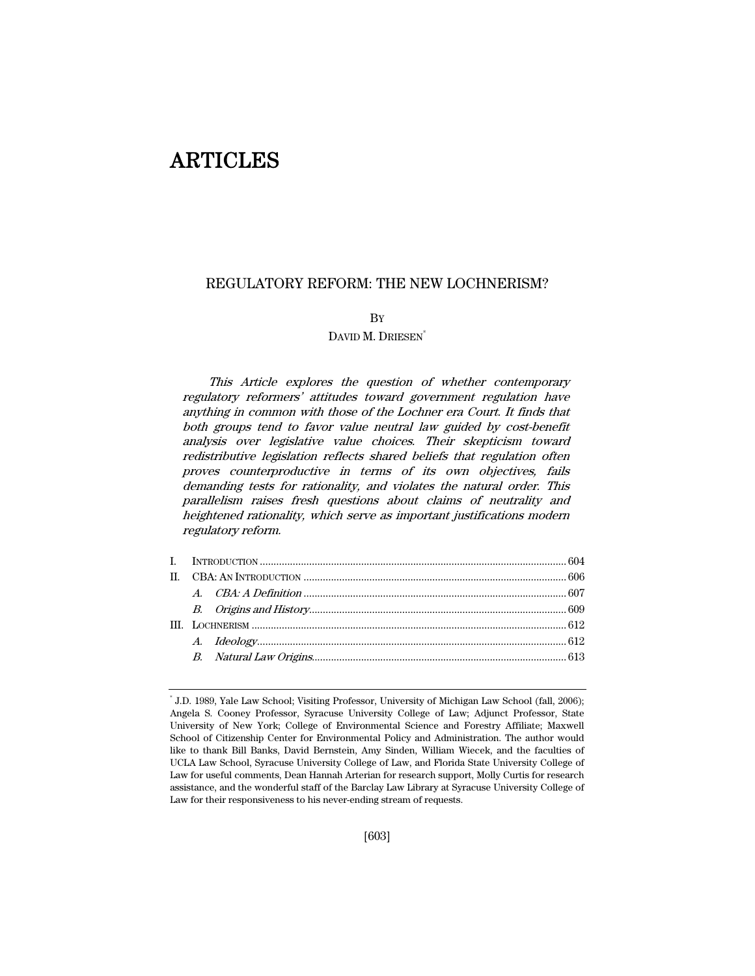# ARTICLES

# REGULATORY REFORM: THE NEW LOCHNERISM?

# BY

# DAVID M. DRIESEN<sup>\*</sup>

This Article explores the question of whether contemporary regulatory reformers' attitudes toward government regulation have anything in common with those of the Lochner era Court. It finds that both groups tend to favor value neutral law guided by cost-benefit analysis over legislative value choices. Their skepticism toward redistributive legislation reflects shared beliefs that regulation often proves counterproductive in terms of its own objectives, fails demanding tests for rationality, and violates the natural order. This parallelism raises fresh questions about claims of neutrality and heightened rationality, which serve as important justifications modern regulatory reform.

<sup>\*</sup> J.D. 1989, Yale Law School; Visiting Professor, University of Michigan Law School (fall, 2006); Angela S. Cooney Professor, Syracuse University College of Law; Adjunct Professor, State University of New York; College of Environmental Science and Forestry Affiliate; Maxwell School of Citizenship Center for Environmental Policy and Administration. The author would like to thank Bill Banks, David Bernstein, Amy Sinden, William Wiecek, and the faculties of UCLA Law School, Syracuse University College of Law, and Florida State University College of Law for useful comments, Dean Hannah Arterian for research support, Molly Curtis for research assistance, and the wonderful staff of the Barclay Law Library at Syracuse University College of Law for their responsiveness to his never-ending stream of requests.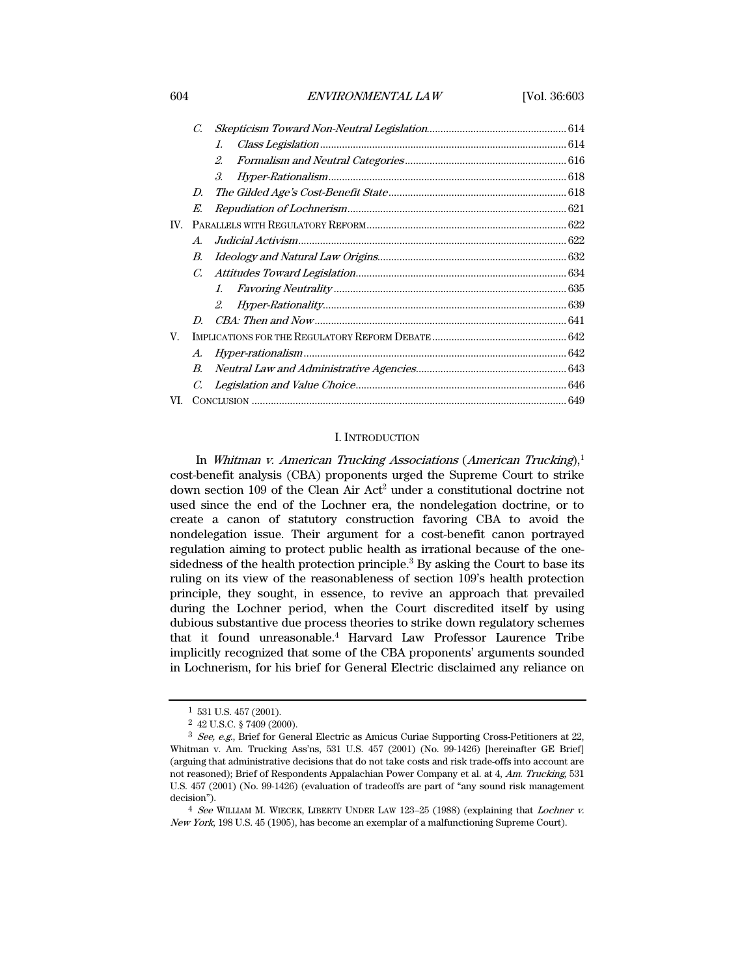## 604 ENVIRONMENTAL LAW [Vol. 36:603

|     | C.               |                       |  |
|-----|------------------|-----------------------|--|
|     |                  | $\mathcal{I}$ .       |  |
|     |                  | 2.                    |  |
|     |                  | $\mathcal{S}_{\cdot}$ |  |
|     | D.               |                       |  |
|     | E.               |                       |  |
| IV. |                  |                       |  |
|     | $\boldsymbol{A}$ |                       |  |
|     | В.               |                       |  |
|     | $C_{\cdot}$      |                       |  |
|     |                  | $l_{\cdot}$           |  |
|     |                  | 2.                    |  |
|     | D                |                       |  |
| V.  |                  |                       |  |
|     | A.               |                       |  |
|     | $B_{\cdot}$      |                       |  |
|     | C.               |                       |  |
| VI. |                  |                       |  |

# I. INTRODUCTION

In Whitman v. American Trucking Associations (American Trucking), $1$ cost-benefit analysis (CBA) proponents urged the Supreme Court to strike down section 109 of the Clean Air Act<sup>2</sup> under a constitutional doctrine not used since the end of the Lochner era, the nondelegation doctrine, or to create a canon of statutory construction favoring CBA to avoid the nondelegation issue. Their argument for a cost-benefit canon portrayed regulation aiming to protect public health as irrational because of the onesidedness of the health protection principle.<sup>3</sup> By asking the Court to base its ruling on its view of the reasonableness of section 109's health protection principle, they sought, in essence, to revive an approach that prevailed during the Lochner period, when the Court discredited itself by using dubious substantive due process theories to strike down regulatory schemes that it found unreasonable.4 Harvard Law Professor Laurence Tribe implicitly recognized that some of the CBA proponents' arguments sounded in Lochnerism, for his brief for General Electric disclaimed any reliance on

<sup>1 531</sup> U.S. 457 (2001).

<sup>2 42</sup> U.S.C. § 7409 (2000).

<sup>3</sup> See, e.g., Brief for General Electric as Amicus Curiae Supporting Cross-Petitioners at 22, Whitman v. Am. Trucking Ass'ns, 531 U.S. 457 (2001) (No. 99-1426) [hereinafter GE Brief] (arguing that administrative decisions that do not take costs and risk trade-offs into account are not reasoned); Brief of Respondents Appalachian Power Company et al. at 4, Am. Trucking, 531 U.S. 457 (2001) (No. 99-1426) (evaluation of tradeoffs are part of "any sound risk management decision").

<sup>4</sup> See WILLIAM M. WIECEK, LIBERTY UNDER LAW 123–25 (1988) (explaining that Lochner v. New York, 198 U.S. 45 (1905), has become an exemplar of a malfunctioning Supreme Court).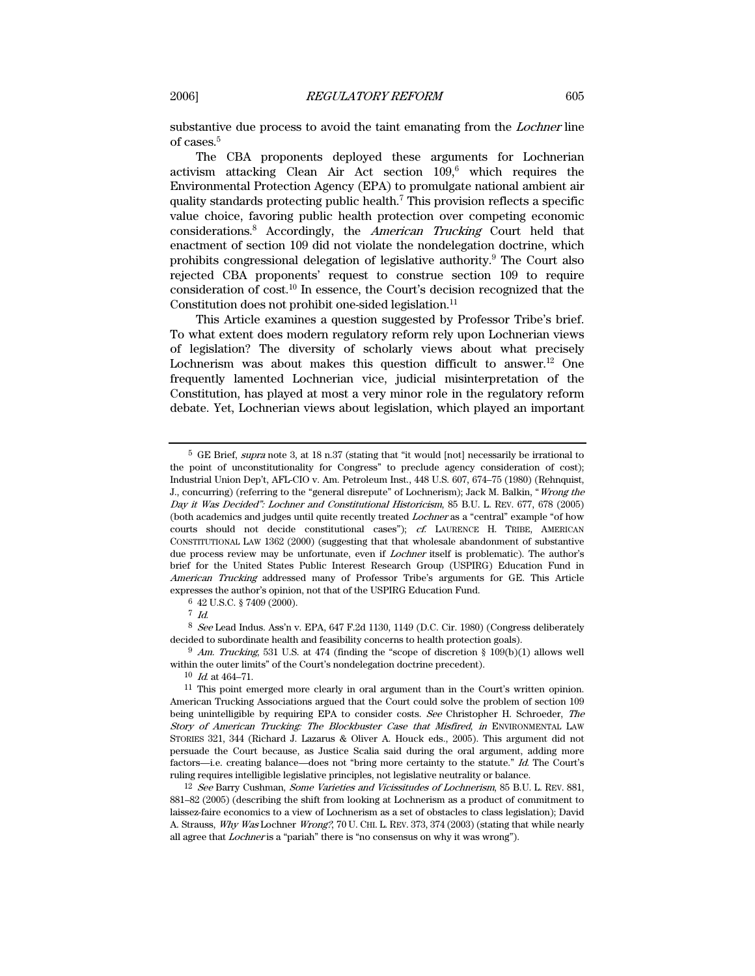substantive due process to avoid the taint emanating from the Lochner line of cases.5

The CBA proponents deployed these arguments for Lochnerian activism attacking Clean Air Act section  $109$ ,<sup>6</sup> which requires the Environmental Protection Agency (EPA) to promulgate national ambient air quality standards protecting public health.7 This provision reflects a specific value choice, favoring public health protection over competing economic considerations.<sup>8</sup> Accordingly, the American Trucking Court held that enactment of section 109 did not violate the nondelegation doctrine, which prohibits congressional delegation of legislative authority.<sup>9</sup> The Court also rejected CBA proponents' request to construe section 109 to require consideration of cost.10 In essence, the Court's decision recognized that the Constitution does not prohibit one-sided legislation.<sup>11</sup>

This Article examines a question suggested by Professor Tribe's brief. To what extent does modern regulatory reform rely upon Lochnerian views of legislation? The diversity of scholarly views about what precisely Lochnerism was about makes this question difficult to answer.<sup>12</sup> One frequently lamented Lochnerian vice, judicial misinterpretation of the Constitution, has played at most a very minor role in the regulatory reform debate. Yet, Lochnerian views about legislation, which played an important

8 See Lead Indus. Ass'n v. EPA, 647 F.2d 1130, 1149 (D.C. Cir. 1980) (Congress deliberately decided to subordinate health and feasibility concerns to health protection goals).

 $9$  Am. Trucking, 531 U.S. at 474 (finding the "scope of discretion  $\S$  109(b)(1) allows well within the outer limits" of the Court's nondelegation doctrine precedent).

<sup>5</sup> GE Brief, supra note 3, at 18 n.37 (stating that "it would [not] necessarily be irrational to the point of unconstitutionality for Congress" to preclude agency consideration of cost); Industrial Union Dep't, AFL-CIO v. Am. Petroleum Inst., 448 U.S. 607, 674–75 (1980) (Rehnquist, J., concurring) (referring to the "general disrepute" of Lochnerism); Jack M. Balkin, "Wrong the Day it Was Decided": Lochner and Constitutional Historicism, 85 B.U. L. REV. 677, 678 (2005) (both academics and judges until quite recently treated Lochner as a "central" example "of how courts should not decide constitutional cases"); cf. LAURENCE H. TRIBE, AMERICAN CONSTITUTIONAL LAW 1362 (2000) (suggesting that that wholesale abandonment of substantive due process review may be unfortunate, even if Lochner itself is problematic). The author's brief for the United States Public Interest Research Group (USPIRG) Education Fund in American Trucking addressed many of Professor Tribe's arguments for GE. This Article expresses the author's opinion, not that of the USPIRG Education Fund.

<sup>6 42</sup> U.S.C. § 7409 (2000).

 $7$  Id.

 $10$  *Id.* at 464–71.<br><sup>11</sup> This point emerged more clearly in oral argument than in the Court's written opinion. American Trucking Associations argued that the Court could solve the problem of section 109 being unintelligible by requiring EPA to consider costs. See Christopher H. Schroeder, The Story of American Trucking: The Blockbuster Case that Misfired, in ENVIRONMENTAL LAW STORIES 321, 344 (Richard J. Lazarus & Oliver A. Houck eds., 2005). This argument did not persuade the Court because, as Justice Scalia said during the oral argument, adding more factors—i.e. creating balance—does not "bring more certainty to the statute." Id. The Court's ruling requires intelligible legislative principles, not legislative neutrality or balance.

<sup>&</sup>lt;sup>12</sup> See Barry Cushman, Some Varieties and Vicissitudes of Lochnerism, 85 B.U. L. REV. 881, 881–82 (2005) (describing the shift from looking at Lochnerism as a product of commitment to laissez-faire economics to a view of Lochnerism as a set of obstacles to class legislation); David A. Strauss, Why Was Lochner Wrong?, 70 U. CHI. L. REV. 373, 374 (2003) (stating that while nearly all agree that *Lochner* is a "pariah" there is "no consensus on why it was wrong").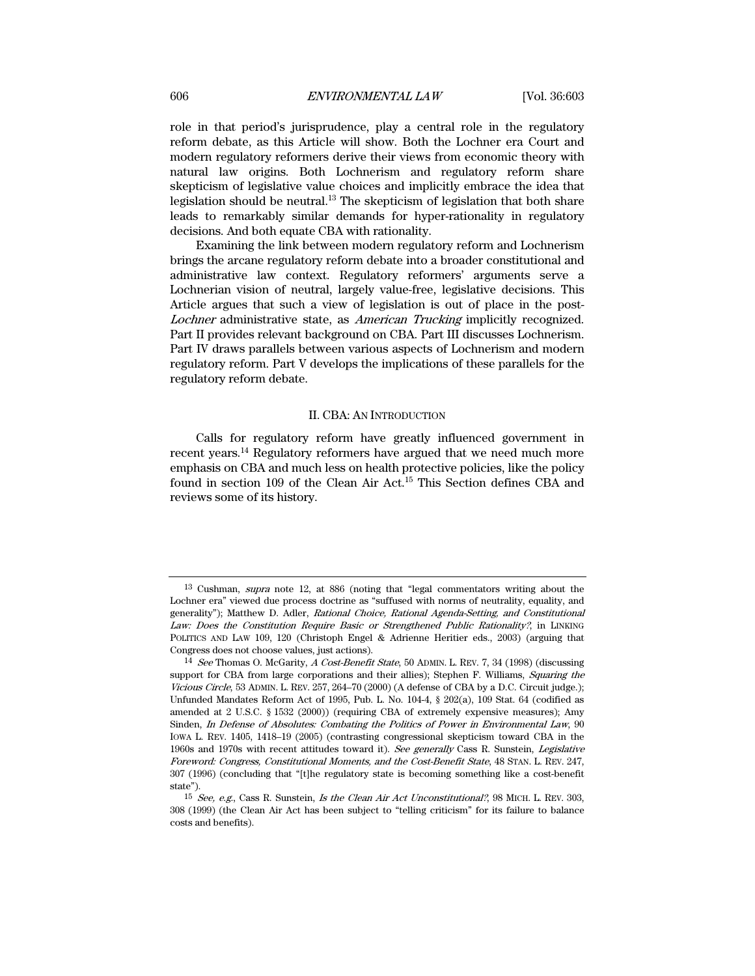role in that period's jurisprudence, play a central role in the regulatory reform debate, as this Article will show. Both the Lochner era Court and modern regulatory reformers derive their views from economic theory with natural law origins. Both Lochnerism and regulatory reform share skepticism of legislative value choices and implicitly embrace the idea that legislation should be neutral. $^{13}$  The skepticism of legislation that both share leads to remarkably similar demands for hyper-rationality in regulatory decisions. And both equate CBA with rationality.

Examining the link between modern regulatory reform and Lochnerism brings the arcane regulatory reform debate into a broader constitutional and administrative law context. Regulatory reformers' arguments serve a Lochnerian vision of neutral, largely value-free, legislative decisions. This Article argues that such a view of legislation is out of place in the post-Lochner administrative state, as American Trucking implicitly recognized. Part II provides relevant background on CBA. Part III discusses Lochnerism. Part IV draws parallels between various aspects of Lochnerism and modern regulatory reform. Part V develops the implications of these parallels for the regulatory reform debate.

#### II. CBA: AN INTRODUCTION

Calls for regulatory reform have greatly influenced government in recent years.14 Regulatory reformers have argued that we need much more emphasis on CBA and much less on health protective policies, like the policy found in section 109 of the Clean Air Act.15 This Section defines CBA and reviews some of its history.

<sup>13</sup> Cushman, supra note 12, at 886 (noting that "legal commentators writing about the Lochner era" viewed due process doctrine as "suffused with norms of neutrality, equality, and generality"); Matthew D. Adler, Rational Choice, Rational Agenda-Setting, and Constitutional Law: Does the Constitution Require Basic or Strengthened Public Rationality?, in LINKING POLITICS AND LAW 109, 120 (Christoph Engel & Adrienne Heritier eds., 2003) (arguing that Congress does not choose values, just actions).

<sup>14</sup> See Thomas O. McGarity, A Cost-Benefit State, 50 ADMIN. L. REV. 7, 34 (1998) (discussing support for CBA from large corporations and their allies); Stephen F. Williams, Squaring the Vicious Circle, 53 ADMIN. L. REV. 257, 264–70 (2000) (A defense of CBA by a D.C. Circuit judge.); Unfunded Mandates Reform Act of 1995, Pub. L. No. 104-4, § 202(a), 109 Stat. 64 (codified as amended at 2 U.S.C. § 1532 (2000)) (requiring CBA of extremely expensive measures); Amy Sinden, In Defense of Absolutes: Combating the Politics of Power in Environmental Law, 90 IOWA L. REV. 1405, 1418–19 (2005) (contrasting congressional skepticism toward CBA in the 1960s and 1970s with recent attitudes toward it). See generally Cass R. Sunstein, Legislative Foreword: Congress, Constitutional Moments, and the Cost-Benefit State, 48 STAN. L. REV. 247, 307 (1996) (concluding that "[t]he regulatory state is becoming something like a cost-benefit state").

<sup>15</sup> See, e.g., Cass R. Sunstein, Is the Clean Air Act Unconstitutional?, 98 MICH. L. REV. 303, 308 (1999) (the Clean Air Act has been subject to "telling criticism" for its failure to balance costs and benefits).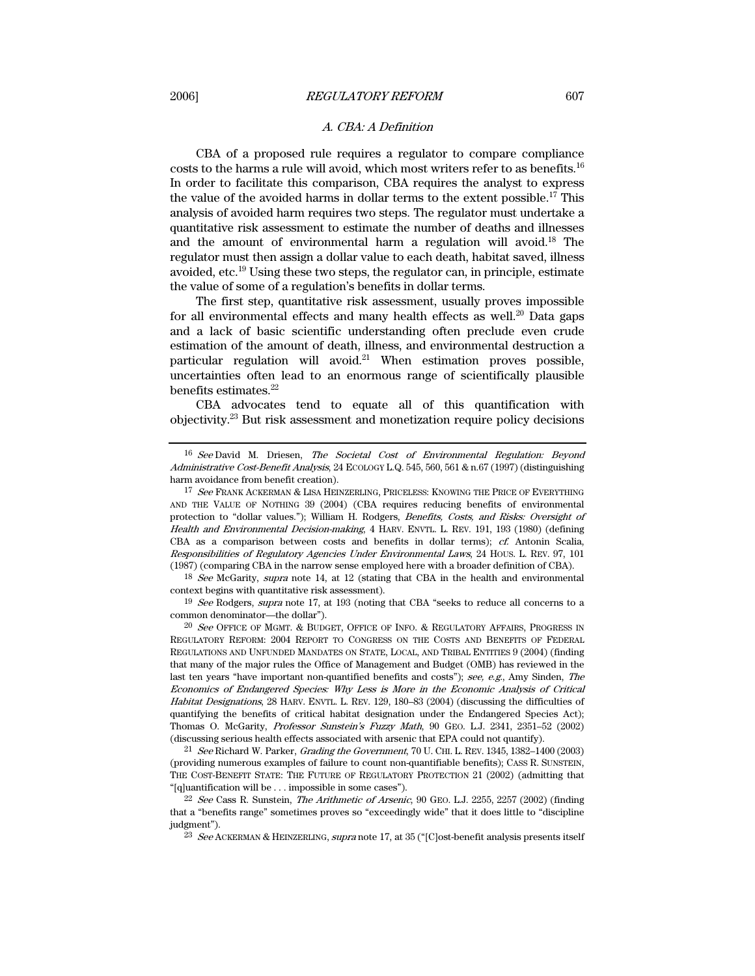# A. CBA: A Definition

CBA of a proposed rule requires a regulator to compare compliance costs to the harms a rule will avoid, which most writers refer to as benefits.16 In order to facilitate this comparison, CBA requires the analyst to express the value of the avoided harms in dollar terms to the extent possible.17 This analysis of avoided harm requires two steps. The regulator must undertake a quantitative risk assessment to estimate the number of deaths and illnesses and the amount of environmental harm a regulation will avoid.18 The regulator must then assign a dollar value to each death, habitat saved, illness avoided, etc.19 Using these two steps, the regulator can, in principle, estimate the value of some of a regulation's benefits in dollar terms.

The first step, quantitative risk assessment, usually proves impossible for all environmental effects and many health effects as well.<sup>20</sup> Data gaps and a lack of basic scientific understanding often preclude even crude estimation of the amount of death, illness, and environmental destruction a particular regulation will avoid.<sup>21</sup> When estimation proves possible, uncertainties often lead to an enormous range of scientifically plausible benefits estimates.<sup>22</sup>

CBA advocates tend to equate all of this quantification with objectivity.23 But risk assessment and monetization require policy decisions

<sup>18</sup> See McGarity, supra note 14, at 12 (stating that CBA in the health and environmental context begins with quantitative risk assessment).

19 See Rodgers, supra note 17, at 193 (noting that CBA "seeks to reduce all concerns to a common denominator—the dollar").

<sup>20</sup> See OFFICE OF MGMT. & BUDGET, OFFICE OF INFO. & REGULATORY AFFAIRS, PROGRESS IN REGULATORY REFORM: 2004 REPORT TO CONGRESS ON THE COSTS AND BENEFITS OF FEDERAL REGULATIONS AND UNFUNDED MANDATES ON STATE, LOCAL, AND TRIBAL ENTITIES 9 (2004) (finding that many of the major rules the Office of Management and Budget (OMB) has reviewed in the last ten years "have important non-quantified benefits and costs"); see, e.g., Amy Sinden, The Economics of Endangered Species: Why Less is More in the Economic Analysis of Critical Habitat Designations, 28 HARV. ENVTL. L. REV. 129, 180–83 (2004) (discussing the difficulties of quantifying the benefits of critical habitat designation under the Endangered Species Act); Thomas O. McGarity, Professor Sunstein's Fuzzy Math, 90 GEO. L.J. 2341, 2351–52 (2002) (discussing serious health effects associated with arsenic that EPA could not quantify).

21 See Richard W. Parker, Grading the Government, 70 U. CHI. L. REV. 1345, 1382–1400 (2003) (providing numerous examples of failure to count non-quantifiable benefits); CASS R. SUNSTEIN, THE COST-BENEFIT STATE: THE FUTURE OF REGULATORY PROTECTION 21 (2002) (admitting that "[q]uantification will be . . . impossible in some cases").

 $22$  See Cass R. Sunstein, *The Arithmetic of Arsenic*, 90 GEO. L.J. 2255, 2257 (2002) (finding that a "benefits range" sometimes proves so "exceedingly wide" that it does little to "discipline judgment").

<sup>23</sup> See ACKERMAN & HEINZERLING, supra note 17, at 35 ("[C]ost-benefit analysis presents itself

<sup>16</sup> See David M. Driesen, The Societal Cost of Environmental Regulation: Beyond Administrative Cost-Benefit Analysis, 24 ECOLOGY L.Q. 545, 560, 561 & n.67 (1997) (distinguishing harm avoidance from benefit creation).

<sup>&</sup>lt;sup>17</sup> See FRANK ACKERMAN & LISA HEINZERLING, PRICELESS: KNOWING THE PRICE OF EVERYTHING AND THE VALUE OF NOTHING 39 (2004) (CBA requires reducing benefits of environmental protection to "dollar values."); William H. Rodgers, Benefits, Costs, and Risks: Oversight of Health and Environmental Decision-making, 4 HARV. ENVTL. L. REV. 191, 193 (1980) (defining CBA as a comparison between costs and benefits in dollar terms); cf. Antonin Scalia, Responsibilities of Regulatory Agencies Under Environmental Laws, 24 HOUS. L. REV. 97, 101 (1987) (comparing CBA in the narrow sense employed here with a broader definition of CBA).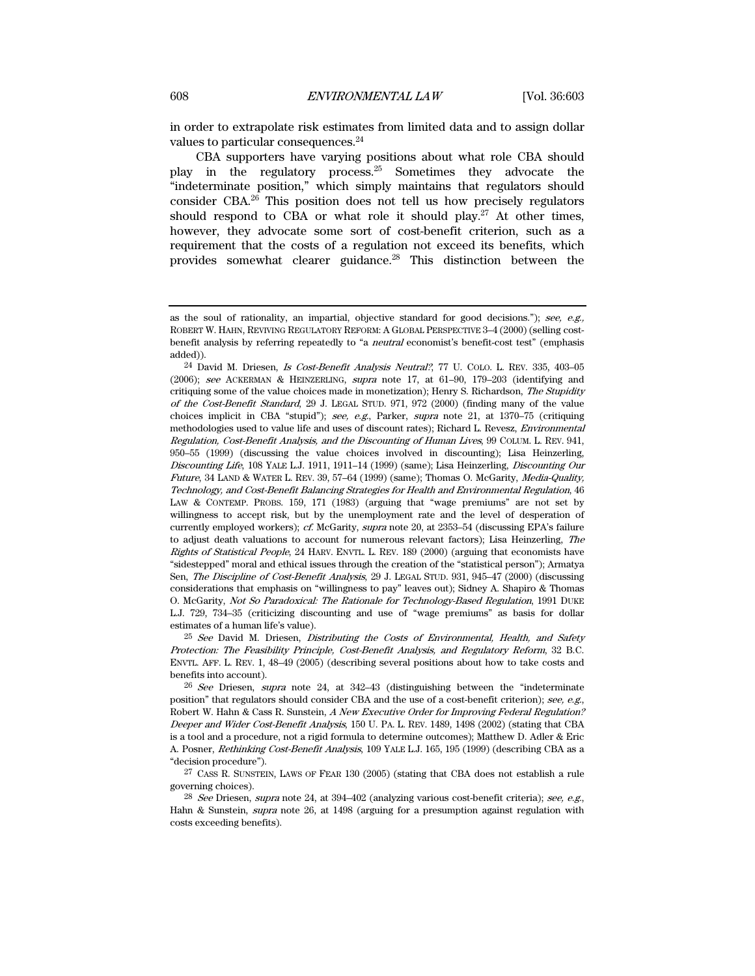in order to extrapolate risk estimates from limited data and to assign dollar values to particular consequences.<sup>24</sup>

CBA supporters have varying positions about what role CBA should play in the regulatory process.25 Sometimes they advocate the "indeterminate position," which simply maintains that regulators should consider CBA.26 This position does not tell us how precisely regulators should respond to CBA or what role it should play.<sup>27</sup> At other times, however, they advocate some sort of cost-benefit criterion, such as a requirement that the costs of a regulation not exceed its benefits, which provides somewhat clearer guidance.28 This distinction between the

 $25$  See David M. Driesen, Distributing the Costs of Environmental, Health, and Safety Protection: The Feasibility Principle, Cost-Benefit Analysis, and Regulatory Reform, 32 B.C. ENVTL. AFF. L. REV. 1, 48–49 (2005) (describing several positions about how to take costs and benefits into account).

 $26$  See Driesen, supra note 24, at 342–43 (distinguishing between the "indeterminate" position" that regulators should consider CBA and the use of a cost-benefit criterion); see, e.g., Robert W. Hahn & Cass R. Sunstein, A New Executive Order for Improving Federal Regulation? Deeper and Wider Cost-Benefit Analysis, 150 U. PA. L. REV. 1489, 1498 (2002) (stating that CBA is a tool and a procedure, not a rigid formula to determine outcomes); Matthew D. Adler & Eric A. Posner, Rethinking Cost-Benefit Analysis, 109 YALE L.J. 165, 195 (1999) (describing CBA as a "decision procedure").

27 CASS R. SUNSTEIN, LAWS OF FEAR 130 (2005) (stating that CBA does not establish a rule governing choices).

<sup>28</sup> See Driesen, supra note 24, at  $394-402$  (analyzing various cost-benefit criteria); see, e.g., Hahn & Sunstein, supra note 26, at 1498 (arguing for a presumption against regulation with costs exceeding benefits).

as the soul of rationality, an impartial, objective standard for good decisions."); see, e.g., ROBERT W. HAHN, REVIVING REGULATORY REFORM: A GLOBAL PERSPECTIVE 3–4 (2000) (selling costbenefit analysis by referring repeatedly to "a neutral economist's benefit-cost test" (emphasis added)).

<sup>24</sup> David M. Driesen, Is Cost-Benefit Analysis Neutral?, 77 U. COLO. L. REV. 335, 403–05 (2006); see ACKERMAN & HEINZERLING, supra note 17, at 61–90, 179–203 (identifying and critiquing some of the value choices made in monetization); Henry S. Richardson, The Stupidity of the Cost-Benefit Standard, 29 J. LEGAL STUD. 971, 972 (2000) (finding many of the value choices implicit in CBA "stupid"); see, e.g., Parker, supra note 21, at 1370–75 (critiquing methodologies used to value life and uses of discount rates); Richard L. Revesz, Environmental Regulation, Cost-Benefit Analysis, and the Discounting of Human Lives, 99 COLUM. L. REV. 941, 950–55 (1999) (discussing the value choices involved in discounting); Lisa Heinzerling, Discounting Life, 108 YALE L.J. 1911, 1911–14 (1999) (same); Lisa Heinzerling, Discounting Our Future, 34 LAND & WATER L. REV. 39, 57–64 (1999) (same); Thomas O. McGarity, *Media-Quality*, Technology, and Cost-Benefit Balancing Strategies for Health and Environmental Regulation, 46 LAW & CONTEMP. PROBS. 159, 171 (1983) (arguing that "wage premiums" are not set by willingness to accept risk, but by the unemployment rate and the level of desperation of currently employed workers); cf. McGarity, supra note 20, at 2353–54 (discussing EPA's failure to adjust death valuations to account for numerous relevant factors); Lisa Heinzerling, The Rights of Statistical People, 24 HARV. ENVTL. L. REV. 189 (2000) (arguing that economists have "sidestepped" moral and ethical issues through the creation of the "statistical person"); Armatya Sen, The Discipline of Cost-Benefit Analysis, 29 J. LEGAL STUD. 931, 945–47 (2000) (discussing considerations that emphasis on "willingness to pay" leaves out); Sidney A. Shapiro & Thomas O. McGarity, Not So Paradoxical: The Rationale for Technology-Based Regulation, 1991 DUKE L.J. 729, 734–35 (criticizing discounting and use of "wage premiums" as basis for dollar estimates of a human life's value).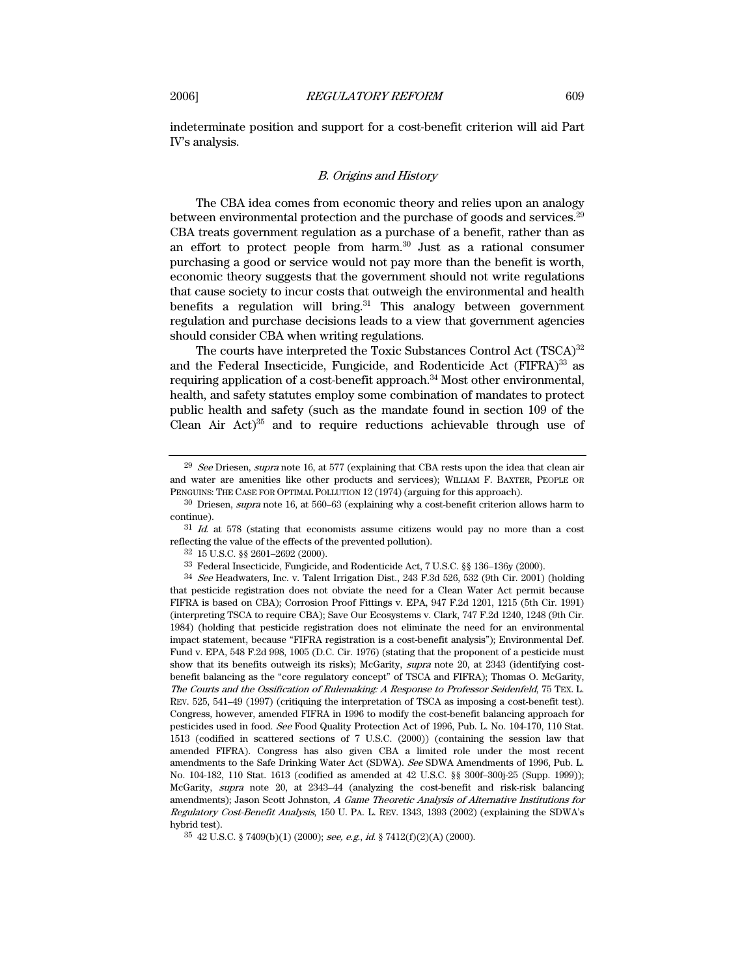indeterminate position and support for a cost-benefit criterion will aid Part IV's analysis.

# B. Origins and History

The CBA idea comes from economic theory and relies upon an analogy between environmental protection and the purchase of goods and services.<sup>29</sup> CBA treats government regulation as a purchase of a benefit, rather than as an effort to protect people from harm.30 Just as a rational consumer purchasing a good or service would not pay more than the benefit is worth, economic theory suggests that the government should not write regulations that cause society to incur costs that outweigh the environmental and health benefits a regulation will bring.<sup>31</sup> This analogy between government regulation and purchase decisions leads to a view that government agencies should consider CBA when writing regulations.

The courts have interpreted the Toxic Substances Control Act (TSCA)<sup>32</sup> and the Federal Insecticide, Fungicide, and Rodenticide Act (FIFRA)<sup>33</sup> as requiring application of a cost-benefit approach.<sup>34</sup> Most other environmental, health, and safety statutes employ some combination of mandates to protect public health and safety (such as the mandate found in section 109 of the Clean Air  $Act)^{35}$  and to require reductions achievable through use of

 $29$  See Driesen, supra note 16, at 577 (explaining that CBA rests upon the idea that clean air and water are amenities like other products and services); WILLIAM F. BAXTER, PEOPLE OR PENGUINS: THE CASE FOR OPTIMAL POLLUTION 12 (1974) (arguing for this approach).

 $30$  Driesen, *supra* note 16, at 560–63 (explaining why a cost-benefit criterion allows harm to continue).

<sup>31</sup> Id. at 578 (stating that economists assume citizens would pay no more than a cost reflecting the value of the effects of the prevented pollution).

<sup>32 15</sup> U.S.C. §§ 2601–2692 (2000).

<sup>33</sup> Federal Insecticide, Fungicide, and Rodenticide Act, 7 U.S.C. §§ 136–136y (2000).

 $34$  See Headwaters, Inc. v. Talent Irrigation Dist., 243 F.3d 526, 532 (9th Cir. 2001) (holding that pesticide registration does not obviate the need for a Clean Water Act permit because FIFRA is based on CBA); Corrosion Proof Fittings v. EPA, 947 F.2d 1201, 1215 (5th Cir. 1991) (interpreting TSCA to require CBA); Save Our Ecosystems v. Clark, 747 F.2d 1240, 1248 (9th Cir. 1984) (holding that pesticide registration does not eliminate the need for an environmental impact statement, because "FIFRA registration is a cost-benefit analysis"); Environmental Def. Fund v. EPA, 548 F.2d 998, 1005 (D.C. Cir. 1976) (stating that the proponent of a pesticide must show that its benefits outweigh its risks); McGarity, supra note 20, at 2343 (identifying costbenefit balancing as the "core regulatory concept" of TSCA and FIFRA); Thomas O. McGarity, The Courts and the Ossification of Rulemaking: A Response to Professor Seidenfeld, 75 TEX. L. REV. 525, 541–49 (1997) (critiquing the interpretation of TSCA as imposing a cost-benefit test). Congress, however, amended FIFRA in 1996 to modify the cost-benefit balancing approach for pesticides used in food. See Food Quality Protection Act of 1996, Pub. L. No. 104-170, 110 Stat. 1513 (codified in scattered sections of 7 U.S.C. (2000)) (containing the session law that amended FIFRA). Congress has also given CBA a limited role under the most recent amendments to the Safe Drinking Water Act (SDWA). See SDWA Amendments of 1996, Pub. L. No. 104-182, 110 Stat. 1613 (codified as amended at 42 U.S.C. §§ 300f–300j-25 (Supp. 1999)); McGarity, supra note 20, at 2343–44 (analyzing the cost-benefit and risk-risk balancing amendments); Jason Scott Johnston, A Game Theoretic Analysis of Alternative Institutions for Regulatory Cost-Benefit Analysis, 150 U. PA. L. REV. 1343, 1393 (2002) (explaining the SDWA's hybrid test).

 $35$  42 U.S.C. § 7409(b)(1) (2000); see, e.g., id. § 7412(f)(2)(A) (2000).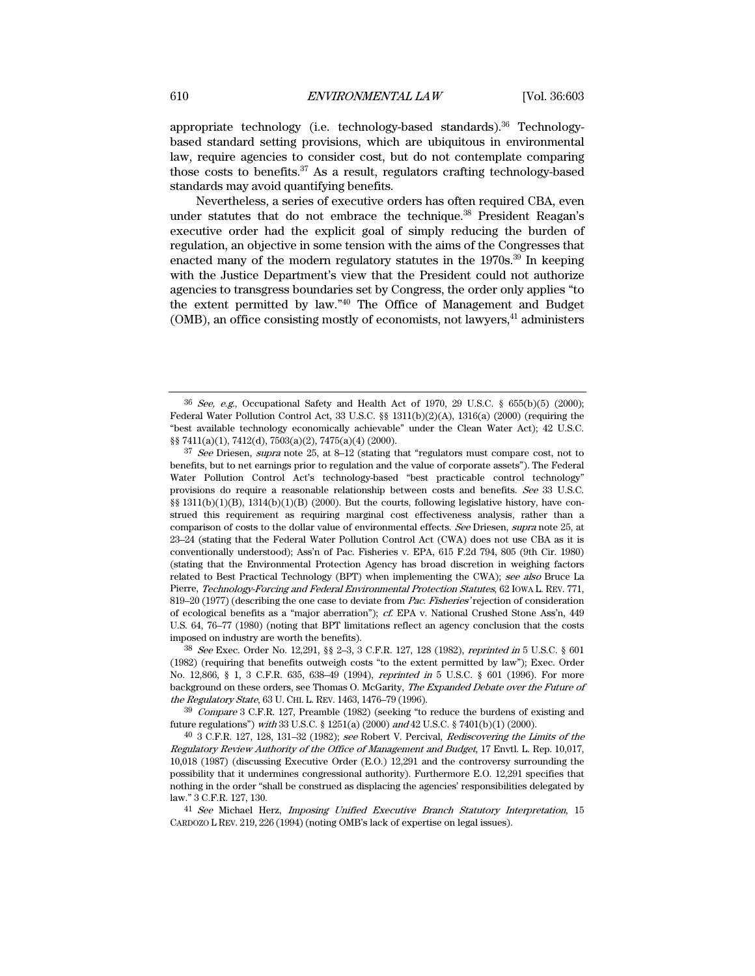appropriate technology (i.e. technology-based standards).36 Technologybased standard setting provisions, which are ubiquitous in environmental law, require agencies to consider cost, but do not contemplate comparing those costs to benefits.37 As a result, regulators crafting technology-based standards may avoid quantifying benefits.

Nevertheless, a series of executive orders has often required CBA, even under statutes that do not embrace the technique.<sup>38</sup> President Reagan's executive order had the explicit goal of simply reducing the burden of regulation, an objective in some tension with the aims of the Congresses that enacted many of the modern regulatory statutes in the 1970s.39 In keeping with the Justice Department's view that the President could not authorize agencies to transgress boundaries set by Congress, the order only applies "to the extent permitted by law."40 The Office of Management and Budget  $(OMB)$ , an office consisting mostly of economists, not lawyers, $41$  administers

 $36$  See, e.g., Occupational Safety and Health Act of 1970, 29 U.S.C. § 655(b)(5) (2000); Federal Water Pollution Control Act, 33 U.S.C.  $\S$  1311(b)(2)(A), 1316(a) (2000) (requiring the "best available technology economically achievable" under the Clean Water Act); 42 U.S.C. §§ 7411(a)(1), 7412(d), 7503(a)(2), 7475(a)(4) (2000).

<sup>37</sup> See Driesen, supra note 25, at 8-12 (stating that "regulators must compare cost, not to benefits, but to net earnings prior to regulation and the value of corporate assets"). The Federal Water Pollution Control Act's technology-based "best practicable control technology" provisions do require a reasonable relationship between costs and benefits. See 33 U.S.C. §§ 1311(b)(1)(B), 1314(b)(1)(B) (2000). But the courts, following legislative history, have construed this requirement as requiring marginal cost effectiveness analysis, rather than a comparison of costs to the dollar value of environmental effects. See Driesen, supra note 25, at 23–24 (stating that the Federal Water Pollution Control Act (CWA) does not use CBA as it is conventionally understood); Ass'n of Pac. Fisheries v. EPA, 615 F.2d 794, 805 (9th Cir. 1980) (stating that the Environmental Protection Agency has broad discretion in weighing factors related to Best Practical Technology (BPT) when implementing the CWA); see also Bruce La Pierre, Technology-Forcing and Federal Environmental Protection Statutes, 62 IOWA L. REV. 771, 819–20 (1977) (describing the one case to deviate from Pac. Fisheries' rejection of consideration of ecological benefits as a "major aberration"); cf. EPA v. National Crushed Stone Ass'n, 449 U.S. 64, 76–77 (1980) (noting that BPT limitations reflect an agency conclusion that the costs imposed on industry are worth the benefits).

<sup>38</sup> See Exec. Order No. 12,291, §§ 2–3, 3 C.F.R. 127, 128 (1982), reprinted in 5 U.S.C. § 601 (1982) (requiring that benefits outweigh costs "to the extent permitted by law"); Exec. Order No. 12,866, § 1, 3 C.F.R. 635, 638–49 (1994), reprinted in 5 U.S.C. § 601 (1996). For more background on these orders, see Thomas O. McGarity, The Expanded Debate over the Future of the Regulatory State, 63 U. CHI. L. REV. 1463, 1476–79 (1996).

<sup>39</sup> Compare 3 C.F.R. 127, Preamble (1982) (seeking "to reduce the burdens of existing and future regulations") with 33 U.S.C. § 1251(a) (2000) and 42 U.S.C. § 7401(b)(1) (2000).

<sup>40 3</sup> C.F.R. 127, 128, 131–32 (1982); see Robert V. Percival, Rediscovering the Limits of the Regulatory Review Authority of the Office of Management and Budget, 17 Envtl. L. Rep. 10,017, 10,018 (1987) (discussing Executive Order (E.O.) 12,291 and the controversy surrounding the possibility that it undermines congressional authority). Furthermore E.O. 12,291 specifies that nothing in the order "shall be construed as displacing the agencies' responsibilities delegated by law." 3 C.F.R. 127, 130.

<sup>41</sup> See Michael Herz, Imposing Unified Executive Branch Statutory Interpretation, 15 CARDOZO L REV. 219, 226 (1994) (noting OMB's lack of expertise on legal issues).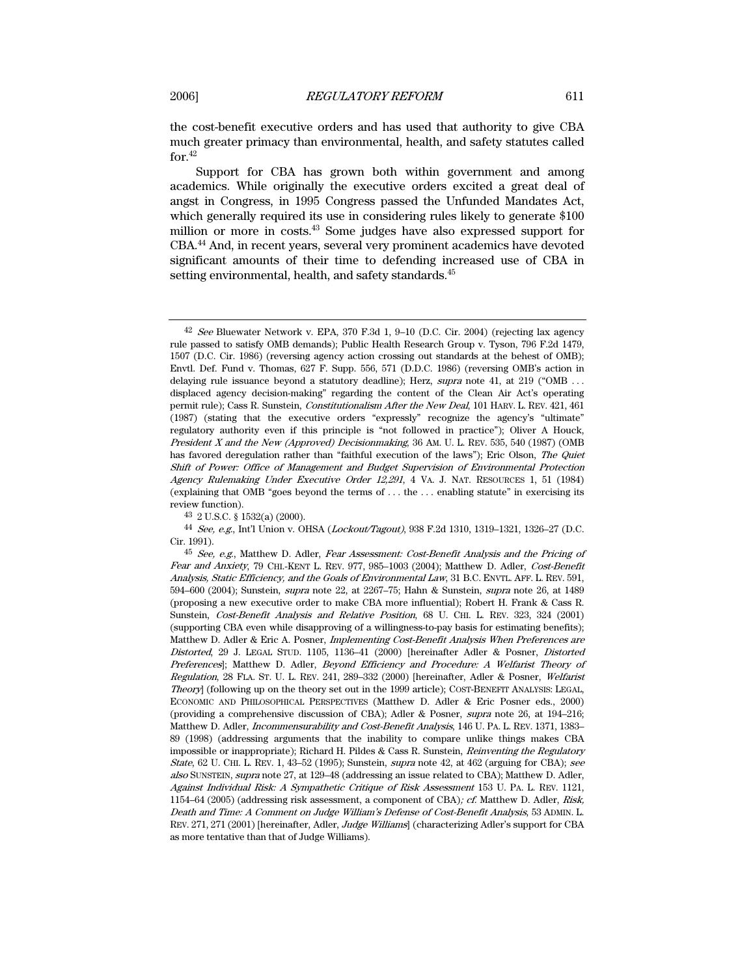the cost-benefit executive orders and has used that authority to give CBA much greater primacy than environmental, health, and safety statutes called for.42

Support for CBA has grown both within government and among academics. While originally the executive orders excited a great deal of angst in Congress, in 1995 Congress passed the Unfunded Mandates Act, which generally required its use in considering rules likely to generate \$100 million or more in costs.43 Some judges have also expressed support for CBA.44 And, in recent years, several very prominent academics have devoted significant amounts of their time to defending increased use of CBA in setting environmental, health, and safety standards.<sup>45</sup>

43 2 U.S.C. § 1532(a) (2000).

 $42$  See Bluewater Network v. EPA, 370 F.3d 1, 9–10 (D.C. Cir. 2004) (rejecting lax agency rule passed to satisfy OMB demands); Public Health Research Group v. Tyson, 796 F.2d 1479, 1507 (D.C. Cir. 1986) (reversing agency action crossing out standards at the behest of OMB); Envtl. Def. Fund v. Thomas, 627 F. Supp. 556, 571 (D.D.C. 1986) (reversing OMB's action in delaying rule issuance beyond a statutory deadline); Herz, supra note 41, at 219 ("OMB ... displaced agency decision-making" regarding the content of the Clean Air Act's operating permit rule); Cass R. Sunstein, Constitutionalism After the New Deal, 101 HARV. L. REV. 421, 461 (1987) (stating that the executive orders "expressly" recognize the agency's "ultimate" regulatory authority even if this principle is "not followed in practice"); Oliver A Houck, President X and the New (Approved) Decisionmaking, 36 AM. U. L. REV. 535, 540 (1987) (OMB has favored deregulation rather than "faithful execution of the laws"); Eric Olson, The Quiet Shift of Power: Office of Management and Budget Supervision of Environmental Protection Agency Rulemaking Under Executive Order 12,291, 4 VA. J. NAT. RESOURCES 1, 51 (1984) (explaining that OMB "goes beyond the terms of . . . the . . . enabling statute" in exercising its review function).

<sup>44</sup> See, e.g., Int'l Union v. OHSA (Lockout/Tagout), 938 F.2d 1310, 1319–1321, 1326–27 (D.C. Cir. 1991).

<sup>45</sup> See, e.g., Matthew D. Adler, Fear Assessment: Cost-Benefit Analysis and the Pricing of Fear and Anxiety, 79 CHI.-KENT L. REV. 977, 985–1003 (2004); Matthew D. Adler, Cost-Benefit Analysis, Static Efficiency, and the Goals of Environmental Law, 31 B.C. ENVTL. AFF. L. REV. 591, 594–600 (2004); Sunstein, supra note 22, at 2267–75; Hahn & Sunstein, supra note 26, at 1489 (proposing a new executive order to make CBA more influential); Robert H. Frank & Cass R. Sunstein, Cost-Benefit Analysis and Relative Position, 68 U. CHI. L. REV. 323, 324 (2001) (supporting CBA even while disapproving of a willingness-to-pay basis for estimating benefits); Matthew D. Adler & Eric A. Posner, Implementing Cost-Benefit Analysis When Preferences are Distorted, 29 J. LEGAL STUD. 1105, 1136–41 (2000) [hereinafter Adler & Posner, Distorted Preferences]; Matthew D. Adler, Beyond Efficiency and Procedure: A Welfarist Theory of Regulation, 28 FLA. ST. U. L. REV. 241, 289-332 (2000) [hereinafter, Adler & Posner, Welfarist Theory] (following up on the theory set out in the 1999 article); COST-BENEFIT ANALYSIS: LEGAL, ECONOMIC AND PHILOSOPHICAL PERSPECTIVES (Matthew D. Adler & Eric Posner eds., 2000) (providing a comprehensive discussion of CBA); Adler & Posner, supra note 26, at 194–216; Matthew D. Adler, *Incommensurability and Cost-Benefit Analysis*, 146 U. PA. L. REV. 1371, 1383– 89 (1998) (addressing arguments that the inability to compare unlike things makes CBA impossible or inappropriate); Richard H. Pildes & Cass R. Sunstein, Reinventing the Regulatory State, 62 U. CHI. L. REV. 1, 43–52 (1995); Sunstein, supra note 42, at 462 (arguing for CBA); see also SUNSTEIN, supra note 27, at 129-48 (addressing an issue related to CBA); Matthew D. Adler, Against Individual Risk: A Sympathetic Critique of Risk Assessment 153 U. PA. L. REV. 1121, 1154–64 (2005) (addressing risk assessment, a component of CBA); cf. Matthew D. Adler, Risk, Death and Time: A Comment on Judge William's Defense of Cost-Benefit Analysis, 53 ADMIN. L. REV. 271, 271 (2001) [hereinafter, Adler, Judge Williams] (characterizing Adler's support for CBA as more tentative than that of Judge Williams).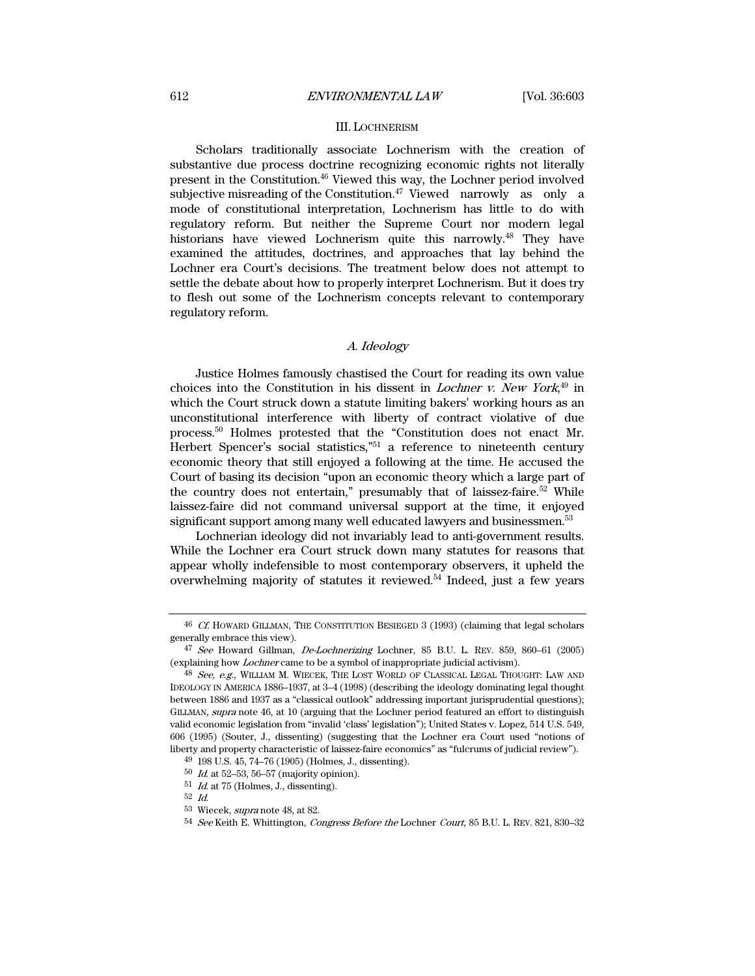## III. LOCHNERISM

Scholars traditionally associate Lochnerism with the creation of substantive due process doctrine recognizing economic rights not literally present in the Constitution.46 Viewed this way, the Lochner period involved subjective misreading of the Constitution.<sup>47</sup> Viewed narrowly as only a mode of constitutional interpretation, Lochnerism has little to do with regulatory reform. But neither the Supreme Court nor modern legal historians have viewed Lochnerism quite this narrowly.<sup>48</sup> They have examined the attitudes, doctrines, and approaches that lay behind the Lochner era Court's decisions. The treatment below does not attempt to settle the debate about how to properly interpret Lochnerism. But it does try to flesh out some of the Lochnerism concepts relevant to contemporary regulatory reform.

# A. Ideology

Justice Holmes famously chastised the Court for reading its own value choices into the Constitution in his dissent in *Lochner v. New York*<sup>49</sup> in which the Court struck down a statute limiting bakers' working hours as an unconstitutional interference with liberty of contract violative of due process.50 Holmes protested that the "Constitution does not enact Mr. Herbert Spencer's social statistics,"<sup>51</sup> a reference to nineteenth century economic theory that still enjoyed a following at the time. He accused the Court of basing its decision "upon an economic theory which a large part of the country does not entertain," presumably that of laissez-faire. $52$  While laissez-faire did not command universal support at the time, it enjoyed significant support among many well educated lawyers and businessmen.<sup>53</sup>

Lochnerian ideology did not invariably lead to anti-government results. While the Lochner era Court struck down many statutes for reasons that appear wholly indefensible to most contemporary observers, it upheld the overwhelming majority of statutes it reviewed.54 Indeed, just a few years

 $46\,$   $C\!E$  HOWARD GILLMAN, THE CONSTITUTION BESIEGED  $3$  (1993) (claiming that legal scholars generally embrace this view).

<sup>47</sup> See Howard Gillman, De-Lochnerizing Lochner, 85 B.U. L. REV. 859, 860–61 (2005) (explaining how Lochner came to be a symbol of inappropriate judicial activism).

<sup>48</sup> See, e.g., WILLIAM M. WIECEK, THE LOST WORLD OF CLASSICAL LEGAL THOUGHT: LAW AND IDEOLOGY IN AMERICA 1886–1937, at 3–4 (1998) (describing the ideology dominating legal thought between 1886 and 1937 as a "classical outlook" addressing important jurisprudential questions); GILLMAN, supra note 46, at 10 (arguing that the Lochner period featured an effort to distinguish valid economic legislation from "invalid 'class' legislation"); United States v. Lopez, 514 U.S. 549, 606 (1995) (Souter, J., dissenting) (suggesting that the Lochner era Court used "notions of liberty and property characteristic of laissez-faire economics" as "fulcrums of judicial review").

<sup>49 198</sup> U.S. 45, 74–76 (1905) (Holmes, J., dissenting).

<sup>50</sup> Id. at 52–53, 56–57 (majority opinion).

 $51\,$   $Id$  at 75 (Holmes, J., dissenting).

<sup>52</sup> Id.

<sup>53</sup> Wiecek, supra note 48, at 82.

<sup>54</sup> See Keith E. Whittington, Congress Before the Lochner Court, 85 B.U. L. REV. 821, 830–32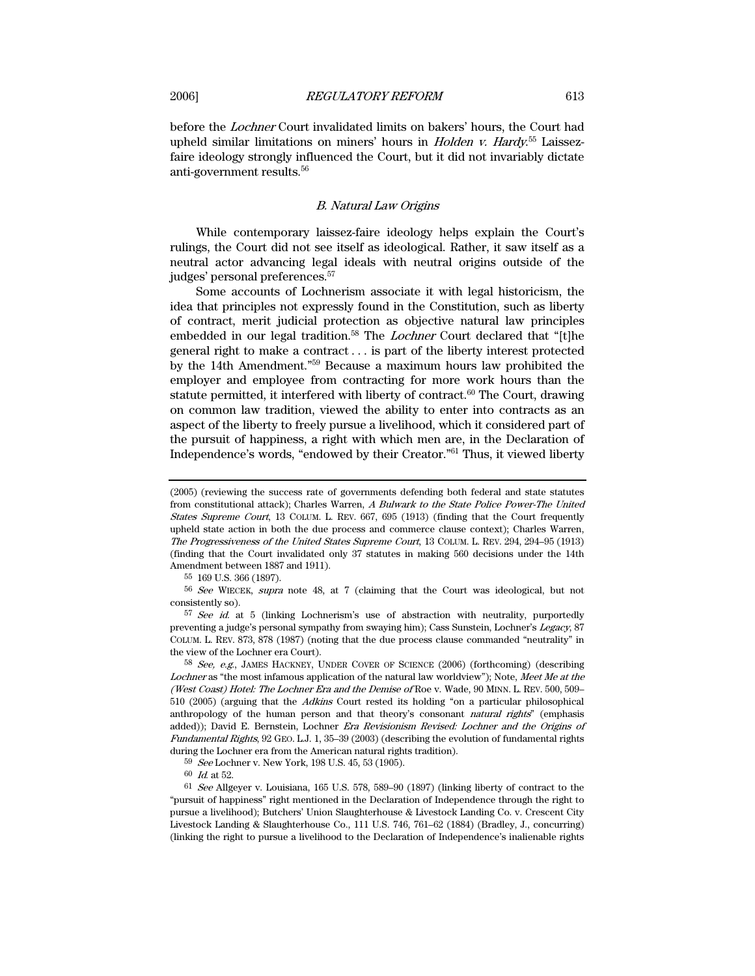before the Lochner Court invalidated limits on bakers' hours, the Court had upheld similar limitations on miners' hours in *Holden v. Hardy*.<sup>55</sup> Laissezfaire ideology strongly influenced the Court, but it did not invariably dictate anti-government results.56

# B. Natural Law Origins

While contemporary laissez-faire ideology helps explain the Court's rulings, the Court did not see itself as ideological. Rather, it saw itself as a neutral actor advancing legal ideals with neutral origins outside of the judges' personal preferences.57

Some accounts of Lochnerism associate it with legal historicism, the idea that principles not expressly found in the Constitution, such as liberty of contract, merit judicial protection as objective natural law principles embedded in our legal tradition.<sup>58</sup> The *Lochner* Court declared that "[t]he general right to make a contract . . . is part of the liberty interest protected by the 14th Amendment."59 Because a maximum hours law prohibited the employer and employee from contracting for more work hours than the statute permitted, it interfered with liberty of contract. $60$  The Court, drawing on common law tradition, viewed the ability to enter into contracts as an aspect of the liberty to freely pursue a livelihood, which it considered part of the pursuit of happiness, a right with which men are, in the Declaration of Independence's words, "endowed by their Creator."61 Thus, it viewed liberty

56 See WIECEK, supra note 48, at 7 (claiming that the Court was ideological, but not consistently so).

 $57$  See id. at 5 (linking Lochnerism's use of abstraction with neutrality, purportedly preventing a judge's personal sympathy from swaying him); Cass Sunstein, Lochner's Legacy, 87 COLUM. L. REV. 873, 878 (1987) (noting that the due process clause commanded "neutrality" in the view of the Lochner era Court).

58 See, e.g., JAMES HACKNEY, UNDER COVER OF SCIENCE (2006) (forthcoming) (describing Lochner as "the most infamous application of the natural law worldview"); Note, Meet Me at the (West Coast) Hotel: The Lochner Era and the Demise of Roe v. Wade, 90 MINN. L. REV. 500, 509– 510 (2005) (arguing that the Adkins Court rested its holding "on a particular philosophical anthropology of the human person and that theory's consonant *natural rights*" (emphasis added)); David E. Bernstein, Lochner Era Revisionism Revised: Lochner and the Origins of Fundamental Rights, 92 GEO. L.J. 1, 35–39 (2003) (describing the evolution of fundamental rights during the Lochner era from the American natural rights tradition).

59 See Lochner v. New York, 198 U.S. 45, 53 (1905).

<sup>(2005)</sup> (reviewing the success rate of governments defending both federal and state statutes from constitutional attack); Charles Warren, A Bulwark to the State Police Power-The United States Supreme Court, 13 COLUM. L. REV. 667, 695 (1913) (finding that the Court frequently upheld state action in both the due process and commerce clause context); Charles Warren, The Progressiveness of the United States Supreme Court, 13 COLUM. L. REV. 294, 294–95 (1913) (finding that the Court invalidated only 37 statutes in making 560 decisions under the 14th Amendment between 1887 and 1911).

<sup>55 169</sup> U.S. 366 (1897).

<sup>60</sup> Id. at 52.

<sup>61</sup> See Allgeyer v. Louisiana, 165 U.S. 578, 589–90 (1897) (linking liberty of contract to the "pursuit of happiness" right mentioned in the Declaration of Independence through the right to pursue a livelihood); Butchers' Union Slaughterhouse & Livestock Landing Co. v. Crescent City Livestock Landing & Slaughterhouse Co., 111 U.S. 746, 761–62 (1884) (Bradley, J., concurring) (linking the right to pursue a livelihood to the Declaration of Independence's inalienable rights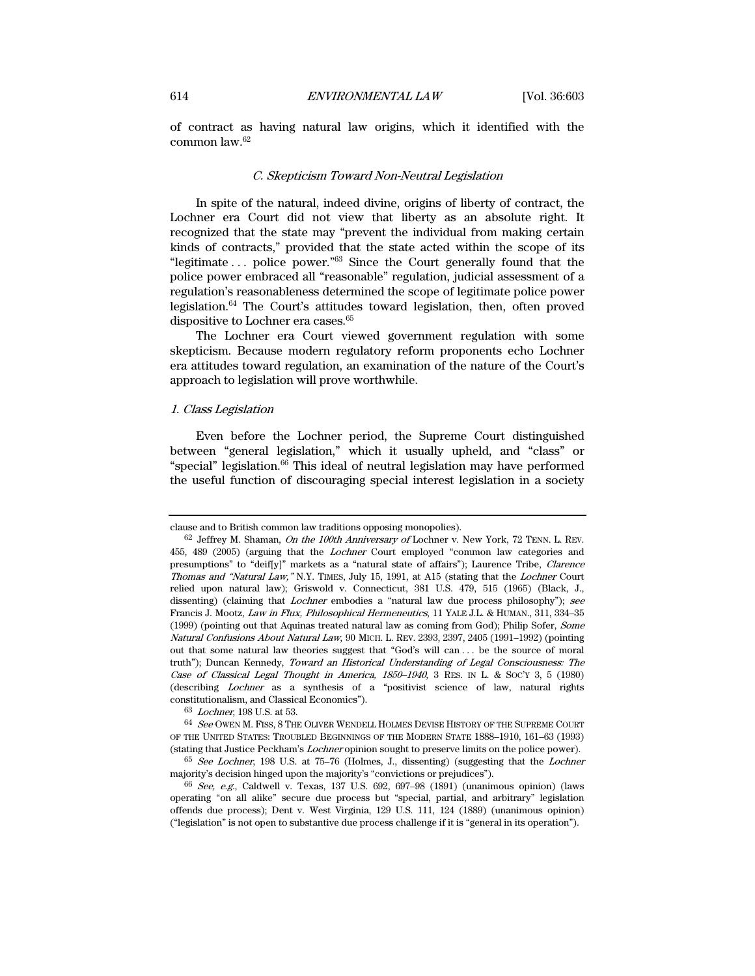of contract as having natural law origins, which it identified with the common law.62

# C. Skepticism Toward Non-Neutral Legislation

In spite of the natural, indeed divine, origins of liberty of contract, the Lochner era Court did not view that liberty as an absolute right. It recognized that the state may "prevent the individual from making certain kinds of contracts," provided that the state acted within the scope of its "legitimate . . . police power."63 Since the Court generally found that the police power embraced all "reasonable" regulation, judicial assessment of a regulation's reasonableness determined the scope of legitimate police power legislation.64 The Court's attitudes toward legislation, then, often proved dispositive to Lochner era cases.<sup>65</sup>

The Lochner era Court viewed government regulation with some skepticism. Because modern regulatory reform proponents echo Lochner era attitudes toward regulation, an examination of the nature of the Court's approach to legislation will prove worthwhile.

# 1. Class Legislation

Even before the Lochner period, the Supreme Court distinguished between "general legislation," which it usually upheld, and "class" or "special" legislation.66 This ideal of neutral legislation may have performed the useful function of discouraging special interest legislation in a society

63 Lochner, 198 U.S. at 53.

64 See OWEN M. FISS, 8 THE OLIVER WENDELL HOLMES DEVISE HISTORY OF THE SUPREME COURT OF THE UNITED STATES: TROUBLED BEGINNINGS OF THE MODERN STATE 1888–1910, 161–63 (1993) (stating that Justice Peckham's Lochner opinion sought to preserve limits on the police power).

 $65$  See Lochner, 198 U.S. at 75–76 (Holmes, J., dissenting) (suggesting that the Lochner majority's decision hinged upon the majority's "convictions or prejudices").

clause and to British common law traditions opposing monopolies).

 $62$  Jeffrey M. Shaman, On the 100th Anniversary of Lochner v. New York, 72 TENN. L. REV. 455, 489 (2005) (arguing that the Lochner Court employed "common law categories and presumptions" to "deif[y]" markets as a "natural state of affairs"); Laurence Tribe, Clarence Thomas and "Natural Law," N.Y. TIMES, July 15, 1991, at A15 (stating that the Lochner Court relied upon natural law); Griswold v. Connecticut, 381 U.S. 479, 515 (1965) (Black, J., dissenting) (claiming that *Lochner* embodies a "natural law due process philosophy"); see Francis J. Mootz, Law in Flux, Philosophical Hermeneutics, 11 YALE J.L. & HUMAN., 311, 334–35 (1999) (pointing out that Aquinas treated natural law as coming from God); Philip Sofer, Some Natural Confusions About Natural Law, 90 MICH. L. REV. 2393, 2397, 2405 (1991–1992) (pointing out that some natural law theories suggest that "God's will can . . . be the source of moral truth"); Duncan Kennedy, Toward an Historical Understanding of Legal Consciousness: The Case of Classical Legal Thought in America, 1850–1940, 3 RES. IN L. & SOC'Y 3, 5 (1980) (describing Lochner as a synthesis of a "positivist science of law, natural rights constitutionalism, and Classical Economics").

<sup>66</sup> See, e.g., Caldwell v. Texas, 137 U.S. 692, 697–98 (1891) (unanimous opinion) (laws operating "on all alike" secure due process but "special, partial, and arbitrary" legislation offends due process); Dent v. West Virginia, 129 U.S. 111, 124 (1889) (unanimous opinion) ("legislation" is not open to substantive due process challenge if it is "general in its operation").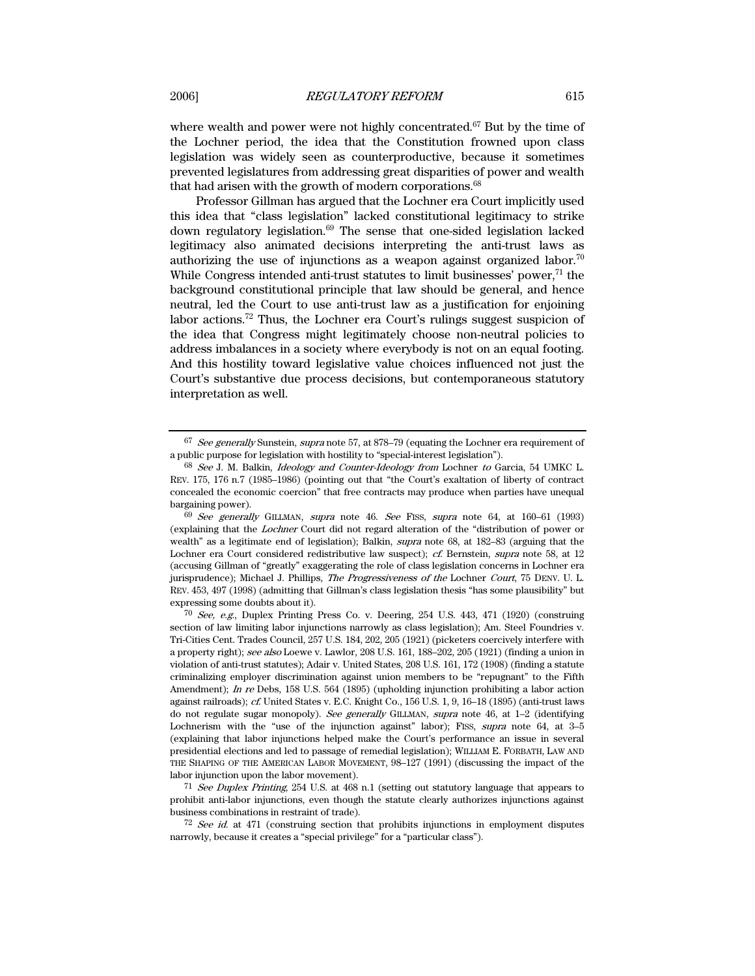where wealth and power were not highly concentrated.<sup>67</sup> But by the time of the Lochner period, the idea that the Constitution frowned upon class legislation was widely seen as counterproductive, because it sometimes prevented legislatures from addressing great disparities of power and wealth that had arisen with the growth of modern corporations.<sup>68</sup>

Professor Gillman has argued that the Lochner era Court implicitly used this idea that "class legislation" lacked constitutional legitimacy to strike down regulatory legislation.69 The sense that one-sided legislation lacked legitimacy also animated decisions interpreting the anti-trust laws as authorizing the use of injunctions as a weapon against organized labor.<sup>70</sup> While Congress intended anti-trust statutes to limit businesses' power,<sup>71</sup> the background constitutional principle that law should be general, and hence neutral, led the Court to use anti-trust law as a justification for enjoining labor actions.72 Thus, the Lochner era Court's rulings suggest suspicion of the idea that Congress might legitimately choose non-neutral policies to address imbalances in a society where everybody is not on an equal footing. And this hostility toward legislative value choices influenced not just the Court's substantive due process decisions, but contemporaneous statutory interpretation as well.

71 See Duplex Printing, 254 U.S. at 468 n.1 (setting out statutory language that appears to prohibit anti-labor injunctions, even though the statute clearly authorizes injunctions against business combinations in restraint of trade).

 $67$  See generally Sunstein, supra note 57, at 878–79 (equating the Lochner era requirement of a public purpose for legislation with hostility to "special-interest legislation").

<sup>&</sup>lt;sup>68</sup> See J. M. Balkin, *Ideology and Counter-Ideology from Lochner to Garcia*, 54 UMKC L. REV. 175, 176 n.7 (1985–1986) (pointing out that "the Court's exaltation of liberty of contract concealed the economic coercion" that free contracts may produce when parties have unequal bargaining power).

<sup>69</sup> See generally GILLMAN, supra note 46. See FISS, supra note 64, at 160–61 (1993) (explaining that the Lochner Court did not regard alteration of the "distribution of power or wealth" as a legitimate end of legislation); Balkin, supra note 68, at 182–83 (arguing that the Lochner era Court considered redistributive law suspect); cf. Bernstein, supra note 58, at 12 (accusing Gillman of "greatly" exaggerating the role of class legislation concerns in Lochner era jurisprudence); Michael J. Phillips, *The Progressiveness of the* Lochner *Court*, 75 DENV. U. L. REV. 453, 497 (1998) (admitting that Gillman's class legislation thesis "has some plausibility" but expressing some doubts about it).

 $70$  See, e.g., Duplex Printing Press Co. v. Deering, 254 U.S.  $443$ ,  $471$  (1920) (construing section of law limiting labor injunctions narrowly as class legislation); Am. Steel Foundries v. Tri-Cities Cent. Trades Council, 257 U.S. 184, 202, 205 (1921) (picketers coercively interfere with a property right); see also Loewe v. Lawlor, 208 U.S. 161, 188–202, 205 (1921) (finding a union in violation of anti-trust statutes); Adair v. United States, 208 U.S. 161, 172 (1908) (finding a statute criminalizing employer discrimination against union members to be "repugnant" to the Fifth Amendment); In re Debs, 158 U.S. 564 (1895) (upholding injunction prohibiting a labor action against railroads); cf. United States v. E.C. Knight Co., 156 U.S. 1, 9, 16–18 (1895) (anti-trust laws do not regulate sugar monopoly). See generally GILLMAN, supra note 46, at 1-2 (identifying Lochnerism with the "use of the injunction against" labor); FISS, *supra* note 64, at 3–5 (explaining that labor injunctions helped make the Court's performance an issue in several presidential elections and led to passage of remedial legislation); WILLIAM E. FORBATH, LAW AND THE SHAPING OF THE AMERICAN LABOR MOVEMENT, 98–127 (1991) (discussing the impact of the labor injunction upon the labor movement).

<sup>72</sup> See id. at 471 (construing section that prohibits injunctions in employment disputes narrowly, because it creates a "special privilege" for a "particular class").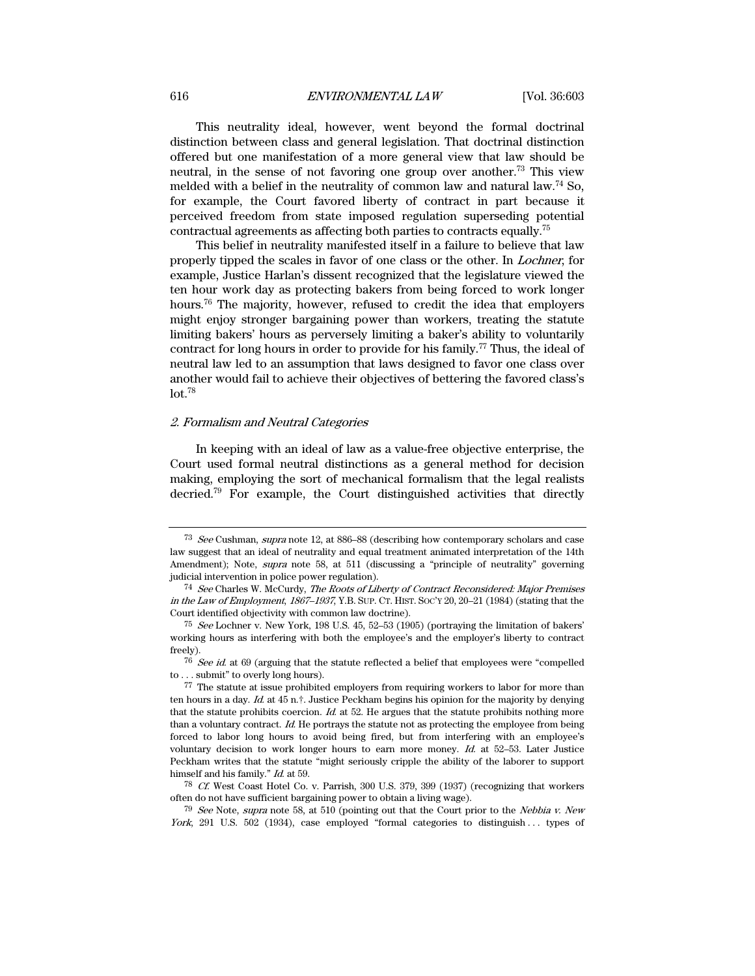#### 616 **ENVIRONMENTAL LAW** [Vol. 36:603]

This neutrality ideal, however, went beyond the formal doctrinal distinction between class and general legislation. That doctrinal distinction offered but one manifestation of a more general view that law should be neutral, in the sense of not favoring one group over another.73 This view melded with a belief in the neutrality of common law and natural law.74 So, for example, the Court favored liberty of contract in part because it perceived freedom from state imposed regulation superseding potential contractual agreements as affecting both parties to contracts equally.75

This belief in neutrality manifested itself in a failure to believe that law properly tipped the scales in favor of one class or the other. In Lochner, for example, Justice Harlan's dissent recognized that the legislature viewed the ten hour work day as protecting bakers from being forced to work longer hours.76 The majority, however, refused to credit the idea that employers might enjoy stronger bargaining power than workers, treating the statute limiting bakers' hours as perversely limiting a baker's ability to voluntarily contract for long hours in order to provide for his family.<sup>77</sup> Thus, the ideal of neutral law led to an assumption that laws designed to favor one class over another would fail to achieve their objectives of bettering the favored class's  $lot.<sup>78</sup>$ 

# 2. Formalism and Neutral Categories

In keeping with an ideal of law as a value-free objective enterprise, the Court used formal neutral distinctions as a general method for decision making, employing the sort of mechanical formalism that the legal realists decried.79 For example, the Court distinguished activities that directly

<sup>&</sup>lt;sup>73</sup> See Cushman, supra note 12, at 886–88 (describing how contemporary scholars and case law suggest that an ideal of neutrality and equal treatment animated interpretation of the 14th Amendment); Note, supra note 58, at 511 (discussing a "principle of neutrality" governing judicial intervention in police power regulation).

<sup>74</sup> See Charles W. McCurdy, The Roots of Liberty of Contract Reconsidered: Major Premises in the Law of Employment, 1867–1937, Y.B. SUP. CT. HIST. SOC'Y 20, 20–21 (1984) (stating that the Court identified objectivity with common law doctrine).

<sup>75</sup> See Lochner v. New York, 198 U.S. 45, 52–53 (1905) (portraying the limitation of bakers' working hours as interfering with both the employee's and the employer's liberty to contract freely).

 $76\,$  See id. at  $69$  (arguing that the statute reflected a belief that employees were "compelled to . . . submit" to overly long hours).

<sup>77</sup> The statute at issue prohibited employers from requiring workers to labor for more than ten hours in a day. Id. at 45 n.<sup>†</sup>. Justice Peckham begins his opinion for the majority by denying that the statute prohibits coercion.  $Id$  at 52. He argues that the statute prohibits nothing more than a voluntary contract. Id. He portrays the statute not as protecting the employee from being forced to labor long hours to avoid being fired, but from interfering with an employee's voluntary decision to work longer hours to earn more money.  $Id$  at 52–53. Later Justice Peckham writes that the statute "might seriously cripple the ability of the laborer to support himself and his family." Id. at 59.

<sup>78</sup> Cf. West Coast Hotel Co. v. Parrish, 300 U.S. 379, 399 (1937) (recognizing that workers often do not have sufficient bargaining power to obtain a living wage).

 $79$  See Note, supra note 58, at 510 (pointing out that the Court prior to the Nebbia v. New York, 291 U.S. 502 (1934), case employed "formal categories to distinguish ... types of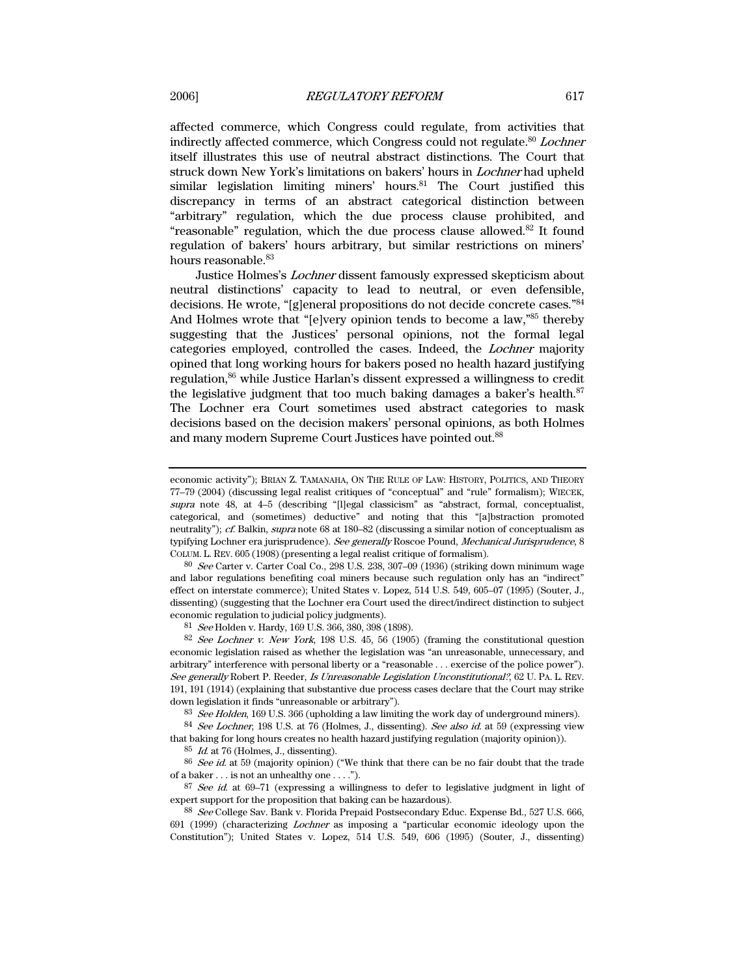affected commerce, which Congress could regulate, from activities that indirectly affected commerce, which Congress could not regulate.<sup>80</sup> Lochner itself illustrates this use of neutral abstract distinctions. The Court that struck down New York's limitations on bakers' hours in Lochner had upheld similar legislation limiting miners' hours. $81$  The Court justified this discrepancy in terms of an abstract categorical distinction between "arbitrary" regulation, which the due process clause prohibited, and "reasonable" regulation, which the due process clause allowed. $82$  It found regulation of bakers' hours arbitrary, but similar restrictions on miners' hours reasonable.<sup>83</sup>

Justice Holmes's Lochner dissent famously expressed skepticism about neutral distinctions' capacity to lead to neutral, or even defensible, decisions. He wrote, "[g]eneral propositions do not decide concrete cases."84 And Holmes wrote that "[e]very opinion tends to become a law,"<sup>85</sup> thereby suggesting that the Justices' personal opinions, not the formal legal categories employed, controlled the cases. Indeed, the Lochner majority opined that long working hours for bakers posed no health hazard justifying regulation,<sup>86</sup> while Justice Harlan's dissent expressed a willingness to credit the legislative judgment that too much baking damages a baker's health.<sup>87</sup> The Lochner era Court sometimes used abstract categories to mask decisions based on the decision makers' personal opinions, as both Holmes and many modern Supreme Court Justices have pointed out.<sup>88</sup>

 $80$  See Carter v. Carter Coal Co., 298 U.S. 238, 307–09 (1936) (striking down minimum wage and labor regulations benefiting coal miners because such regulation only has an "indirect" effect on interstate commerce); United States v. Lopez, 514 U.S. 549, 605–07 (1995) (Souter, J., dissenting) (suggesting that the Lochner era Court used the direct/indirect distinction to subject economic regulation to judicial policy judgments).

81 See Holden v. Hardy, 169 U.S. 366, 380, 398 (1898).

82 See Lochner v. New York, 198 U.S. 45, 56 (1905) (framing the constitutional question economic legislation raised as whether the legislation was "an unreasonable, unnecessary, and arbitrary" interference with personal liberty or a "reasonable . . . exercise of the police power"). See generally Robert P. Reeder, Is Unreasonable Legislation Unconstitutional?, 62 U. PA. L. REV. 191, 191 (1914) (explaining that substantive due process cases declare that the Court may strike down legislation it finds "unreasonable or arbitrary").

83 See Holden, 169 U.S. 366 (upholding a law limiting the work day of underground miners).

<sup>84</sup> See Lochner, 198 U.S. at 76 (Holmes, J., dissenting). See also id. at 59 (expressing view that baking for long hours creates no health hazard justifying regulation (majority opinion)).

 $85$  *Id.* at 76 (Holmes, J., dissenting).

<sup>86</sup> See id. at 59 (majority opinion) ("We think that there can be no fair doubt that the trade of a baker . . . is not an unhealthy one . . . .").

 $87$  See id. at 69–71 (expressing a willingness to defer to legislative judgment in light of expert support for the proposition that baking can be hazardous).

88 See College Sav. Bank v. Florida Prepaid Postsecondary Educ. Expense Bd., 527 U.S. 666, 691 (1999) (characterizing Lochner as imposing a "particular economic ideology upon the Constitution"); United States v. Lopez, 514 U.S. 549, 606 (1995) (Souter, J., dissenting)

economic activity"); BRIAN Z. TAMANAHA, ON THE RULE OF LAW: HISTORY, POLITICS, AND THEORY 77–79 (2004) (discussing legal realist critiques of "conceptual" and "rule" formalism); WIECEK, supra note 48, at 4–5 (describing "[l]egal classicism" as "abstract, formal, conceptualist, categorical, and (sometimes) deductive" and noting that this "[a]bstraction promoted neutrality"); cf. Balkin, supra note 68 at 180–82 (discussing a similar notion of conceptualism as typifying Lochner era jurisprudence). See generally Roscoe Pound, Mechanical Jurisprudence, 8 COLUM. L. REV. 605 (1908) (presenting a legal realist critique of formalism).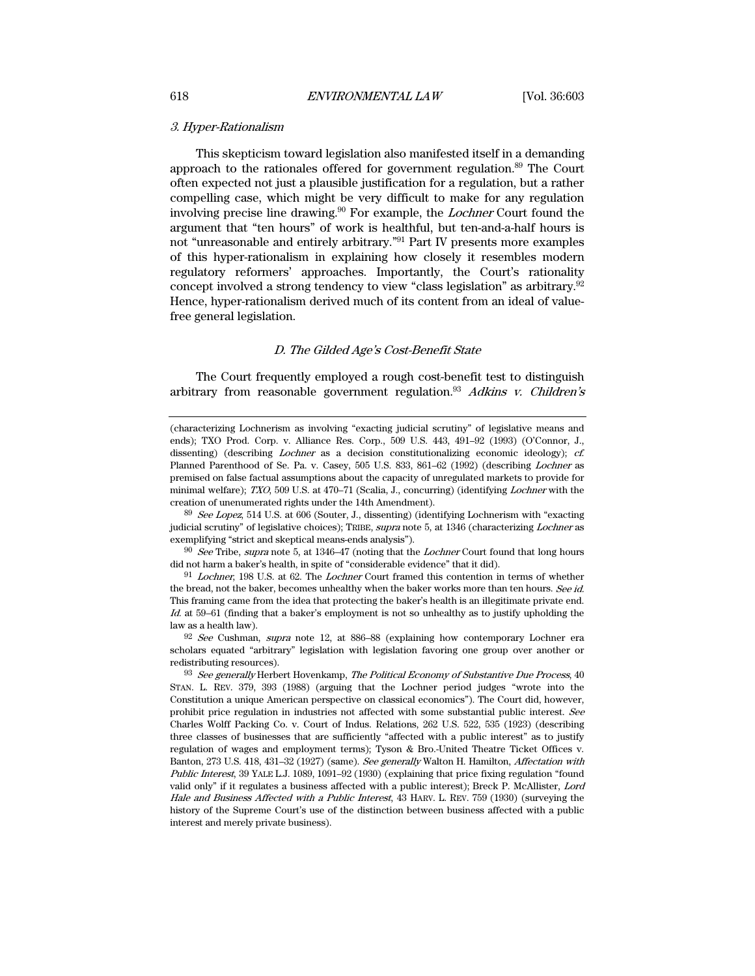## 3. Hyper-Rationalism

This skepticism toward legislation also manifested itself in a demanding approach to the rationales offered for government regulation.89 The Court often expected not just a plausible justification for a regulation, but a rather compelling case, which might be very difficult to make for any regulation involving precise line drawing.90 For example, the Lochner Court found the argument that "ten hours" of work is healthful, but ten-and-a-half hours is not "unreasonable and entirely arbitrary."91 Part IV presents more examples of this hyper-rationalism in explaining how closely it resembles modern regulatory reformers' approaches. Importantly, the Court's rationality concept involved a strong tendency to view "class legislation" as arbitrary.92 Hence, hyper-rationalism derived much of its content from an ideal of valuefree general legislation.

#### D. The Gilded Age's Cost-Benefit State

The Court frequently employed a rough cost-benefit test to distinguish arbitrary from reasonable government regulation.<sup>93</sup> Adkins v. Children's

89 See Lopez, 514 U.S. at 606 (Souter, J., dissenting) (identifying Lochnerism with "exacting judicial scrutiny" of legislative choices); TRIBE, *supra* note 5, at 1346 (characterizing *Lochner* as exemplifying "strict and skeptical means-ends analysis").

 $90$  See Tribe, supra note 5, at 1346–47 (noting that the *Lochner* Court found that long hours did not harm a baker's health, in spite of "considerable evidence" that it did).

<sup>91</sup> Lochner, 198 U.S. at 62. The Lochner Court framed this contention in terms of whether the bread, not the baker, becomes unhealthy when the baker works more than ten hours. See id. This framing came from the idea that protecting the baker's health is an illegitimate private end. Id. at 59–61 (finding that a baker's employment is not so unhealthy as to justify upholding the law as a health law).

 $92$  See Cushman, supra note 12, at 886–88 (explaining how contemporary Lochner era scholars equated "arbitrary" legislation with legislation favoring one group over another or redistributing resources).

<sup>(</sup>characterizing Lochnerism as involving "exacting judicial scrutiny" of legislative means and ends); TXO Prod. Corp. v. Alliance Res. Corp., 509 U.S. 443, 491–92 (1993) (O'Connor, J., dissenting) (describing *Lochner* as a decision constitutionalizing economic ideology); *cf.* Planned Parenthood of Se. Pa. v. Casey, 505 U.S. 833, 861–62 (1992) (describing Lochner as premised on false factual assumptions about the capacity of unregulated markets to provide for minimal welfare); TXO, 509 U.S. at 470–71 (Scalia, J., concurring) (identifying Lochner with the creation of unenumerated rights under the 14th Amendment).

 $93$  See generally Herbert Hovenkamp, The Political Economy of Substantive Due Process,  $40$ STAN. L. REV. 379, 393 (1988) (arguing that the Lochner period judges "wrote into the Constitution a unique American perspective on classical economics"). The Court did, however, prohibit price regulation in industries not affected with some substantial public interest. See Charles Wolff Packing Co. v. Court of Indus. Relations, 262 U.S. 522, 535 (1923) (describing three classes of businesses that are sufficiently "affected with a public interest" as to justify regulation of wages and employment terms); Tyson & Bro.-United Theatre Ticket Offices v. Banton, 273 U.S. 418, 431–32 (1927) (same). See generally Walton H. Hamilton, Affectation with Public Interest, 39 YALE L.J. 1089, 1091–92 (1930) (explaining that price fixing regulation "found valid only" if it regulates a business affected with a public interest); Breck P. McAllister, Lord Hale and Business Affected with a Public Interest, 43 HARV. L. REV. 759 (1930) (surveying the history of the Supreme Court's use of the distinction between business affected with a public interest and merely private business).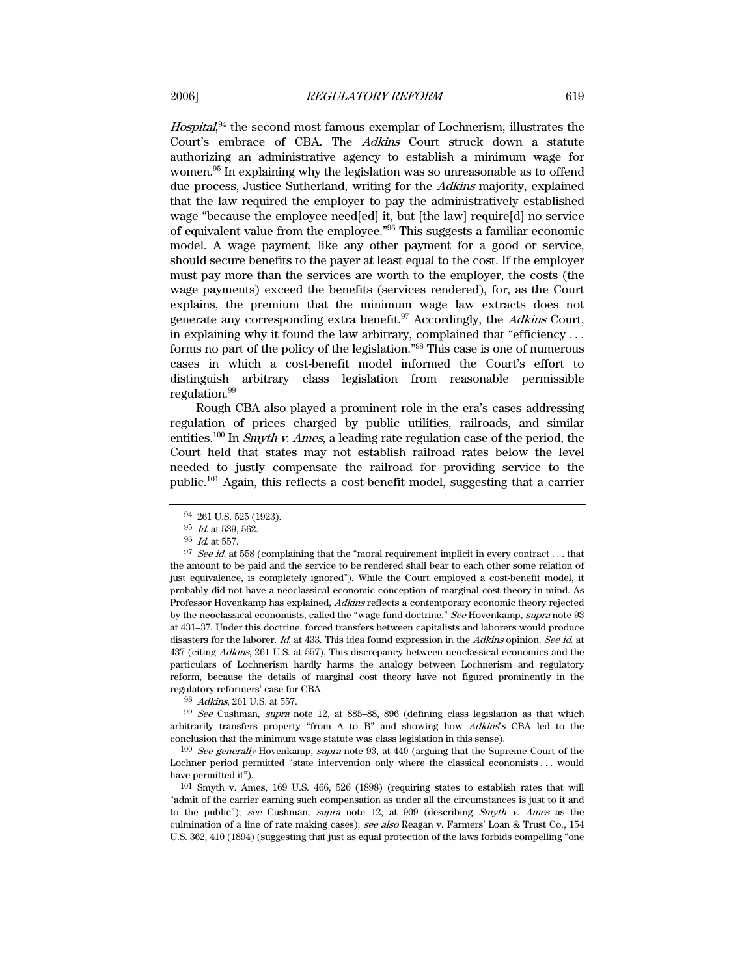Hospital,<sup>94</sup> the second most famous exemplar of Lochnerism, illustrates the Court's embrace of CBA. The Adkins Court struck down a statute authorizing an administrative agency to establish a minimum wage for women.95 In explaining why the legislation was so unreasonable as to offend due process, Justice Sutherland, writing for the Adkins majority, explained that the law required the employer to pay the administratively established wage "because the employee need[ed] it, but [the law] require[d] no service of equivalent value from the employee."96 This suggests a familiar economic model. A wage payment, like any other payment for a good or service, should secure benefits to the payer at least equal to the cost. If the employer must pay more than the services are worth to the employer, the costs (the wage payments) exceed the benefits (services rendered), for, as the Court explains, the premium that the minimum wage law extracts does not generate any corresponding extra benefit.<sup>97</sup> Accordingly, the Adkins Court, in explaining why it found the law arbitrary, complained that "efficiency  $\dots$ forms no part of the policy of the legislation."98 This case is one of numerous cases in which a cost-benefit model informed the Court's effort to distinguish arbitrary class legislation from reasonable permissible regulation.99

Rough CBA also played a prominent role in the era's cases addressing regulation of prices charged by public utilities, railroads, and similar entities.<sup>100</sup> In *Smyth v. Ames*, a leading rate regulation case of the period, the Court held that states may not establish railroad rates below the level needed to justly compensate the railroad for providing service to the public.101 Again, this reflects a cost-benefit model, suggesting that a carrier

98 Adkins, 261 U.S. at 557.

99 See Cushman, supra note 12, at 885–88, 896 (defining class legislation as that which arbitrarily transfers property "from A to B" and showing how  $Adkins's$  CBA led to the conclusion that the minimum wage statute was class legislation in this sense).

100 See generally Hovenkamp, supra note 93, at 440 (arguing that the Supreme Court of the Lochner period permitted "state intervention only where the classical economists . . . would have permitted it").

101 Smyth v. Ames, 169 U.S. 466, 526 (1898) (requiring states to establish rates that will "admit of the carrier earning such compensation as under all the circumstances is just to it and to the public"); see Cushman, supra note 12, at 909 (describing Smyth v. Ames as the culmination of a line of rate making cases); see also Reagan v. Farmers' Loan & Trust Co., 154 U.S. 362, 410 (1894) (suggesting that just as equal protection of the laws forbids compelling "one

<sup>94 261</sup> U.S. 525 (1923).

 $95\,$   $\emph{Id.}$  at 539, 562.

<sup>96</sup> Id. at 557.

 $97$  See id. at 558 (complaining that the "moral requirement implicit in every contract... that the amount to be paid and the service to be rendered shall bear to each other some relation of just equivalence, is completely ignored"). While the Court employed a cost-benefit model, it probably did not have a neoclassical economic conception of marginal cost theory in mind. As Professor Hovenkamp has explained, Adkins reflects a contemporary economic theory rejected by the neoclassical economists, called the "wage-fund doctrine." See Hovenkamp, supra note 93 at 431–37. Under this doctrine, forced transfers between capitalists and laborers would produce disasters for the laborer. Id. at 433. This idea found expression in the Adkins opinion. See id. at 437 (citing Adkins, 261 U.S. at 557). This discrepancy between neoclassical economics and the particulars of Lochnerism hardly harms the analogy between Lochnerism and regulatory reform, because the details of marginal cost theory have not figured prominently in the regulatory reformers' case for CBA.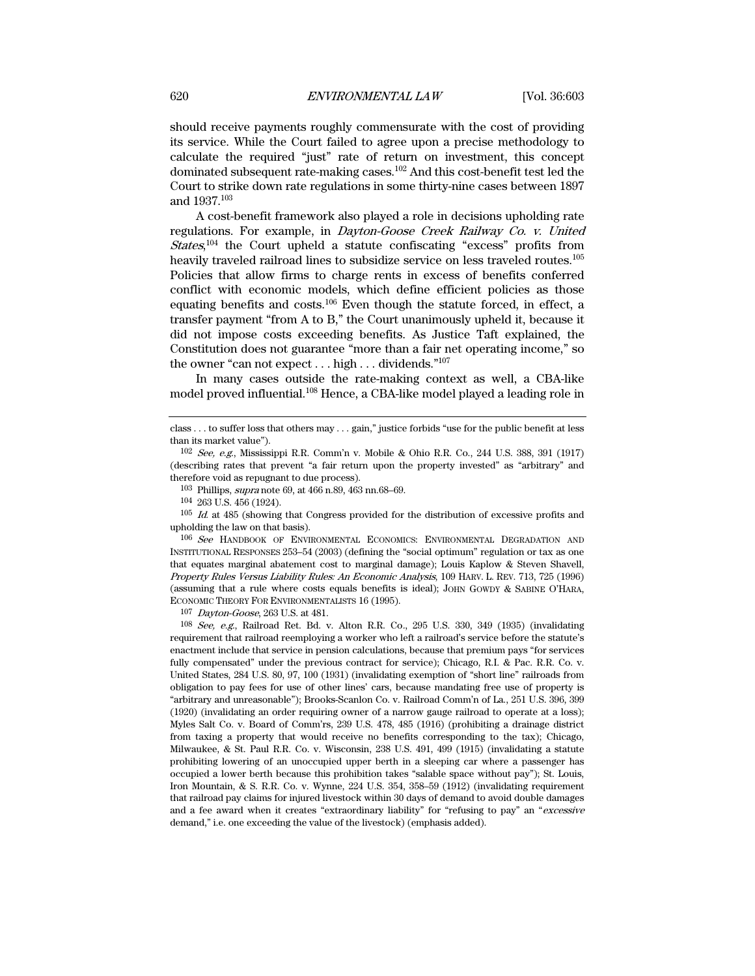should receive payments roughly commensurate with the cost of providing its service. While the Court failed to agree upon a precise methodology to calculate the required "just" rate of return on investment, this concept dominated subsequent rate-making cases.102 And this cost-benefit test led the Court to strike down rate regulations in some thirty-nine cases between 1897 and 1937.103

A cost-benefit framework also played a role in decisions upholding rate regulations. For example, in Dayton-Goose Creek Railway Co. v. United States,<sup>104</sup> the Court upheld a statute confiscating "excess" profits from heavily traveled railroad lines to subsidize service on less traveled routes.105 Policies that allow firms to charge rents in excess of benefits conferred conflict with economic models, which define efficient policies as those equating benefits and costs.106 Even though the statute forced, in effect, a transfer payment "from A to B," the Court unanimously upheld it, because it did not impose costs exceeding benefits. As Justice Taft explained, the Constitution does not guarantee "more than a fair net operating income," so the owner "can not expect . . . high . . . dividends."107

In many cases outside the rate-making context as well, a CBA-like model proved influential.108 Hence, a CBA-like model played a leading role in

106 See HANDBOOK OF ENVIRONMENTAL ECONOMICS: ENVIRONMENTAL DEGRADATION AND INSTITUTIONAL RESPONSES 253–54 (2003) (defining the "social optimum" regulation or tax as one that equates marginal abatement cost to marginal damage); Louis Kaplow & Steven Shavell, Property Rules Versus Liability Rules: An Economic Analysis, 109 HARV. L. REV. 713, 725 (1996) (assuming that a rule where costs equals benefits is ideal); JOHN GOWDY & SABINE O'HARA, ECONOMIC THEORY FOR ENVIRONMENTALISTS 16 (1995).

107 Dayton-Goose, 263 U.S. at 481.

108 See, e.g., Railroad Ret. Bd. v. Alton R.R. Co., 295 U.S. 330, 349 (1935) (invalidating requirement that railroad reemploying a worker who left a railroad's service before the statute's enactment include that service in pension calculations, because that premium pays "for services fully compensated" under the previous contract for service); Chicago, R.I. & Pac. R.R. Co. v. United States, 284 U.S. 80, 97, 100 (1931) (invalidating exemption of "short line" railroads from obligation to pay fees for use of other lines' cars, because mandating free use of property is "arbitrary and unreasonable"); Brooks-Scanlon Co. v. Railroad Comm'n of La., 251 U.S. 396, 399 (1920) (invalidating an order requiring owner of a narrow gauge railroad to operate at a loss); Myles Salt Co. v. Board of Comm'rs, 239 U.S. 478, 485 (1916) (prohibiting a drainage district from taxing a property that would receive no benefits corresponding to the tax); Chicago, Milwaukee, & St. Paul R.R. Co. v. Wisconsin, 238 U.S. 491, 499 (1915) (invalidating a statute prohibiting lowering of an unoccupied upper berth in a sleeping car where a passenger has occupied a lower berth because this prohibition takes "salable space without pay"); St. Louis, Iron Mountain, & S. R.R. Co. v. Wynne, 224 U.S. 354, 358–59 (1912) (invalidating requirement that railroad pay claims for injured livestock within 30 days of demand to avoid double damages and a fee award when it creates "extraordinary liability" for "refusing to pay" an "excessive demand," i.e. one exceeding the value of the livestock) (emphasis added).

class . . . to suffer loss that others may . . . gain," justice forbids "use for the public benefit at less than its market value").

<sup>102</sup> See, e.g., Mississippi R.R. Comm'n v. Mobile & Ohio R.R. Co., 244 U.S. 388, 391 (1917) (describing rates that prevent "a fair return upon the property invested" as "arbitrary" and therefore void as repugnant to due process).

<sup>103</sup> Phillips, supra note 69, at 466 n.89, 463 nn.68–69.

<sup>104 263</sup> U.S. 456 (1924).

 $105\,$   $Id.$  at  $485$  (showing that Congress provided for the distribution of excessive profits and upholding the law on that basis).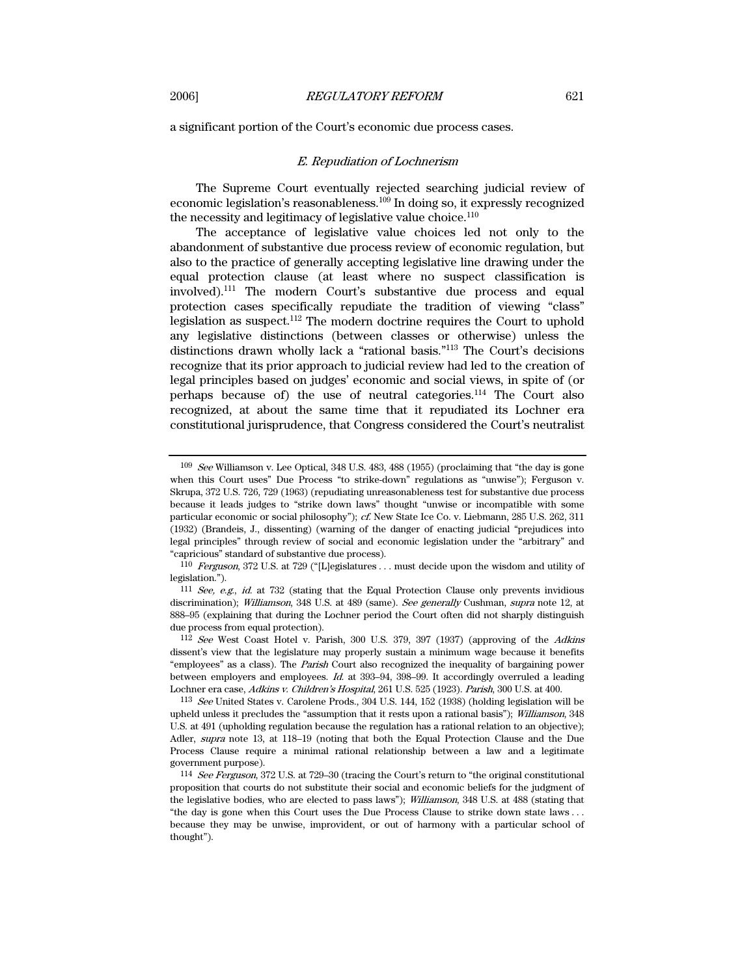a significant portion of the Court's economic due process cases.

#### E. Repudiation of Lochnerism

The Supreme Court eventually rejected searching judicial review of economic legislation's reasonableness.109 In doing so, it expressly recognized the necessity and legitimacy of legislative value choice.<sup>110</sup>

The acceptance of legislative value choices led not only to the abandonment of substantive due process review of economic regulation, but also to the practice of generally accepting legislative line drawing under the equal protection clause (at least where no suspect classification is involved).111 The modern Court's substantive due process and equal protection cases specifically repudiate the tradition of viewing "class" legislation as suspect.112 The modern doctrine requires the Court to uphold any legislative distinctions (between classes or otherwise) unless the distinctions drawn wholly lack a "rational basis."113 The Court's decisions recognize that its prior approach to judicial review had led to the creation of legal principles based on judges' economic and social views, in spite of (or perhaps because of) the use of neutral categories.114 The Court also recognized, at about the same time that it repudiated its Lochner era constitutional jurisprudence, that Congress considered the Court's neutralist

 $109$  See Williamson v. Lee Optical, 348 U.S. 483, 488 (1955) (proclaiming that "the day is gone when this Court uses" Due Process "to strike-down" regulations as "unwise"); Ferguson v. Skrupa, 372 U.S. 726, 729 (1963) (repudiating unreasonableness test for substantive due process because it leads judges to "strike down laws" thought "unwise or incompatible with some particular economic or social philosophy"); cf. New State Ice Co. v. Liebmann, 285 U.S. 262, 311 (1932) (Brandeis, J., dissenting) (warning of the danger of enacting judicial "prejudices into legal principles" through review of social and economic legislation under the "arbitrary" and "capricious" standard of substantive due process).

<sup>110</sup> Ferguson, 372 U.S. at 729 ("[L]egislatures . . . must decide upon the wisdom and utility of legislation.").

<sup>111</sup> See, e.g., id. at 732 (stating that the Equal Protection Clause only prevents invidious discrimination); Williamson, 348 U.S. at 489 (same). See generally Cushman, supra note 12, at 888–95 (explaining that during the Lochner period the Court often did not sharply distinguish due process from equal protection).

<sup>112</sup> See West Coast Hotel v. Parish, 300 U.S. 379, 397 (1937) (approving of the Adkins dissent's view that the legislature may properly sustain a minimum wage because it benefits "employees" as a class). The Parish Court also recognized the inequality of bargaining power between employers and employees. Id. at 393–94, 398–99. It accordingly overruled a leading Lochner era case, Adkins v. Children's Hospital, 261 U.S. 525 (1923). Parish, 300 U.S. at 400.

<sup>113</sup> See United States v. Carolene Prods., 304 U.S. 144, 152 (1938) (holding legislation will be upheld unless it precludes the "assumption that it rests upon a rational basis"); Williamson, 348 U.S. at 491 (upholding regulation because the regulation has a rational relation to an objective); Adler, supra note 13, at 118–19 (noting that both the Equal Protection Clause and the Due Process Clause require a minimal rational relationship between a law and a legitimate government purpose).

<sup>114</sup> See Ferguson, 372 U.S. at 729–30 (tracing the Court's return to "the original constitutional proposition that courts do not substitute their social and economic beliefs for the judgment of the legislative bodies, who are elected to pass laws"); Williamson, 348 U.S. at 488 (stating that "the day is gone when this Court uses the Due Process Clause to strike down state laws . . . because they may be unwise, improvident, or out of harmony with a particular school of thought").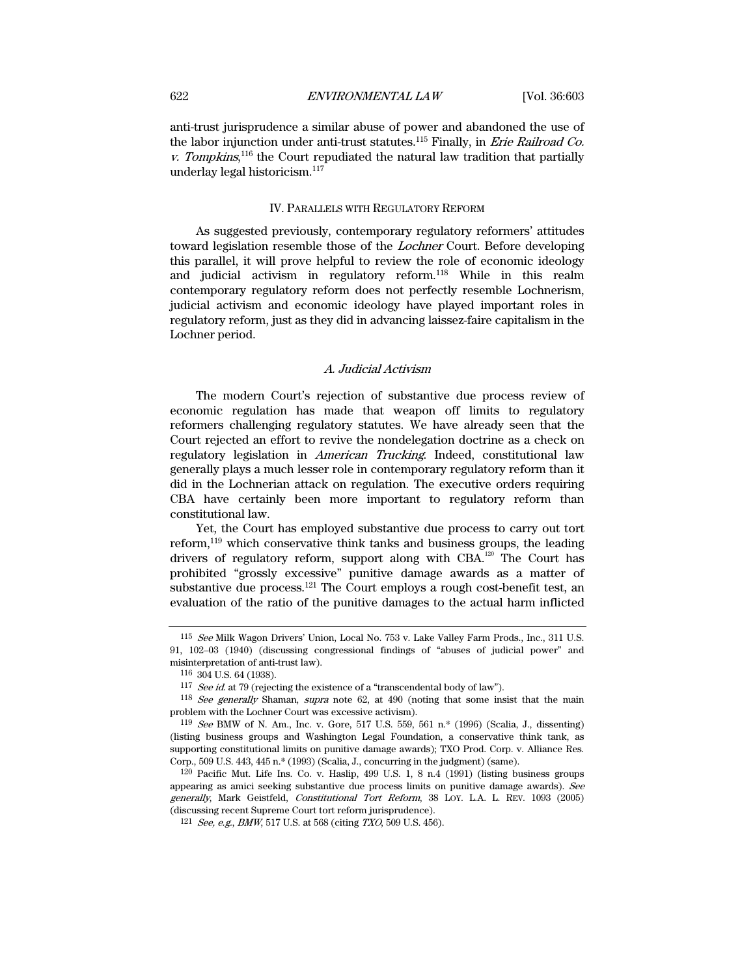anti-trust jurisprudence a similar abuse of power and abandoned the use of the labor injunction under anti-trust statutes.<sup>115</sup> Finally, in *Erie Railroad Co.* v. Tompkins,<sup>116</sup> the Court repudiated the natural law tradition that partially underlay legal historicism.<sup>117</sup>

## IV. PARALLELS WITH REGULATORY REFORM

As suggested previously, contemporary regulatory reformers' attitudes toward legislation resemble those of the Lochner Court. Before developing this parallel, it will prove helpful to review the role of economic ideology and judicial activism in regulatory reform.118 While in this realm contemporary regulatory reform does not perfectly resemble Lochnerism, judicial activism and economic ideology have played important roles in regulatory reform, just as they did in advancing laissez-faire capitalism in the Lochner period.

# A. Judicial Activism

The modern Court's rejection of substantive due process review of economic regulation has made that weapon off limits to regulatory reformers challenging regulatory statutes. We have already seen that the Court rejected an effort to revive the nondelegation doctrine as a check on regulatory legislation in American Trucking. Indeed, constitutional law generally plays a much lesser role in contemporary regulatory reform than it did in the Lochnerian attack on regulation. The executive orders requiring CBA have certainly been more important to regulatory reform than constitutional law.

Yet, the Court has employed substantive due process to carry out tort reform, $119$  which conservative think tanks and business groups, the leading drivers of regulatory reform, support along with  $CBA$ <sup>120</sup> The Court has prohibited "grossly excessive" punitive damage awards as a matter of substantive due process.<sup>121</sup> The Court employs a rough cost-benefit test, an evaluation of the ratio of the punitive damages to the actual harm inflicted

<sup>115</sup> See Milk Wagon Drivers' Union, Local No. 753 v. Lake Valley Farm Prods., Inc., 311 U.S. 91, 102–03 (1940) (discussing congressional findings of "abuses of judicial power" and misinterpretation of anti-trust law).

<sup>116 304</sup> U.S. 64 (1938).

<sup>&</sup>lt;sup>117</sup> See id. at 79 (rejecting the existence of a "transcendental body of law").

<sup>118</sup> See generally Shaman, supra note 62, at 490 (noting that some insist that the main problem with the Lochner Court was excessive activism).

<sup>119</sup> See BMW of N. Am., Inc. v. Gore, 517 U.S. 559, 561 n.\* (1996) (Scalia, J., dissenting) (listing business groups and Washington Legal Foundation, a conservative think tank, as supporting constitutional limits on punitive damage awards); TXO Prod. Corp. v. Alliance Res. Corp., 509 U.S. 443, 445 n.\* (1993) (Scalia, J., concurring in the judgment) (same).

 <sup>120</sup> Pacific Mut. Life Ins. Co. v. Haslip, 499 U.S. 1, 8 n.4 (1991) (listing business groups appearing as amici seeking substantive due process limits on punitive damage awards). See generally, Mark Geistfeld, Constitutional Tort Reform, 38 LOY. L.A. L. REV. 1093 (2005) (discussing recent Supreme Court tort reform jurisprudence).

<sup>121</sup> See, e.g., BMW, 517 U.S. at 568 (citing TXO, 509 U.S. 456).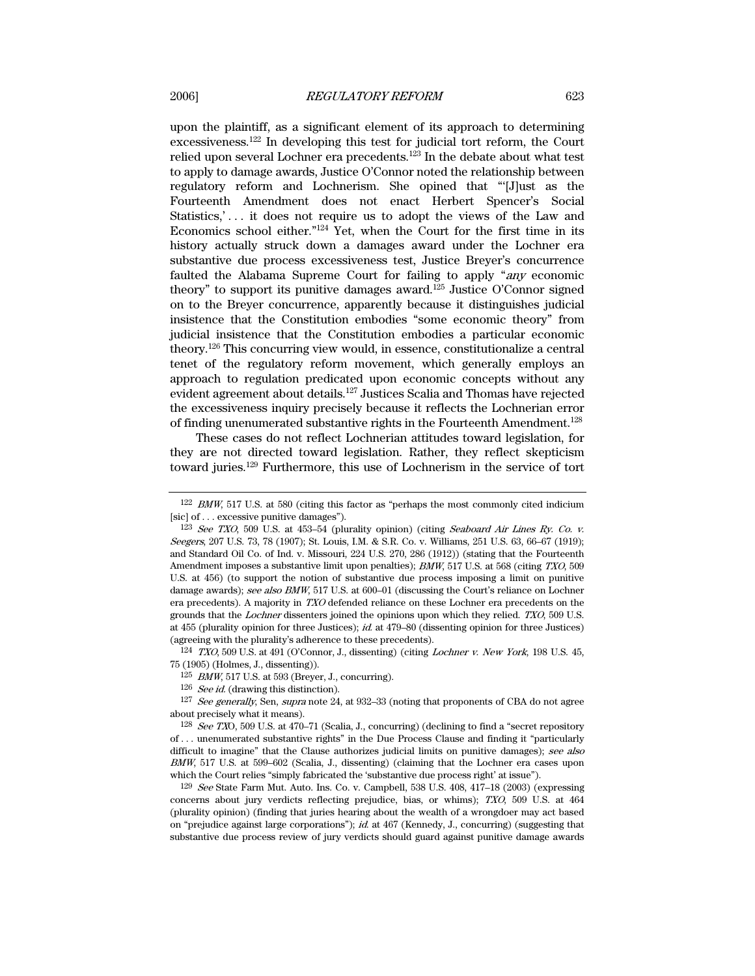upon the plaintiff, as a significant element of its approach to determining excessiveness.122 In developing this test for judicial tort reform, the Court relied upon several Lochner era precedents.123 In the debate about what test to apply to damage awards, Justice O'Connor noted the relationship between regulatory reform and Lochnerism. She opined that "'[J]ust as the Fourteenth Amendment does not enact Herbert Spencer's Social Statistics,'... it does not require us to adopt the views of the Law and Economics school either."124 Yet, when the Court for the first time in its history actually struck down a damages award under the Lochner era substantive due process excessiveness test, Justice Breyer's concurrence faulted the Alabama Supreme Court for failing to apply "any economic theory" to support its punitive damages award.<sup>125</sup> Justice O'Connor signed on to the Breyer concurrence, apparently because it distinguishes judicial insistence that the Constitution embodies "some economic theory" from judicial insistence that the Constitution embodies a particular economic theory.126 This concurring view would, in essence, constitutionalize a central tenet of the regulatory reform movement, which generally employs an approach to regulation predicated upon economic concepts without any evident agreement about details.127 Justices Scalia and Thomas have rejected the excessiveness inquiry precisely because it reflects the Lochnerian error of finding unenumerated substantive rights in the Fourteenth Amendment.128

These cases do not reflect Lochnerian attitudes toward legislation, for they are not directed toward legislation. Rather, they reflect skepticism toward juries.129 Furthermore, this use of Lochnerism in the service of tort

 $124$  TXO, 509 U.S. at 491 (O'Connor, J., dissenting) (citing *Lochner v. New York*, 198 U.S. 45, 75 (1905) (Holmes, J., dissenting)).

125 BMW, 517 U.S. at 593 (Breyer, J., concurring).

 $126$  *See id.* (drawing this distinction).

127 See generally, Sen, supra note 24, at 932–33 (noting that proponents of CBA do not agree about precisely what it means).

 $128$  See TXO, 509 U.S. at 470–71 (Scalia, J., concurring) (declining to find a "secret repository of . . . unenumerated substantive rights" in the Due Process Clause and finding it "particularly difficult to imagine" that the Clause authorizes judicial limits on punitive damages); see also BMW, 517 U.S. at 599–602 (Scalia, J., dissenting) (claiming that the Lochner era cases upon which the Court relies "simply fabricated the 'substantive due process right' at issue").

 $129$  See State Farm Mut. Auto. Ins. Co. v. Campbell, 538 U.S.  $408$ ,  $417-18$  (2003) (expressing concerns about jury verdicts reflecting prejudice, bias, or whims); TXO, 509 U.S. at 464 (plurality opinion) (finding that juries hearing about the wealth of a wrongdoer may act based on "prejudice against large corporations"); id. at 467 (Kennedy, J., concurring) (suggesting that substantive due process review of jury verdicts should guard against punitive damage awards

 $122$  BMW, 517 U.S. at 580 (citing this factor as "perhaps the most commonly cited indicium [sic] of . . . excessive punitive damages").

<sup>123</sup> See TXO, 509 U.S. at 453–54 (plurality opinion) (citing Seaboard Air Lines Ry. Co. v. Seegers, 207 U.S. 73, 78 (1907); St. Louis, I.M. & S.R. Co. v. Williams, 251 U.S. 63, 66–67 (1919); and Standard Oil Co. of Ind. v. Missouri, 224 U.S. 270, 286 (1912)) (stating that the Fourteenth Amendment imposes a substantive limit upon penalties); BMW, 517 U.S. at 568 (citing TXO, 509 U.S. at 456) (to support the notion of substantive due process imposing a limit on punitive damage awards); see also BMW, 517 U.S. at 600-01 (discussing the Court's reliance on Lochner era precedents). A majority in TXO defended reliance on these Lochner era precedents on the grounds that the Lochner dissenters joined the opinions upon which they relied. TXO, 509 U.S. at 455 (plurality opinion for three Justices); id. at 479–80 (dissenting opinion for three Justices) (agreeing with the plurality's adherence to these precedents).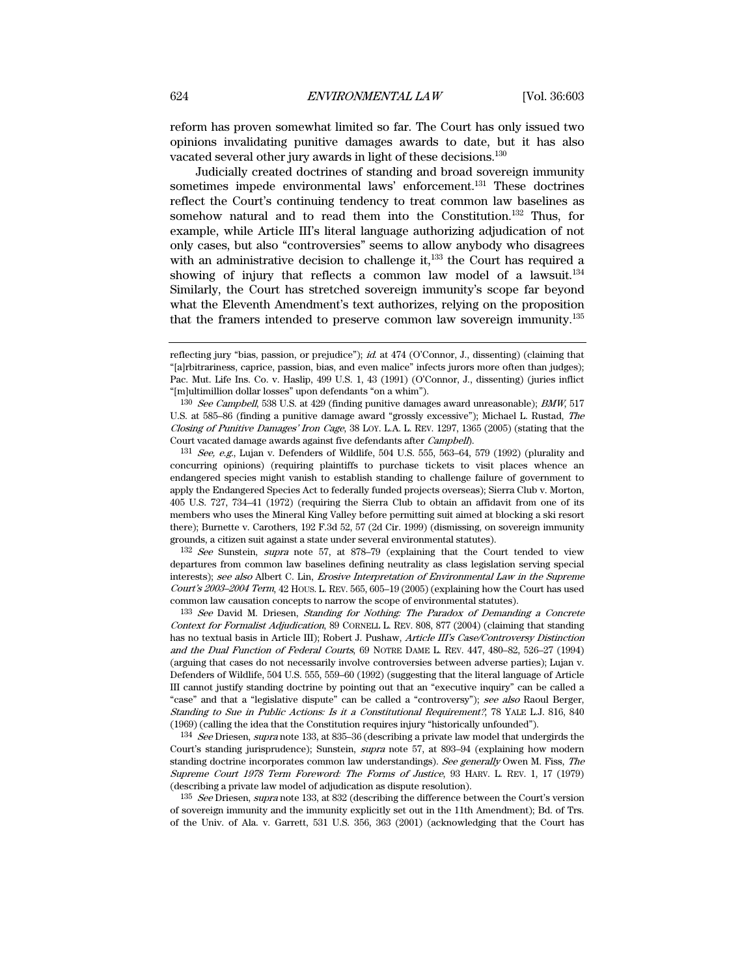reform has proven somewhat limited so far. The Court has only issued two opinions invalidating punitive damages awards to date, but it has also vacated several other jury awards in light of these decisions.130

Judicially created doctrines of standing and broad sovereign immunity sometimes impede environmental laws' enforcement.<sup>131</sup> These doctrines reflect the Court's continuing tendency to treat common law baselines as somehow natural and to read them into the Constitution.132 Thus, for example, while Article III's literal language authorizing adjudication of not only cases, but also "controversies" seems to allow anybody who disagrees with an administrative decision to challenge it, $133$  the Court has required a showing of injury that reflects a common law model of a lawsuit.<sup>134</sup> Similarly, the Court has stretched sovereign immunity's scope far beyond what the Eleventh Amendment's text authorizes, relying on the proposition that the framers intended to preserve common law sovereign immunity.135

 $131$  See, e.g., Lujan v. Defenders of Wildlife, 504 U.S. 555, 563–64, 579 (1992) (plurality and concurring opinions) (requiring plaintiffs to purchase tickets to visit places whence an endangered species might vanish to establish standing to challenge failure of government to apply the Endangered Species Act to federally funded projects overseas); Sierra Club v. Morton, 405 U.S. 727, 734–41 (1972) (requiring the Sierra Club to obtain an affidavit from one of its members who uses the Mineral King Valley before permitting suit aimed at blocking a ski resort there); Burnette v. Carothers, 192 F.3d 52, 57 (2d Cir. 1999) (dismissing, on sovereign immunity grounds, a citizen suit against a state under several environmental statutes).

132 See Sunstein, supra note 57, at 878–79 (explaining that the Court tended to view departures from common law baselines defining neutrality as class legislation serving special interests); see also Albert C. Lin, *Erosive Interpretation of Environmental Law in the Supreme* Court's 2003–2004 Term, 42 HOUS. L. REV. 565, 605–19 (2005) (explaining how the Court has used common law causation concepts to narrow the scope of environmental statutes).

<sup>133</sup> See David M. Driesen, Standing for Nothing: The Paradox of Demanding a Concrete Context for Formalist Adjudication, 89 CORNELL L. REV. 808, 877 (2004) (claiming that standing has no textual basis in Article III); Robert J. Pushaw, Article III's Case/Controversy Distinction and the Dual Function of Federal Courts, 69 NOTRE DAME L. REV. 447, 480–82, 526–27 (1994) (arguing that cases do not necessarily involve controversies between adverse parties); Lujan v. Defenders of Wildlife, 504 U.S. 555, 559–60 (1992) (suggesting that the literal language of Article III cannot justify standing doctrine by pointing out that an "executive inquiry" can be called a "case" and that a "legislative dispute" can be called a "controversy"); see also Raoul Berger, Standing to Sue in Public Actions: Is it a Constitutional Requirement?, 78 YALE L.J. 816, 840 (1969) (calling the idea that the Constitution requires injury "historically unfounded").

134 See Driesen, supra note 133, at 835-36 (describing a private law model that undergirds the Court's standing jurisprudence); Sunstein, supra note 57, at 893–94 (explaining how modern standing doctrine incorporates common law understandings). See generally Owen M. Fiss, The Supreme Court 1978 Term Foreword: The Forms of Justice, 93 HARV. L. REV. 1, 17 (1979) (describing a private law model of adjudication as dispute resolution).

 $135$  See Driesen, supra note 133, at 832 (describing the difference between the Court's version of sovereign immunity and the immunity explicitly set out in the 11th Amendment); Bd. of Trs. of the Univ. of Ala. v. Garrett, 531 U.S. 356, 363 (2001) (acknowledging that the Court has

reflecting jury "bias, passion, or prejudice"); id. at 474 (O'Connor, J., dissenting) (claiming that "[a]rbitrariness, caprice, passion, bias, and even malice" infects jurors more often than judges); Pac. Mut. Life Ins. Co. v. Haslip, 499 U.S. 1, 43 (1991) (O'Connor, J., dissenting) (juries inflict "[m]ultimillion dollar losses" upon defendants "on a whim").

<sup>130</sup> See Campbell, 538 U.S. at 429 (finding punitive damages award unreasonable); BMW, 517 U.S. at 585–86 (finding a punitive damage award "grossly excessive"); Michael L. Rustad, The Closing of Punitive Damages' Iron Cage, 38 LOY. L.A. L. REV. 1297, 1365 (2005) (stating that the Court vacated damage awards against five defendants after Campbell).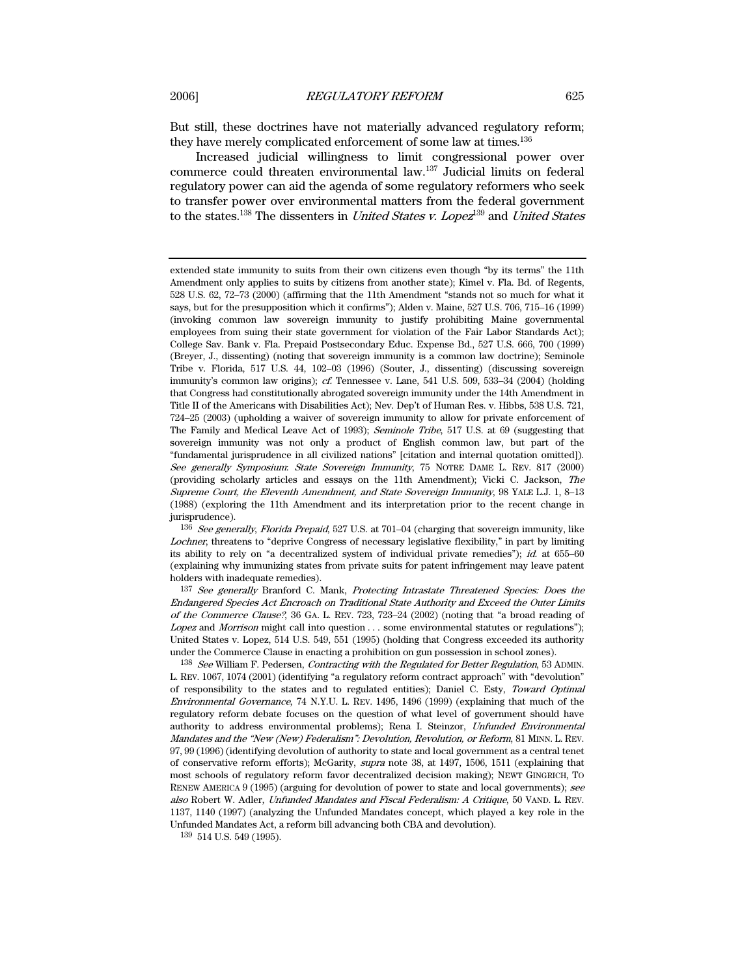But still, these doctrines have not materially advanced regulatory reform; they have merely complicated enforcement of some law at times.<sup>136</sup>

Increased judicial willingness to limit congressional power over commerce could threaten environmental law.137 Judicial limits on federal regulatory power can aid the agenda of some regulatory reformers who seek to transfer power over environmental matters from the federal government to the states.<sup>138</sup> The dissenters in *United States v. Lopez*<sup>139</sup> and *United States* 

extended state immunity to suits from their own citizens even though "by its terms" the 11th Amendment only applies to suits by citizens from another state); Kimel v. Fla. Bd. of Regents, 528 U.S. 62, 72–73 (2000) (affirming that the 11th Amendment "stands not so much for what it says, but for the presupposition which it confirms"); Alden v. Maine, 527 U.S. 706, 715–16 (1999) (invoking common law sovereign immunity to justify prohibiting Maine governmental employees from suing their state government for violation of the Fair Labor Standards Act); College Sav. Bank v. Fla. Prepaid Postsecondary Educ. Expense Bd., 527 U.S. 666, 700 (1999) (Breyer, J., dissenting) (noting that sovereign immunity is a common law doctrine); Seminole Tribe v. Florida, 517 U.S. 44, 102–03 (1996) (Souter, J., dissenting) (discussing sovereign immunity's common law origins); *cf.* Tennessee v. Lane, 541 U.S. 509, 533–34 (2004) (holding that Congress had constitutionally abrogated sovereign immunity under the 14th Amendment in Title II of the Americans with Disabilities Act); Nev. Dep't of Human Res. v. Hibbs, 538 U.S. 721, 724–25 (2003) (upholding a waiver of sovereign immunity to allow for private enforcement of The Family and Medical Leave Act of 1993); Seminole Tribe, 517 U.S. at 69 (suggesting that sovereign immunity was not only a product of English common law, but part of the "fundamental jurisprudence in all civilized nations" [citation and internal quotation omitted]). See generally Symposium: State Sovereign Immunity, 75 NOTRE DAME L. REV. 817 (2000) (providing scholarly articles and essays on the 11th Amendment); Vicki C. Jackson, The Supreme Court, the Eleventh Amendment, and State Sovereign Immunity, 98 YALE L.J. 1, 8–13 (1988) (exploring the 11th Amendment and its interpretation prior to the recent change in jurisprudence).

<sup>136</sup> See generally, Florida Prepaid, 527 U.S. at 701–04 (charging that sovereign immunity, like Lochner, threatens to "deprive Congress of necessary legislative flexibility," in part by limiting its ability to rely on "a decentralized system of individual private remedies");  $id.$  at 655–60 (explaining why immunizing states from private suits for patent infringement may leave patent holders with inadequate remedies).

<sup>&</sup>lt;sup>137</sup> See generally Branford C. Mank, Protecting Intrastate Threatened Species: Does the Endangered Species Act Encroach on Traditional State Authority and Exceed the Outer Limits of the Commerce Clause?, 36 GA. L. REV. 723, 723–24 (2002) (noting that "a broad reading of Lopez and Morrison might call into question . . . some environmental statutes or regulations"); United States v. Lopez, 514 U.S. 549, 551 (1995) (holding that Congress exceeded its authority under the Commerce Clause in enacting a prohibition on gun possession in school zones).

<sup>138</sup> See William F. Pedersen, Contracting with the Regulated for Better Regulation, 53 ADMIN. L. REV. 1067, 1074 (2001) (identifying "a regulatory reform contract approach" with "devolution" of responsibility to the states and to regulated entities); Daniel C. Esty, Toward Optimal Environmental Governance, 74 N.Y.U. L. REV. 1495, 1496 (1999) (explaining that much of the regulatory reform debate focuses on the question of what level of government should have authority to address environmental problems); Rena I. Steinzor, Unfunded Environmental Mandates and the "New (New) Federalism": Devolution, Revolution, or Reform, 81 MINN. L. REV. 97, 99 (1996) (identifying devolution of authority to state and local government as a central tenet of conservative reform efforts); McGarity, supra note 38, at 1497, 1506, 1511 (explaining that most schools of regulatory reform favor decentralized decision making); NEWT GINGRICH, TO RENEW AMERICA 9 (1995) (arguing for devolution of power to state and local governments); see also Robert W. Adler, Unfunded Mandates and Fiscal Federalism: A Critique, 50 VAND. L. REV. 1137, 1140 (1997) (analyzing the Unfunded Mandates concept, which played a key role in the Unfunded Mandates Act, a reform bill advancing both CBA and devolution).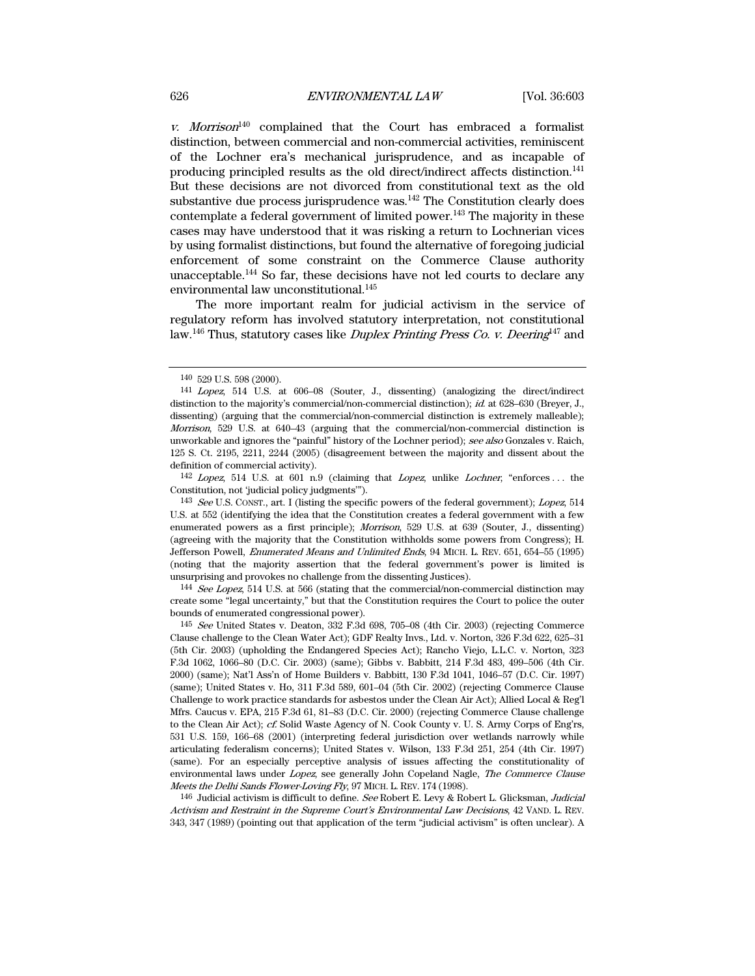v. Morrison<sup>140</sup> complained that the Court has embraced a formalist distinction, between commercial and non-commercial activities, reminiscent of the Lochner era's mechanical jurisprudence, and as incapable of producing principled results as the old direct/indirect affects distinction.141 But these decisions are not divorced from constitutional text as the old substantive due process jurisprudence was.<sup>142</sup> The Constitution clearly does contemplate a federal government of limited power.<sup>143</sup> The majority in these cases may have understood that it was risking a return to Lochnerian vices by using formalist distinctions, but found the alternative of foregoing judicial enforcement of some constraint on the Commerce Clause authority unacceptable.144 So far, these decisions have not led courts to declare any environmental law unconstitutional.<sup>145</sup>

The more important realm for judicial activism in the service of regulatory reform has involved statutory interpretation, not constitutional law.<sup>146</sup> Thus, statutory cases like *Duplex Printing Press Co. v. Deering*<sup>147</sup> and

142 Lopez, 514 U.S. at 601 n.9 (claiming that Lopez, unlike Lochner, "enforces . . . the Constitution, not 'judicial policy judgments'").

<sup>143</sup> See U.S. CONST., art. I (listing the specific powers of the federal government); Lopez, 514 U.S. at 552 (identifying the idea that the Constitution creates a federal government with a few enumerated powers as a first principle); Morrison, 529 U.S. at 639 (Souter, J., dissenting) (agreeing with the majority that the Constitution withholds some powers from Congress); H. Jefferson Powell, Enumerated Means and Unlimited Ends, 94 MICH. L. REV. 651, 654–55 (1995) (noting that the majority assertion that the federal government's power is limited is unsurprising and provokes no challenge from the dissenting Justices).

<sup>144</sup> See Lopez, 514 U.S. at 566 (stating that the commercial/non-commercial distinction may create some "legal uncertainty," but that the Constitution requires the Court to police the outer bounds of enumerated congressional power).

145 See United States v. Deaton, 332 F.3d 698, 705–08 (4th Cir. 2003) (rejecting Commerce Clause challenge to the Clean Water Act); GDF Realty Invs., Ltd. v. Norton, 326 F.3d 622, 625–31 (5th Cir. 2003) (upholding the Endangered Species Act); Rancho Viejo, L.L.C. v. Norton, 323 F.3d 1062, 1066–80 (D.C. Cir. 2003) (same); Gibbs v. Babbitt, 214 F.3d 483, 499–506 (4th Cir. 2000) (same); Nat'l Ass'n of Home Builders v. Babbitt, 130 F.3d 1041, 1046–57 (D.C. Cir. 1997) (same); United States v. Ho, 311 F.3d 589, 601–04 (5th Cir. 2002) (rejecting Commerce Clause Challenge to work practice standards for asbestos under the Clean Air Act); Allied Local & Reg'l Mfrs. Caucus v. EPA, 215 F.3d 61, 81–83 (D.C. Cir. 2000) (rejecting Commerce Clause challenge to the Clean Air Act); cf. Solid Waste Agency of N. Cook County v. U. S. Army Corps of Eng'rs, 531 U.S. 159, 166–68 (2001) (interpreting federal jurisdiction over wetlands narrowly while articulating federalism concerns); United States v. Wilson, 133 F.3d 251, 254 (4th Cir. 1997) (same). For an especially perceptive analysis of issues affecting the constitutionality of environmental laws under Lopez, see generally John Copeland Nagle, The Commerce Clause Meets the Delhi Sands Flower-Loving Fly, 97 MICH. L. REV. 174 (1998).

146 Judicial activism is difficult to define. See Robert E. Levy & Robert L. Glicksman, Judicial Activism and Restraint in the Supreme Court's Environmental Law Decisions, 42 VAND. L. REV. 343, 347 (1989) (pointing out that application of the term "judicial activism" is often unclear). A

<sup>140 529</sup> U.S. 598 (2000).

<sup>141</sup> Lopez, 514 U.S. at 606–08 (Souter, J., dissenting) (analogizing the direct/indirect distinction to the majority's commercial/non-commercial distinction); *id.* at 628–630 (Breyer, J., dissenting) (arguing that the commercial/non-commercial distinction is extremely malleable); Morrison, 529 U.S. at 640–43 (arguing that the commercial/non-commercial distinction is unworkable and ignores the "painful" history of the Lochner period); see also Gonzales v. Raich, 125 S. Ct. 2195, 2211, 2244 (2005) (disagreement between the majority and dissent about the definition of commercial activity).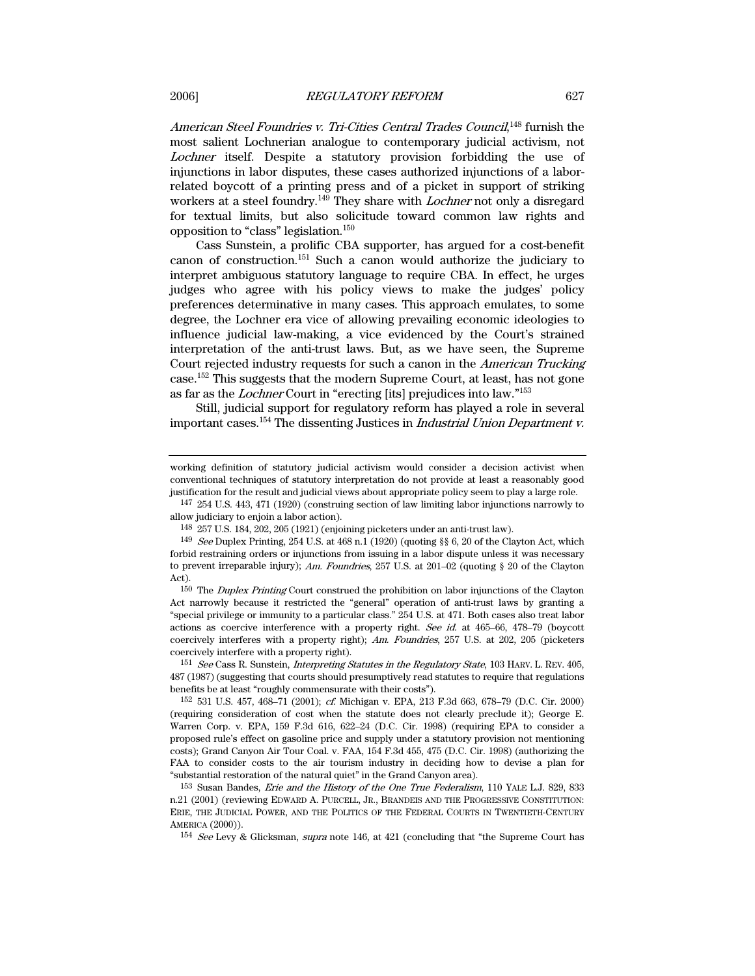American Steel Foundries v. Tri-Cities Central Trades Council,<sup>148</sup> furnish the most salient Lochnerian analogue to contemporary judicial activism, not Lochner itself. Despite a statutory provision forbidding the use of injunctions in labor disputes, these cases authorized injunctions of a laborrelated boycott of a printing press and of a picket in support of striking workers at a steel foundry.<sup>149</sup> They share with *Lochner* not only a disregard for textual limits, but also solicitude toward common law rights and opposition to "class" legislation.150

Cass Sunstein, a prolific CBA supporter, has argued for a cost-benefit canon of construction.<sup>151</sup> Such a canon would authorize the judiciary to interpret ambiguous statutory language to require CBA. In effect, he urges judges who agree with his policy views to make the judges' policy preferences determinative in many cases. This approach emulates, to some degree, the Lochner era vice of allowing prevailing economic ideologies to influence judicial law-making, a vice evidenced by the Court's strained interpretation of the anti-trust laws. But, as we have seen, the Supreme Court rejected industry requests for such a canon in the American Trucking case.152 This suggests that the modern Supreme Court, at least, has not gone as far as the Lochner Court in "erecting [its] prejudices into law."153

Still, judicial support for regulatory reform has played a role in several important cases.154 The dissenting Justices in Industrial Union Department v.

147 254 U.S. 443, 471 (1920) (construing section of law limiting labor injunctions narrowly to allow judiciary to enjoin a labor action).

 $^{150}$  The *Duplex Printing* Court construed the prohibition on labor injunctions of the Clayton Act narrowly because it restricted the "general" operation of anti-trust laws by granting a "special privilege or immunity to a particular class." 254 U.S. at 471. Both cases also treat labor actions as coercive interference with a property right. See id. at 465–66, 478–79 (boycott coercively interferes with a property right); Am. Foundries, 257 U.S. at 202, 205 (picketers coercively interfere with a property right).

<sup>151</sup> See Cass R. Sunstein, *Interpreting Statutes in the Regulatory State*, 103 HARV. L. REV. 405, 487 (1987) (suggesting that courts should presumptively read statutes to require that regulations benefits be at least "roughly commensurate with their costs").

working definition of statutory judicial activism would consider a decision activist when conventional techniques of statutory interpretation do not provide at least a reasonably good justification for the result and judicial views about appropriate policy seem to play a large role.

<sup>148 257</sup> U.S. 184, 202, 205 (1921) (enjoining picketers under an anti-trust law).

<sup>149</sup> See Duplex Printing, 254 U.S. at 468 n.1 (1920) (quoting §§ 6, 20 of the Clayton Act, which forbid restraining orders or injunctions from issuing in a labor dispute unless it was necessary to prevent irreparable injury); Am. Foundries, 257 U.S. at 201–02 (quoting  $\S$  20 of the Clayton Act).

<sup>152 531</sup> U.S. 457, 468–71 (2001); cf. Michigan v. EPA, 213 F.3d 663, 678–79 (D.C. Cir. 2000) (requiring consideration of cost when the statute does not clearly preclude it); George E. Warren Corp. v. EPA, 159 F.3d 616, 622–24 (D.C. Cir. 1998) (requiring EPA to consider a proposed rule's effect on gasoline price and supply under a statutory provision not mentioning costs); Grand Canyon Air Tour Coal. v. FAA, 154 F.3d 455, 475 (D.C. Cir. 1998) (authorizing the FAA to consider costs to the air tourism industry in deciding how to devise a plan for "substantial restoration of the natural quiet" in the Grand Canyon area).

<sup>153</sup> Susan Bandes, Erie and the History of the One True Federalism, 110 YALE L.J. 829, 833 n.21 (2001) (reviewing EDWARD A. PURCELL, JR., BRANDEIS AND THE PROGRESSIVE CONSTITUTION: ERIE, THE JUDICIAL POWER, AND THE POLITICS OF THE FEDERAL COURTS IN TWENTIETH-CENTURY AMERICA (2000)).

<sup>&</sup>lt;sup>154</sup> See Levy & Glicksman, supra note 146, at 421 (concluding that "the Supreme Court has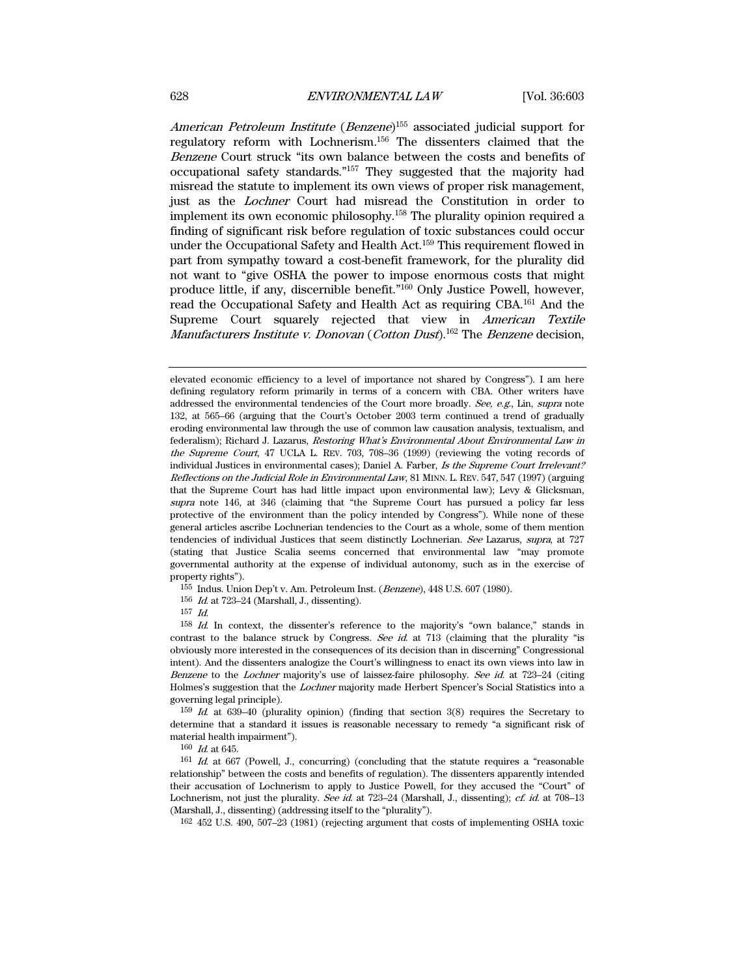American Petroleum Institute (Benzene)<sup>155</sup> associated judicial support for regulatory reform with Lochnerism. 156 The dissenters claimed that the Benzene Court struck "its own balance between the costs and benefits of occupational safety standards."157 They suggested that the majority had misread the statute to implement its own views of proper risk management, just as the Lochner Court had misread the Constitution in order to implement its own economic philosophy.158 The plurality opinion required a finding of significant risk before regulation of toxic substances could occur under the Occupational Safety and Health Act.159 This requirement flowed in part from sympathy toward a cost-benefit framework, for the plurality did not want to "give OSHA the power to impose enormous costs that might produce little, if any, discernible benefit."160 Only Justice Powell, however, read the Occupational Safety and Health Act as requiring CBA.161 And the Supreme Court squarely rejected that view in American Textile *Manufacturers Institute v. Donovan* (*Cotton Dust*).<sup>162</sup> The *Benzene* decision,

elevated economic efficiency to a level of importance not shared by Congress"). I am here defining regulatory reform primarily in terms of a concern with CBA. Other writers have addressed the environmental tendencies of the Court more broadly. See, e.g., Lin, supra note 132, at 565–66 (arguing that the Court's October 2003 term continued a trend of gradually eroding environmental law through the use of common law causation analysis, textualism, and federalism); Richard J. Lazarus, Restoring What's Environmental About Environmental Law in the Supreme Court, 47 UCLA L. REV. 703, 708–36 (1999) (reviewing the voting records of individual Justices in environmental cases); Daniel A. Farber, *Is the Supreme Court Irrelevant?* Reflections on the Judicial Role in Environmental Law, 81 MINN. L. REV. 547, 547 (1997) (arguing that the Supreme Court has had little impact upon environmental law); Levy & Glicksman, supra note 146, at 346 (claiming that "the Supreme Court has pursued a policy far less protective of the environment than the policy intended by Congress"). While none of these general articles ascribe Lochnerian tendencies to the Court as a whole, some of them mention tendencies of individual Justices that seem distinctly Lochnerian. See Lazarus, supra, at 727 (stating that Justice Scalia seems concerned that environmental law "may promote governmental authority at the expense of individual autonomy, such as in the exercise of property rights").

155 Indus. Union Dep't v. Am. Petroleum Inst. (Benzene), 448 U.S. 607 (1980).

156 Id. at 723–24 (Marshall, J., dissenting).

 $157$  Id.

158 Id. In context, the dissenter's reference to the majority's "own balance," stands in contrast to the balance struck by Congress. See id. at 713 (claiming that the plurality "is obviously more interested in the consequences of its decision than in discerning" Congressional intent). And the dissenters analogize the Court's willingness to enact its own views into law in Benzene to the *Lochner* majority's use of laissez-faire philosophy. See id. at 723-24 (citing Holmes's suggestion that the Lochner majority made Herbert Spencer's Social Statistics into a governing legal principle).

159 Id. at 639–40 (plurality opinion) (finding that section 3(8) requires the Secretary to determine that a standard it issues is reasonable necessary to remedy "a significant risk of material health impairment").

 $160$  *Id.* at 645.

161 Id. at 667 (Powell, J., concurring) (concluding that the statute requires a "reasonable relationship" between the costs and benefits of regulation). The dissenters apparently intended their accusation of Lochnerism to apply to Justice Powell, for they accused the "Court" of Lochnerism, not just the plurality. See id. at 723–24 (Marshall, J., dissenting); cf. id. at 708–13 (Marshall, J., dissenting) (addressing itself to the "plurality").

162 452 U.S. 490, 507–23 (1981) (rejecting argument that costs of implementing OSHA toxic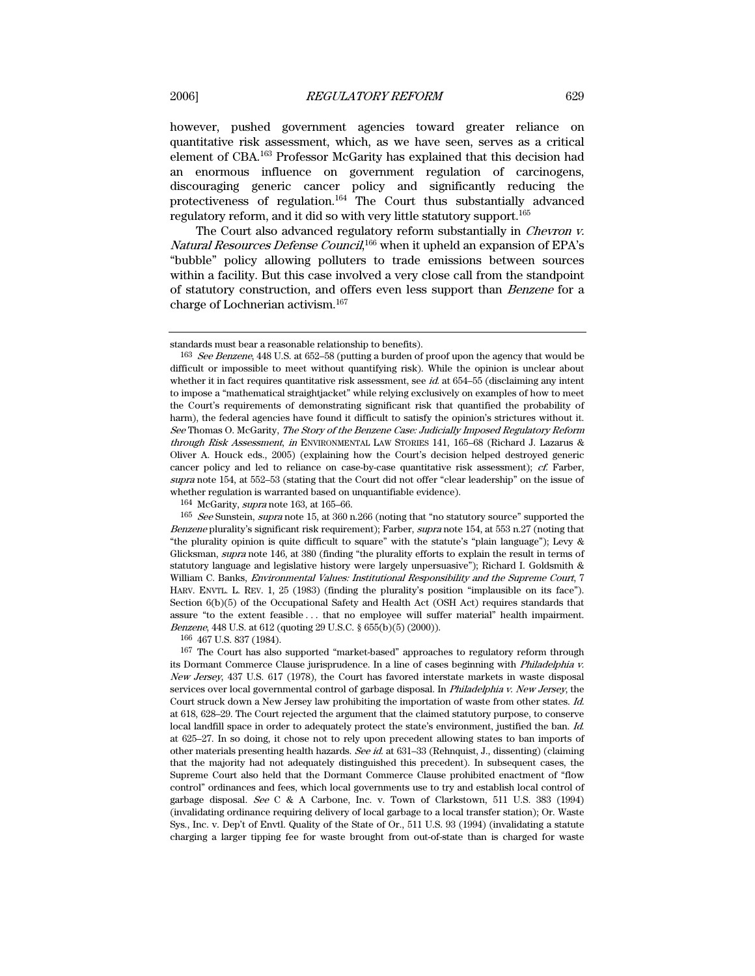however, pushed government agencies toward greater reliance on quantitative risk assessment, which, as we have seen, serves as a critical element of CBA.163 Professor McGarity has explained that this decision had an enormous influence on government regulation of carcinogens, discouraging generic cancer policy and significantly reducing the protectiveness of regulation.164 The Court thus substantially advanced regulatory reform, and it did so with very little statutory support.165

The Court also advanced regulatory reform substantially in *Chevron v.* Natural Resources Defense Council,<sup>166</sup> when it upheld an expansion of EPA's "bubble" policy allowing polluters to trade emissions between sources within a facility. But this case involved a very close call from the standpoint of statutory construction, and offers even less support than Benzene for a charge of Lochnerian activism.167

166 467 U.S. 837 (1984).

167 The Court has also supported "market-based" approaches to regulatory reform through its Dormant Commerce Clause jurisprudence. In a line of cases beginning with *Philadelphia v.* New Jersey, 437 U.S. 617 (1978), the Court has favored interstate markets in waste disposal services over local governmental control of garbage disposal. In *Philadelphia v. New Jersey*, the Court struck down a New Jersey law prohibiting the importation of waste from other states. Id. at 618, 628–29. The Court rejected the argument that the claimed statutory purpose, to conserve local landfill space in order to adequately protect the state's environment, justified the ban. Id. at 625–27. In so doing, it chose not to rely upon precedent allowing states to ban imports of other materials presenting health hazards. See id. at 631–33 (Rehnquist, J., dissenting) (claiming that the majority had not adequately distinguished this precedent). In subsequent cases, the Supreme Court also held that the Dormant Commerce Clause prohibited enactment of "flow control" ordinances and fees, which local governments use to try and establish local control of garbage disposal. See C & A Carbone, Inc. v. Town of Clarkstown, 511 U.S. 383 (1994) (invalidating ordinance requiring delivery of local garbage to a local transfer station); Or. Waste Sys., Inc. v. Dep't of Envtl. Quality of the State of Or., 511 U.S. 93 (1994) (invalidating a statute charging a larger tipping fee for waste brought from out-of-state than is charged for waste

standards must bear a reasonable relationship to benefits).

<sup>&</sup>lt;sup>163</sup> See Benzene, 448 U.S. at 652–58 (putting a burden of proof upon the agency that would be difficult or impossible to meet without quantifying risk). While the opinion is unclear about whether it in fact requires quantitative risk assessment, see  $id$  at 654–55 (disclaiming any intent to impose a "mathematical straightjacket" while relying exclusively on examples of how to meet the Court's requirements of demonstrating significant risk that quantified the probability of harm), the federal agencies have found it difficult to satisfy the opinion's strictures without it. See Thomas O. McGarity, The Story of the Benzene Case: Judicially Imposed Regulatory Reform through Risk Assessment, in ENVIRONMENTAL LAW STORIES 141, 165–68 (Richard J. Lazarus & Oliver A. Houck eds., 2005) (explaining how the Court's decision helped destroyed generic cancer policy and led to reliance on case-by-case quantitative risk assessment); cf. Farber, supra note 154, at 552–53 (stating that the Court did not offer "clear leadership" on the issue of whether regulation is warranted based on unquantifiable evidence).

 $164$  McGarity, *supra* note 163, at 165–66.

<sup>&</sup>lt;sup>165</sup> See Sunstein, supra note 15, at 360 n.266 (noting that "no statutory source" supported the Benzene plurality's significant risk requirement); Farber, supra note 154, at 553 n.27 (noting that "the plurality opinion is quite difficult to square" with the statute's "plain language"); Levy & Glicksman, supra note 146, at 380 (finding "the plurality efforts to explain the result in terms of statutory language and legislative history were largely unpersuasive"); Richard I. Goldsmith & William C. Banks, *Environmental Values: Institutional Responsibility and the Supreme Court*, 7 HARV. ENVTL. L. REV. 1, 25 (1983) (finding the plurality's position "implausible on its face"). Section 6(b)(5) of the Occupational Safety and Health Act (OSH Act) requires standards that assure "to the extent feasible . . . that no employee will suffer material" health impairment. Benzene, 448 U.S. at 612 (quoting 29 U.S.C. § 655(b)(5) (2000)).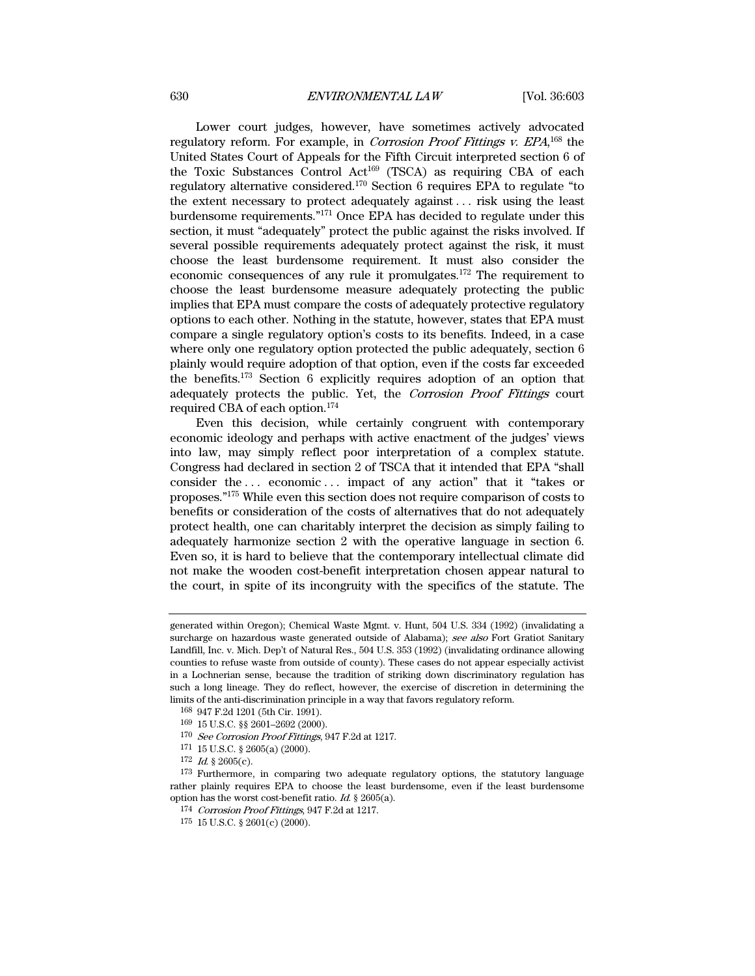Lower court judges, however, have sometimes actively advocated regulatory reform. For example, in *Corrosion Proof Fittings v. EPA*,<sup>168</sup> the United States Court of Appeals for the Fifth Circuit interpreted section 6 of the Toxic Substances Control Act<sup>169</sup> (TSCA) as requiring CBA of each regulatory alternative considered.170 Section 6 requires EPA to regulate "to the extent necessary to protect adequately against . . . risk using the least burdensome requirements."171 Once EPA has decided to regulate under this section, it must "adequately" protect the public against the risks involved. If several possible requirements adequately protect against the risk, it must choose the least burdensome requirement. It must also consider the economic consequences of any rule it promulgates.172 The requirement to choose the least burdensome measure adequately protecting the public implies that EPA must compare the costs of adequately protective regulatory options to each other. Nothing in the statute, however, states that EPA must compare a single regulatory option's costs to its benefits. Indeed, in a case where only one regulatory option protected the public adequately, section 6 plainly would require adoption of that option, even if the costs far exceeded the benefits.173 Section 6 explicitly requires adoption of an option that adequately protects the public. Yet, the Corrosion Proof Fittings court required CBA of each option.174

Even this decision, while certainly congruent with contemporary economic ideology and perhaps with active enactment of the judges' views into law, may simply reflect poor interpretation of a complex statute. Congress had declared in section 2 of TSCA that it intended that EPA "shall consider the ... economic ... impact of any action" that it "takes or proposes."175 While even this section does not require comparison of costs to benefits or consideration of the costs of alternatives that do not adequately protect health, one can charitably interpret the decision as simply failing to adequately harmonize section 2 with the operative language in section 6. Even so, it is hard to believe that the contemporary intellectual climate did not make the wooden cost-benefit interpretation chosen appear natural to the court, in spite of its incongruity with the specifics of the statute. The

generated within Oregon); Chemical Waste Mgmt. v. Hunt, 504 U.S. 334 (1992) (invalidating a surcharge on hazardous waste generated outside of Alabama); see also Fort Gratiot Sanitary Landfill, Inc. v. Mich. Dep't of Natural Res., 504 U.S. 353 (1992) (invalidating ordinance allowing counties to refuse waste from outside of county). These cases do not appear especially activist in a Lochnerian sense, because the tradition of striking down discriminatory regulation has such a long lineage. They do reflect, however, the exercise of discretion in determining the limits of the anti-discrimination principle in a way that favors regulatory reform.

<sup>168 947</sup> F.2d 1201 (5th Cir. 1991).

<sup>169 15</sup> U.S.C. §§ 2601–2692 (2000).

<sup>170</sup> See Corrosion Proof Fittings, 947 F.2d at 1217.

<sup>171 15</sup> U.S.C. § 2605(a) (2000).

 $172$  *Id.* § 2605(c).

<sup>173</sup> Furthermore, in comparing two adequate regulatory options, the statutory language rather plainly requires EPA to choose the least burdensome, even if the least burdensome option has the worst cost-benefit ratio. Id. § 2605(a).

<sup>174</sup> Corrosion Proof Fittings, 947 F.2d at 1217.

<sup>175 15</sup> U.S.C. § 2601(c) (2000).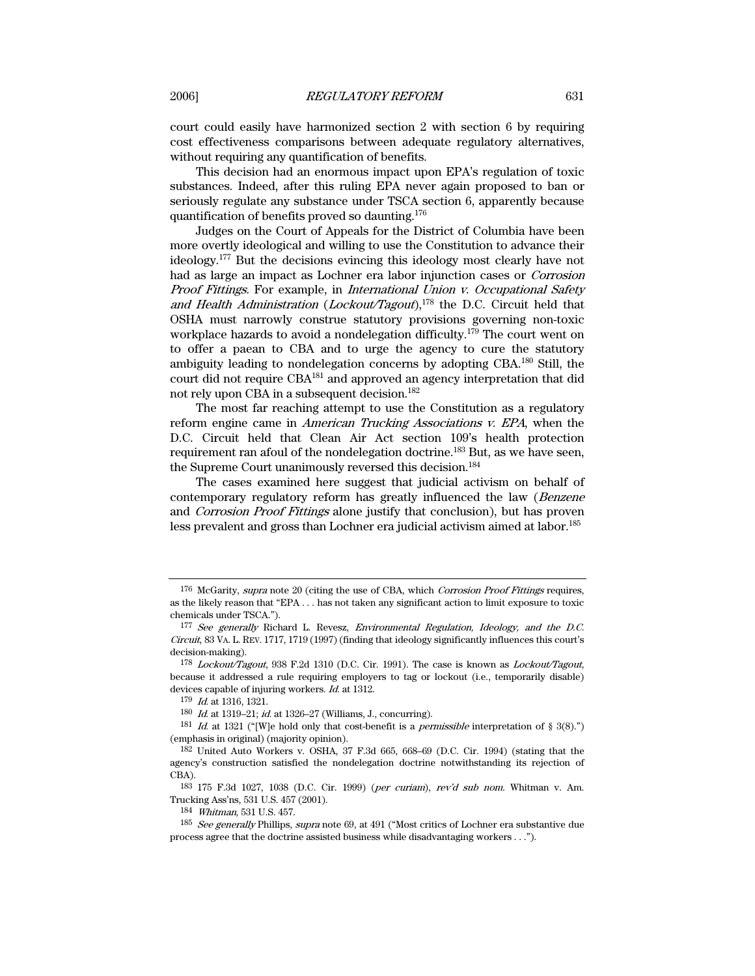court could easily have harmonized section 2 with section 6 by requiring cost effectiveness comparisons between adequate regulatory alternatives, without requiring any quantification of benefits.

This decision had an enormous impact upon EPA's regulation of toxic substances. Indeed, after this ruling EPA never again proposed to ban or seriously regulate any substance under TSCA section 6, apparently because quantification of benefits proved so daunting.176

Judges on the Court of Appeals for the District of Columbia have been more overtly ideological and willing to use the Constitution to advance their ideology.177 But the decisions evincing this ideology most clearly have not had as large an impact as Lochner era labor injunction cases or Corrosion Proof Fittings. For example, in International Union v. Occupational Safety and Health Administration (Lockout/Tagout), $178$  the D.C. Circuit held that OSHA must narrowly construe statutory provisions governing non-toxic workplace hazards to avoid a nondelegation difficulty.179 The court went on to offer a paean to CBA and to urge the agency to cure the statutory ambiguity leading to nondelegation concerns by adopting CBA.180 Still, the court did not require CBA181 and approved an agency interpretation that did not rely upon CBA in a subsequent decision.<sup>182</sup>

The most far reaching attempt to use the Constitution as a regulatory reform engine came in American Trucking Associations v. EPA, when the D.C. Circuit held that Clean Air Act section 109's health protection requirement ran afoul of the nondelegation doctrine.183 But, as we have seen, the Supreme Court unanimously reversed this decision.<sup>184</sup>

The cases examined here suggest that judicial activism on behalf of contemporary regulatory reform has greatly influenced the law (*Benzene* and Corrosion Proof Fittings alone justify that conclusion), but has proven less prevalent and gross than Lochner era judicial activism aimed at labor.185

<sup>176</sup> McGarity, supra note 20 (citing the use of CBA, which Corrosion Proof Fittings requires, as the likely reason that "EPA . . . has not taken any significant action to limit exposure to toxic chemicals under TSCA.").

<sup>177</sup> See generally Richard L. Revesz, Environmental Regulation, Ideology, and the D.C. Circuit, 83 VA. L. REV. 1717, 1719 (1997) (finding that ideology significantly influences this court's decision-making).

<sup>178</sup> Lockout/Tagout, 938 F.2d 1310 (D.C. Cir. 1991). The case is known as Lockout/Tagout, because it addressed a rule requiring employers to tag or lockout (i.e., temporarily disable) devices capable of injuring workers. Id. at 1312.

<sup>179</sup> Id. at 1316, 1321.

<sup>180</sup> Id. at 1319–21; id. at 1326–27 (Williams, J., concurring).

<sup>&</sup>lt;sup>181</sup> Id. at 1321 ("We hold only that cost-benefit is a *permissible* interpretation of § 3(8).") (emphasis in original) (majority opinion).

<sup>182</sup> United Auto Workers v. OSHA, 37 F.3d 665, 668–69 (D.C. Cir. 1994) (stating that the agency's construction satisfied the nondelegation doctrine notwithstanding its rejection of CBA).

<sup>183 175</sup> F.3d 1027, 1038 (D.C. Cir. 1999) (per curiam), rev'd sub nom. Whitman v. Am. Trucking Ass'ns, 531 U.S. 457 (2001).

<sup>184</sup> Whitman, 531 U.S. 457.

<sup>185</sup> See generally Phillips, supra note 69, at 491 ("Most critics of Lochner era substantive due process agree that the doctrine assisted business while disadvantaging workers . . .").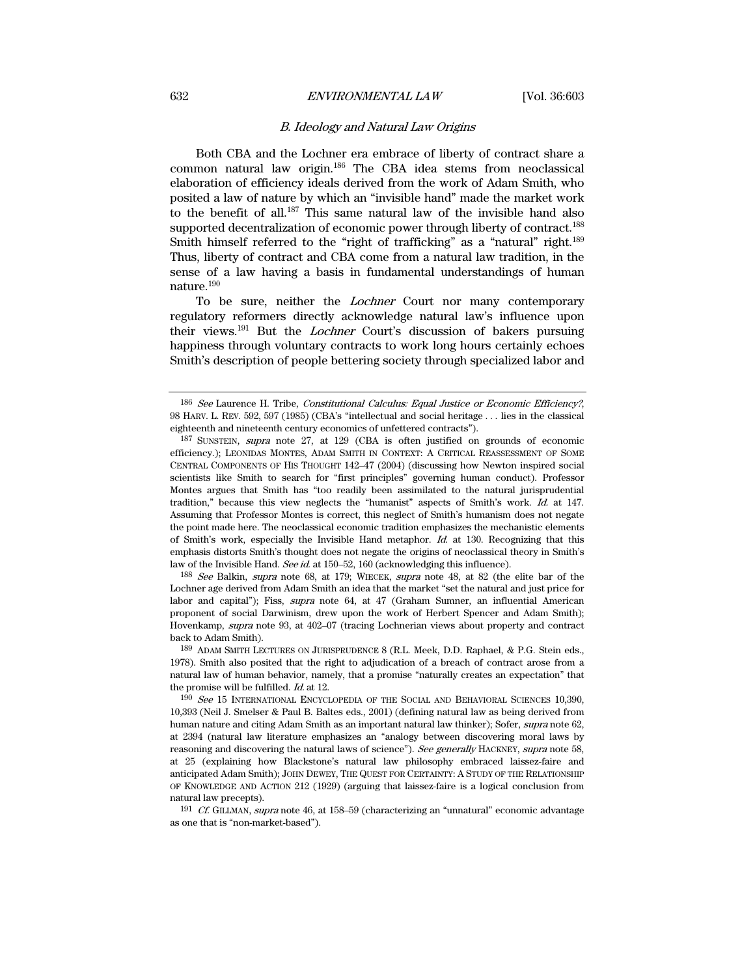# 632 ENVIRONMENTAL LAW [Vol. 36:603

# B. Ideology and Natural Law Origins

Both CBA and the Lochner era embrace of liberty of contract share a common natural law origin.186 The CBA idea stems from neoclassical elaboration of efficiency ideals derived from the work of Adam Smith, who posited a law of nature by which an "invisible hand" made the market work to the benefit of all.187 This same natural law of the invisible hand also supported decentralization of economic power through liberty of contract.<sup>188</sup> Smith himself referred to the "right of trafficking" as a "natural" right.<sup>189</sup> Thus, liberty of contract and CBA come from a natural law tradition, in the sense of a law having a basis in fundamental understandings of human nature.190

To be sure, neither the *Lochner* Court nor many contemporary regulatory reformers directly acknowledge natural law's influence upon their views.191 But the Lochner Court's discussion of bakers pursuing happiness through voluntary contracts to work long hours certainly echoes Smith's description of people bettering society through specialized labor and

188 See Balkin, supra note 68, at 179; WIECEK, supra note 48, at 82 (the elite bar of the Lochner age derived from Adam Smith an idea that the market "set the natural and just price for labor and capital"); Fiss, *supra* note 64, at 47 (Graham Sumner, an influential American proponent of social Darwinism, drew upon the work of Herbert Spencer and Adam Smith); Hovenkamp, supra note 93, at 402–07 (tracing Lochnerian views about property and contract back to Adam Smith).

<sup>186</sup> See Laurence H. Tribe, Constitutional Calculus: Equal Justice or Economic Efficiency?, 98 HARV. L. REV. 592, 597 (1985) (CBA's "intellectual and social heritage . . . lies in the classical eighteenth and nineteenth century economics of unfettered contracts").

<sup>187</sup> SUNSTEIN, supra note 27, at 129 (CBA is often justified on grounds of economic efficiency.); LEONIDAS MONTES, ADAM SMITH IN CONTEXT: A CRITICAL REASSESSMENT OF SOME CENTRAL COMPONENTS OF HIS THOUGHT 142–47 (2004) (discussing how Newton inspired social scientists like Smith to search for "first principles" governing human conduct). Professor Montes argues that Smith has "too readily been assimilated to the natural jurisprudential tradition," because this view neglects the "humanist" aspects of Smith's work. Id. at 147. Assuming that Professor Montes is correct, this neglect of Smith's humanism does not negate the point made here. The neoclassical economic tradition emphasizes the mechanistic elements of Smith's work, especially the Invisible Hand metaphor. Id. at 130. Recognizing that this emphasis distorts Smith's thought does not negate the origins of neoclassical theory in Smith's law of the Invisible Hand. See id. at 150-52, 160 (acknowledging this influence).

<sup>189</sup> ADAM SMITH LECTURES ON JURISPRUDENCE 8 (R.L. Meek, D.D. Raphael, & P.G. Stein eds., 1978). Smith also posited that the right to adjudication of a breach of contract arose from a natural law of human behavior, namely, that a promise "naturally creates an expectation" that the promise will be fulfilled. Id. at 12.

<sup>190</sup> See 15 INTERNATIONAL ENCYCLOPEDIA OF THE SOCIAL AND BEHAVIORAL SCIENCES 10,390, 10,393 (Neil J. Smelser & Paul B. Baltes eds., 2001) (defining natural law as being derived from human nature and citing Adam Smith as an important natural law thinker); Sofer, supra note 62, at 2394 (natural law literature emphasizes an "analogy between discovering moral laws by reasoning and discovering the natural laws of science"). See generally HACKNEY, supra note 58, at 25 (explaining how Blackstone's natural law philosophy embraced laissez-faire and anticipated Adam Smith); JOHN DEWEY, THE QUEST FOR CERTAINTY: A STUDY OF THE RELATIONSHIP OF KNOWLEDGE AND ACTION 212 (1929) (arguing that laissez-faire is a logical conclusion from natural law precepts).

<sup>191</sup> Cf. GILLMAN, supra note 46, at 158–59 (characterizing an "unnatural" economic advantage as one that is "non-market-based").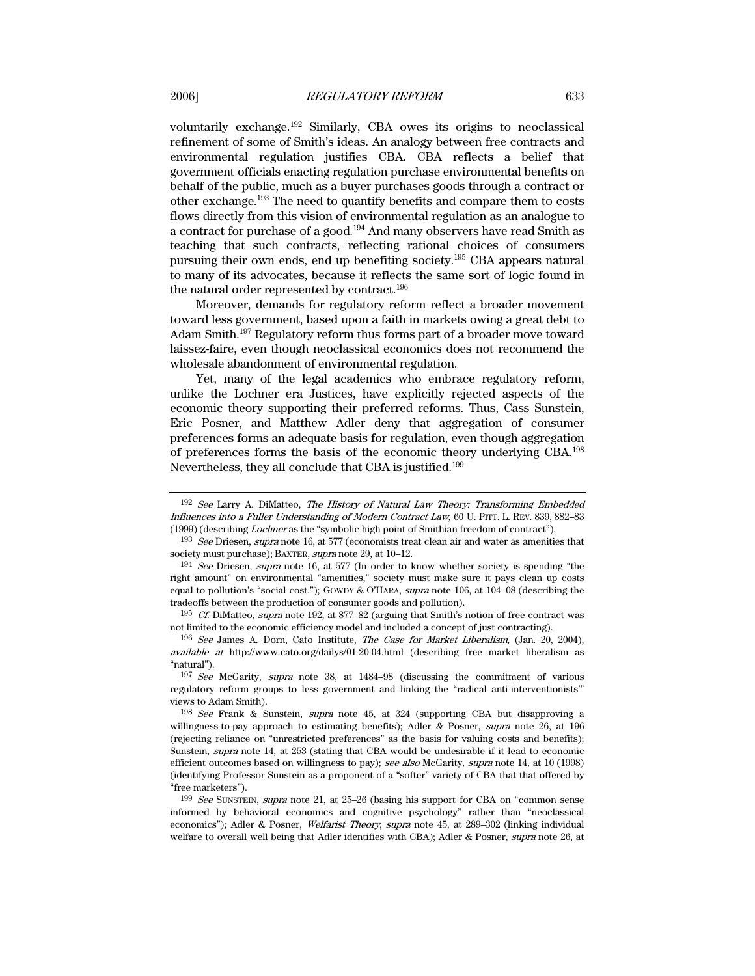voluntarily exchange.192 Similarly, CBA owes its origins to neoclassical refinement of some of Smith's ideas. An analogy between free contracts and environmental regulation justifies CBA. CBA reflects a belief that government officials enacting regulation purchase environmental benefits on behalf of the public, much as a buyer purchases goods through a contract or other exchange.193 The need to quantify benefits and compare them to costs flows directly from this vision of environmental regulation as an analogue to a contract for purchase of a good.194 And many observers have read Smith as teaching that such contracts, reflecting rational choices of consumers pursuing their own ends, end up benefiting society.195 CBA appears natural to many of its advocates, because it reflects the same sort of logic found in the natural order represented by contract.196

Moreover, demands for regulatory reform reflect a broader movement toward less government, based upon a faith in markets owing a great debt to Adam Smith.197 Regulatory reform thus forms part of a broader move toward laissez-faire, even though neoclassical economics does not recommend the wholesale abandonment of environmental regulation.

Yet, many of the legal academics who embrace regulatory reform, unlike the Lochner era Justices, have explicitly rejected aspects of the economic theory supporting their preferred reforms. Thus, Cass Sunstein, Eric Posner, and Matthew Adler deny that aggregation of consumer preferences forms an adequate basis for regulation, even though aggregation of preferences forms the basis of the economic theory underlying CBA.198 Nevertheless, they all conclude that CBA is justified.199

<sup>192</sup> See Larry A. DiMatteo, The History of Natural Law Theory: Transforming Embedded Influences into a Fuller Understanding of Modern Contract Law, 60 U. PITT. L. REV. 839, 882–83 (1999) (describing Lochner as the "symbolic high point of Smithian freedom of contract").

<sup>&</sup>lt;sup>193</sup> See Driesen, supra note 16, at 577 (economists treat clean air and water as amenities that society must purchase); BAXTER, *supra* note 29, at 10–12.

<sup>194</sup> See Driesen, supra note 16, at 577 (In order to know whether society is spending "the right amount" on environmental "amenities," society must make sure it pays clean up costs equal to pollution's "social cost."); GOWDY & O'HARA, supra note 106, at 104–08 (describing the tradeoffs between the production of consumer goods and pollution).

 $195$  Cf. DiMatteo, supra note 192, at 877–82 (arguing that Smith's notion of free contract was not limited to the economic efficiency model and included a concept of just contracting).

<sup>196</sup> See James A. Dorn, Cato Institute, The Case for Market Liberalism, (Jan. 20, 2004), available at http://www.cato.org/dailys/01-20-04.html (describing free market liberalism as "natural").

<sup>197</sup> See McGarity, supra note 38, at 1484–98 (discussing the commitment of various regulatory reform groups to less government and linking the "radical anti-interventionists'" views to Adam Smith).

<sup>198</sup> See Frank & Sunstein, supra note 45, at 324 (supporting CBA but disapproving a willingness-to-pay approach to estimating benefits); Adler & Posner, supra note 26, at 196 (rejecting reliance on "unrestricted preferences" as the basis for valuing costs and benefits); Sunstein, supra note 14, at 253 (stating that CBA would be undesirable if it lead to economic efficient outcomes based on willingness to pay); see also McGarity, supra note 14, at 10 (1998) (identifying Professor Sunstein as a proponent of a "softer" variety of CBA that that offered by "free marketers").

<sup>199</sup> See SUNSTEIN, supra note 21, at 25–26 (basing his support for CBA on "common sense informed by behavioral economics and cognitive psychology" rather than "neoclassical economics"); Adler & Posner, Welfarist Theory, supra note 45, at 289–302 (linking individual welfare to overall well being that Adler identifies with CBA); Adler & Posner, *supra* note 26, at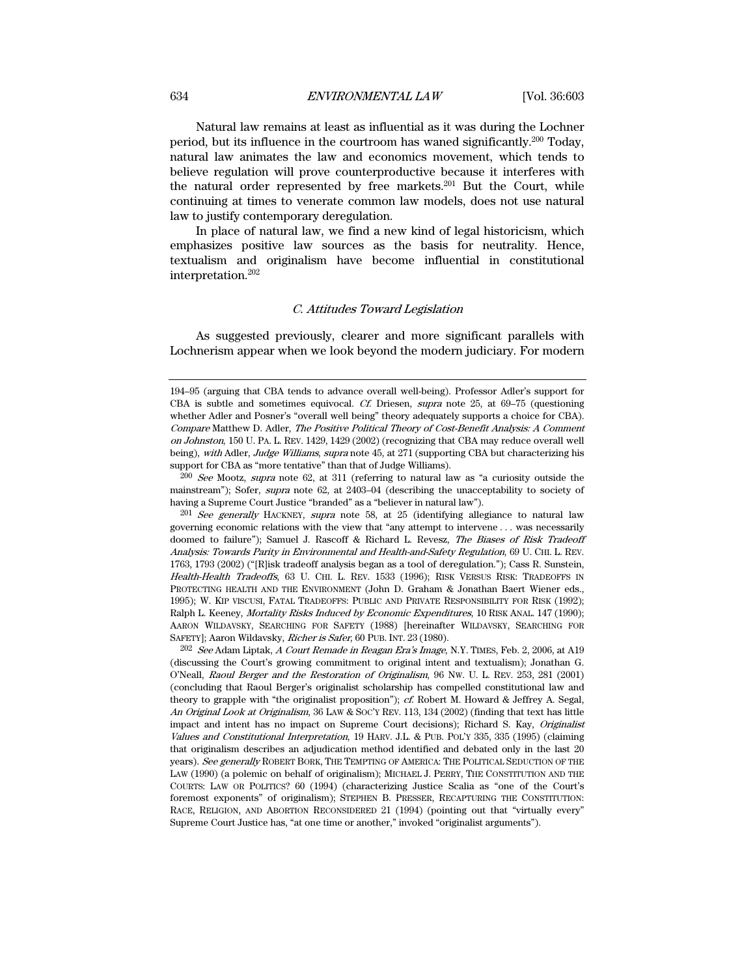Natural law remains at least as influential as it was during the Lochner period, but its influence in the courtroom has waned significantly.200 Today, natural law animates the law and economics movement, which tends to believe regulation will prove counterproductive because it interferes with the natural order represented by free markets.201 But the Court, while continuing at times to venerate common law models, does not use natural law to justify contemporary deregulation.

In place of natural law, we find a new kind of legal historicism, which emphasizes positive law sources as the basis for neutrality. Hence, textualism and originalism have become influential in constitutional interpretation.202

# C. Attitudes Toward Legislation

As suggested previously, clearer and more significant parallels with Lochnerism appear when we look beyond the modern judiciary. For modern

200 See Mootz, supra note 62, at 311 (referring to natural law as "a curiosity outside the mainstream"); Sofer, supra note 62, at 2403–04 (describing the unacceptability to society of having a Supreme Court Justice "branded" as a "believer in natural law").

 $201$  See generally HACKNEY, supra note 58, at 25 (identifying allegiance to natural law governing economic relations with the view that "any attempt to intervene . . . was necessarily doomed to failure"); Samuel J. Rascoff & Richard L. Revesz, The Biases of Risk Tradeoff Analysis: Towards Parity in Environmental and Health-and-Safety Regulation, 69 U. CHI. L. REV. 1763, 1793 (2002) ("[R]isk tradeoff analysis began as a tool of deregulation."); Cass R. Sunstein, Health-Health Tradeoffs, 63 U. CHI. L. REV. 1533 (1996); RISK VERSUS RISK: TRADEOFFS IN PROTECTING HEALTH AND THE ENVIRONMENT (John D. Graham & Jonathan Baert Wiener eds., 1995); W. KIP VISCUSI, FATAL TRADEOFFS: PUBLIC AND PRIVATE RESPONSIBILITY FOR RISK (1992); Ralph L. Keeney, Mortality Risks Induced by Economic Expenditures, 10 RISK ANAL. 147 (1990); AARON WILDAVSKY, SEARCHING FOR SAFETY (1988) [hereinafter WILDAVSKY, SEARCHING FOR SAFETY]; Aaron Wildavsky, Richer is Safer, 60 PUB. INT. 23 (1980).

202 See Adam Liptak, A Court Remade in Reagan Era's Image, N.Y. TIMES, Feb. 2, 2006, at A19 (discussing the Court's growing commitment to original intent and textualism); Jonathan G. O'Neall, Raoul Berger and the Restoration of Originalism, 96 NW. U. L. REV. 253, 281 (2001) (concluding that Raoul Berger's originalist scholarship has compelled constitutional law and theory to grapple with "the originalist proposition"); cf. Robert M. Howard & Jeffrey A. Segal, An Original Look at Originalism, 36 LAW & SOC'Y REV. 113, 134 (2002) (finding that text has little impact and intent has no impact on Supreme Court decisions); Richard S. Kay, Originalist Values and Constitutional Interpretation, 19 HARV. J.L. & PUB. POL'Y 335, 335 (1995) (claiming that originalism describes an adjudication method identified and debated only in the last 20 years). See generally ROBERT BORK, THE TEMPTING OF AMERICA: THE POLITICAL SEDUCTION OF THE LAW (1990) (a polemic on behalf of originalism); MICHAEL J. PERRY, THE CONSTITUTION AND THE COURTS: LAW OR POLITICS? 60 (1994) (characterizing Justice Scalia as "one of the Court's foremost exponents" of originalism); STEPHEN B. PRESSER, RECAPTURING THE CONSTITUTION: RACE, RELIGION, AND ABORTION RECONSIDERED 21 (1994) (pointing out that "virtually every" Supreme Court Justice has, "at one time or another," invoked "originalist arguments").

<sup>194–95 (</sup>arguing that CBA tends to advance overall well-being). Professor Adler's support for CBA is subtle and sometimes equivocal. Cf. Driesen, supra note 25, at 69–75 (questioning whether Adler and Posner's "overall well being" theory adequately supports a choice for CBA). Compare Matthew D. Adler, The Positive Political Theory of Cost-Benefit Analysis: A Comment on Johnston, 150 U. PA. L. REV. 1429, 1429 (2002) (recognizing that CBA may reduce overall well being), with Adler, Judge Williams, supra note 45, at 271 (supporting CBA but characterizing his support for CBA as "more tentative" than that of Judge Williams).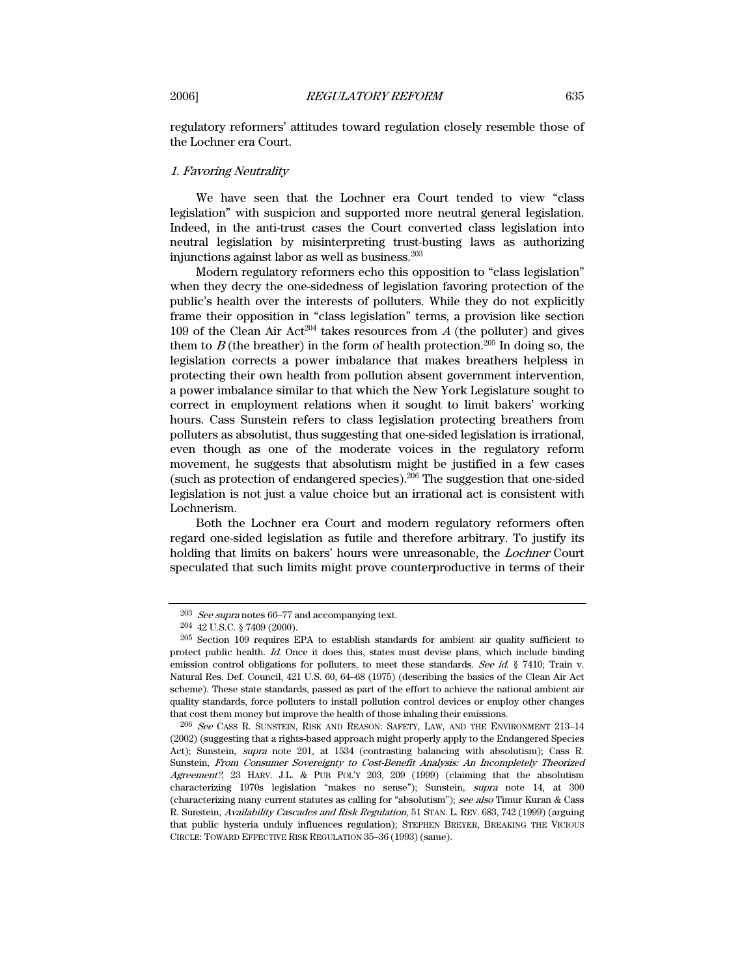regulatory reformers' attitudes toward regulation closely resemble those of the Lochner era Court.

# 1. Favoring Neutrality

We have seen that the Lochner era Court tended to view "class legislation" with suspicion and supported more neutral general legislation. Indeed, in the anti-trust cases the Court converted class legislation into neutral legislation by misinterpreting trust-busting laws as authorizing injunctions against labor as well as business.203

Modern regulatory reformers echo this opposition to "class legislation" when they decry the one-sidedness of legislation favoring protection of the public's health over the interests of polluters. While they do not explicitly frame their opposition in "class legislation" terms, a provision like section 109 of the Clean Air Act<sup>204</sup> takes resources from  $A$  (the polluter) and gives them to  $B$  (the breather) in the form of health protection.<sup>205</sup> In doing so, the legislation corrects a power imbalance that makes breathers helpless in protecting their own health from pollution absent government intervention, a power imbalance similar to that which the New York Legislature sought to correct in employment relations when it sought to limit bakers' working hours. Cass Sunstein refers to class legislation protecting breathers from polluters as absolutist, thus suggesting that one-sided legislation is irrational, even though as one of the moderate voices in the regulatory reform movement, he suggests that absolutism might be justified in a few cases (such as protection of endangered species).206 The suggestion that one-sided legislation is not just a value choice but an irrational act is consistent with Lochnerism.

Both the Lochner era Court and modern regulatory reformers often regard one-sided legislation as futile and therefore arbitrary. To justify its holding that limits on bakers' hours were unreasonable, the Lochner Court speculated that such limits might prove counterproductive in terms of their

 $203$  See supra notes 66–77 and accompanying text.

<sup>204 42</sup> U.S.C. § 7409 (2000).

<sup>205</sup> Section 109 requires EPA to establish standards for ambient air quality sufficient to protect public health. Id. Once it does this, states must devise plans, which include binding emission control obligations for polluters, to meet these standards. See id. § 7410; Train v. Natural Res. Def. Council, 421 U.S. 60, 64–68 (1975) (describing the basics of the Clean Air Act scheme). These state standards, passed as part of the effort to achieve the national ambient air quality standards, force polluters to install pollution control devices or employ other changes that cost them money but improve the health of those inhaling their emissions.

<sup>206</sup> See CASS R. SUNSTEIN, RISK AND REASON: SAFETY, LAW, AND THE ENVIRONMENT 213–14 (2002) (suggesting that a rights-based approach might properly apply to the Endangered Species Act); Sunstein, supra note 201, at 1534 (contrasting balancing with absolutism); Cass R. Sunstein, From Consumer Sovereignty to Cost-Benefit Analysis: An Incompletely Theorized Agreement?, 23 HARV. J.L. & PUB POL'Y 203, 209 (1999) (claiming that the absolutism characterizing 1970s legislation "makes no sense"); Sunstein, supra note 14, at 300 (characterizing many current statutes as calling for "absolutism"); see also Timur Kuran & Cass R. Sunstein, Availability Cascades and Risk Regulation, 51 STAN. L. REV. 683, 742 (1999) (arguing that public hysteria unduly influences regulation); STEPHEN BREYER, BREAKING THE VICIOUS CIRCLE: TOWARD EFFECTIVE RISK REGULATION 35–36 (1993) (same).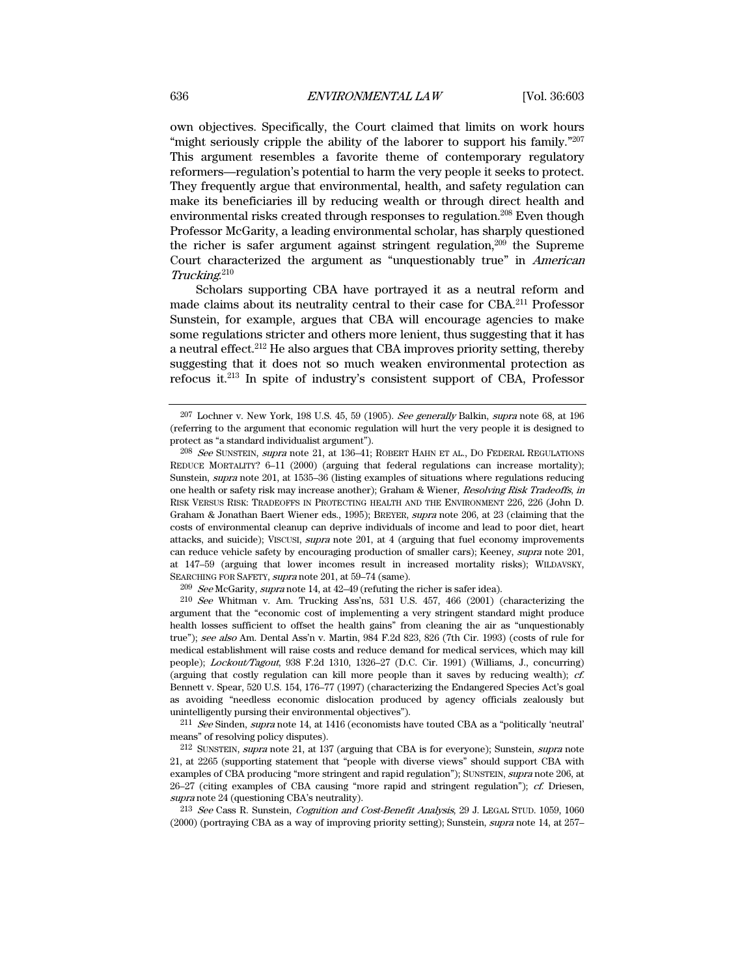own objectives. Specifically, the Court claimed that limits on work hours "might seriously cripple the ability of the laborer to support his family."<sup>207</sup> This argument resembles a favorite theme of contemporary regulatory reformers—regulation's potential to harm the very people it seeks to protect. They frequently argue that environmental, health, and safety regulation can make its beneficiaries ill by reducing wealth or through direct health and environmental risks created through responses to regulation.<sup>208</sup> Even though Professor McGarity, a leading environmental scholar, has sharply questioned the richer is safer argument against stringent regulation, $209$  the Supreme Court characterized the argument as "unquestionably true" in American Trucking. 210

Scholars supporting CBA have portrayed it as a neutral reform and made claims about its neutrality central to their case for CBA.211 Professor Sunstein, for example, argues that CBA will encourage agencies to make some regulations stricter and others more lenient, thus suggesting that it has a neutral effect.212 He also argues that CBA improves priority setting, thereby suggesting that it does not so much weaken environmental protection as refocus it.213 In spite of industry's consistent support of CBA, Professor

209 See McGarity, supra note 14, at 42–49 (refuting the richer is safer idea).

210 See Whitman v. Am. Trucking Ass'ns, 531 U.S. 457, 466 (2001) (characterizing the argument that the "economic cost of implementing a very stringent standard might produce health losses sufficient to offset the health gains" from cleaning the air as "unquestionably true"); see also Am. Dental Ass'n v. Martin, 984 F.2d 823, 826 (7th Cir. 1993) (costs of rule for medical establishment will raise costs and reduce demand for medical services, which may kill people); Lockout/Tagout, 938 F.2d 1310, 1326–27 (D.C. Cir. 1991) (Williams, J., concurring) (arguing that costly regulation can kill more people than it saves by reducing wealth); cf. Bennett v. Spear, 520 U.S. 154, 176–77 (1997) (characterizing the Endangered Species Act's goal as avoiding "needless economic dislocation produced by agency officials zealously but unintelligently pursing their environmental objectives").

 $2^{11}$  See Sinden, supra note 14, at 1416 (economists have touted CBA as a "politically 'neutral' means" of resolving policy disputes).

213 See Cass R. Sunstein, Cognition and Cost-Benefit Analysis, 29 J. LEGAL STUD. 1059, 1060 (2000) (portraying CBA as a way of improving priority setting); Sunstein, supra note 14, at 257–

 $207$  Lochner v. New York, 198 U.S. 45, 59 (1905). See generally Balkin, supra note 68, at 196 (referring to the argument that economic regulation will hurt the very people it is designed to protect as "a standard individualist argument").

<sup>208</sup> See SUNSTEIN, supra note 21, at 136–41; ROBERT HAHN ET AL., DO FEDERAL REGULATIONS REDUCE MORTALITY? 6–11 (2000) (arguing that federal regulations can increase mortality); Sunstein, supra note 201, at 1535–36 (listing examples of situations where regulations reducing one health or safety risk may increase another); Graham & Wiener, Resolving Risk Tradeoffs, in RISK VERSUS RISK: TRADEOFFS IN PROTECTING HEALTH AND THE ENVIRONMENT 226, 226 (John D. Graham & Jonathan Baert Wiener eds., 1995); BREYER, supra note 206, at 23 (claiming that the costs of environmental cleanup can deprive individuals of income and lead to poor diet, heart attacks, and suicide); VISCUSI, supra note 201, at 4 (arguing that fuel economy improvements can reduce vehicle safety by encouraging production of smaller cars); Keeney, supra note 201, at 147–59 (arguing that lower incomes result in increased mortality risks); WILDAVSKY, SEARCHING FOR SAFETY, supra note 201, at 59–74 (same).

<sup>212</sup> SUNSTEIN, supra note 21, at 137 (arguing that CBA is for everyone); Sunstein, supra note 21, at 2265 (supporting statement that "people with diverse views" should support CBA with examples of CBA producing "more stringent and rapid regulation"); SUNSTEIN, supra note 206, at  $26-27$  (citing examples of CBA causing "more rapid and stringent regulation");  $ct$  Driesen, supra note 24 (questioning CBA's neutrality).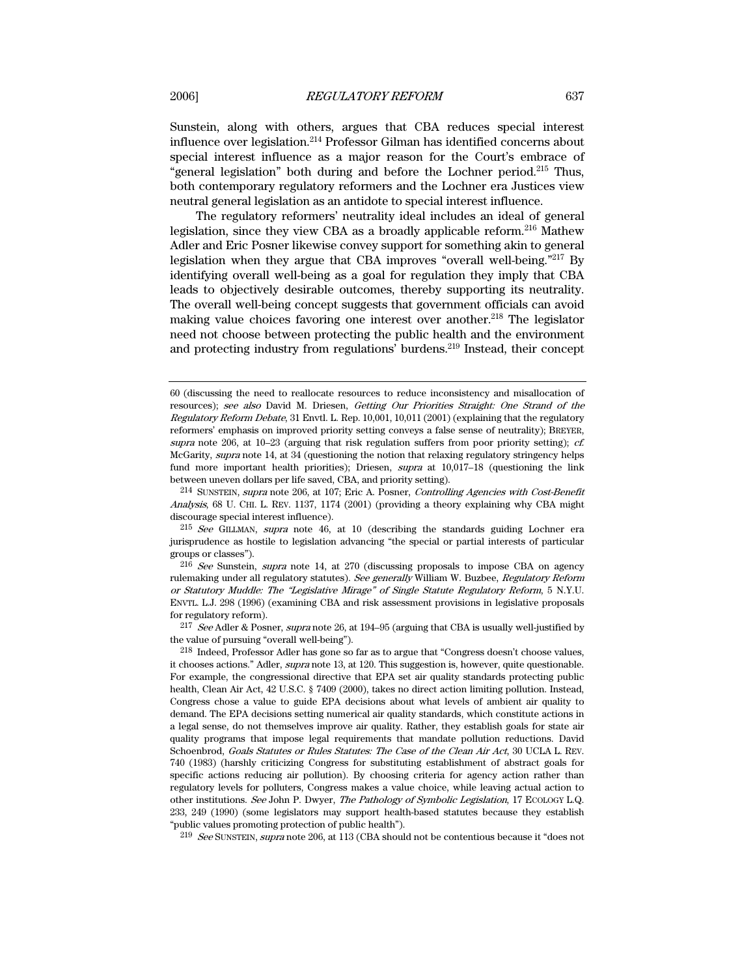Sunstein, along with others, argues that CBA reduces special interest influence over legislation.214 Professor Gilman has identified concerns about special interest influence as a major reason for the Court's embrace of "general legislation" both during and before the Lochner period.215 Thus, both contemporary regulatory reformers and the Lochner era Justices view neutral general legislation as an antidote to special interest influence.

The regulatory reformers' neutrality ideal includes an ideal of general legislation, since they view CBA as a broadly applicable reform.<sup>216</sup> Mathew Adler and Eric Posner likewise convey support for something akin to general legislation when they argue that CBA improves "overall well-being."217 By identifying overall well-being as a goal for regulation they imply that CBA leads to objectively desirable outcomes, thereby supporting its neutrality. The overall well-being concept suggests that government officials can avoid making value choices favoring one interest over another.<sup>218</sup> The legislator need not choose between protecting the public health and the environment and protecting industry from regulations' burdens.219 Instead, their concept

214 SUNSTEIN, supra note 206, at 107; Eric A. Posner, Controlling Agencies with Cost-Benefit Analysis, 68 U. CHI. L. REV. 1137, 1174 (2001) (providing a theory explaining why CBA might discourage special interest influence).

215 See GILLMAN, supra note 46, at 10 (describing the standards guiding Lochner era jurisprudence as hostile to legislation advancing "the special or partial interests of particular groups or classes").

 $217$  See Adler & Posner, supra note 26, at 194–95 (arguing that CBA is usually well-justified by the value of pursuing "overall well-being").

219 See SUNSTEIN, supra note 206, at 113 (CBA should not be contentious because it "does not

<sup>60</sup> (discussing the need to reallocate resources to reduce inconsistency and misallocation of resources); see also David M. Driesen, Getting Our Priorities Straight: One Strand of the Regulatory Reform Debate, 31 Envtl. L. Rep. 10,001, 10,011 (2001) (explaining that the regulatory reformers' emphasis on improved priority setting conveys a false sense of neutrality); BREYER, supra note 206, at  $10-23$  (arguing that risk regulation suffers from poor priority setting); cf. McGarity, supra note 14, at 34 (questioning the notion that relaxing regulatory stringency helps fund more important health priorities); Driesen, *supra* at  $10,017-18$  (questioning the link between uneven dollars per life saved, CBA, and priority setting).

<sup>216</sup> See Sunstein, supra note 14, at 270 (discussing proposals to impose CBA on agency rulemaking under all regulatory statutes). See generally William W. Buzbee, Regulatory Reform or Statutory Muddle: The "Legislative Mirage" of Single Statute Regulatory Reform, 5 N.Y.U. ENVTL. L.J. 298 (1996) (examining CBA and risk assessment provisions in legislative proposals for regulatory reform).

<sup>218</sup> Indeed, Professor Adler has gone so far as to argue that "Congress doesn't choose values, it chooses actions." Adler, supra note 13, at 120. This suggestion is, however, quite questionable. For example, the congressional directive that EPA set air quality standards protecting public health, Clean Air Act, 42 U.S.C. § 7409 (2000), takes no direct action limiting pollution. Instead, Congress chose a value to guide EPA decisions about what levels of ambient air quality to demand. The EPA decisions setting numerical air quality standards, which constitute actions in a legal sense, do not themselves improve air quality. Rather, they establish goals for state air quality programs that impose legal requirements that mandate pollution reductions. David Schoenbrod, Goals Statutes or Rules Statutes: The Case of the Clean Air Act, 30 UCLA L. REV. 740 (1983) (harshly criticizing Congress for substituting establishment of abstract goals for specific actions reducing air pollution). By choosing criteria for agency action rather than regulatory levels for polluters, Congress makes a value choice, while leaving actual action to other institutions. See John P. Dwyer, The Pathology of Symbolic Legislation, 17 ECOLOGY L.Q. 233, 249 (1990) (some legislators may support health-based statutes because they establish "public values promoting protection of public health").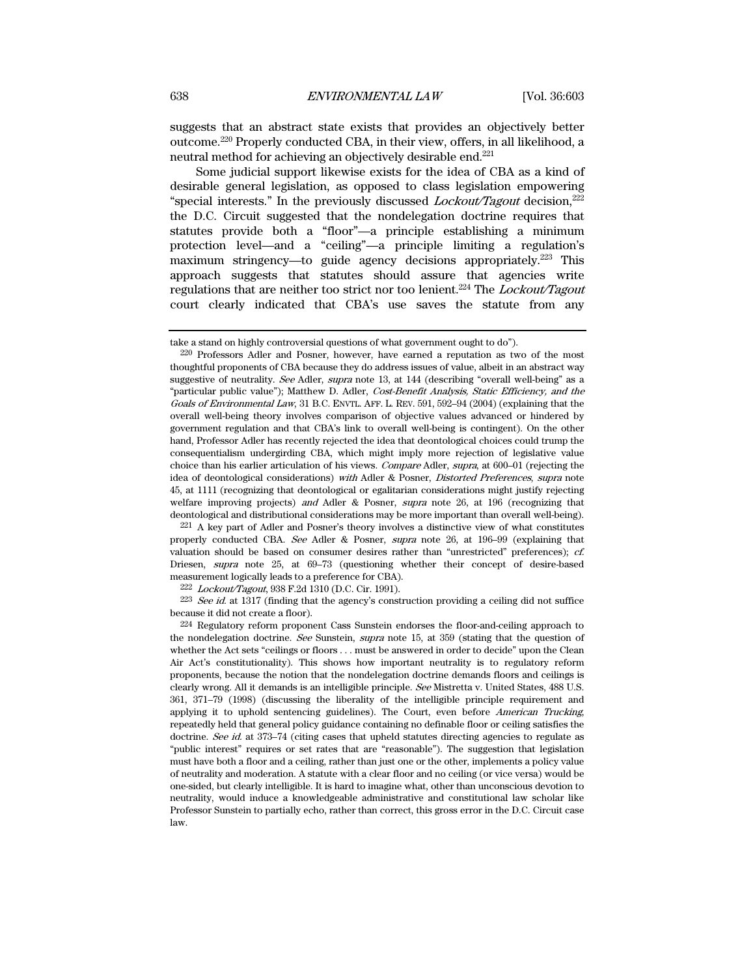suggests that an abstract state exists that provides an objectively better outcome.220 Properly conducted CBA, in their view, offers, in all likelihood, a neutral method for achieving an objectively desirable end.221

Some judicial support likewise exists for the idea of CBA as a kind of desirable general legislation, as opposed to class legislation empowering "special interests." In the previously discussed *Lockout/Tagout* decision, $^{222}$ the D.C. Circuit suggested that the nondelegation doctrine requires that statutes provide both a "floor"—a principle establishing a minimum protection level—and a "ceiling"—a principle limiting a regulation's maximum stringency—to guide agency decisions appropriately.223 This approach suggests that statutes should assure that agencies write regulations that are neither too strict nor too lenient.<sup>224</sup> The *Lockout/Tagout* court clearly indicated that CBA's use saves the statute from any

221 A key part of Adler and Posner's theory involves a distinctive view of what constitutes properly conducted CBA. See Adler & Posner, supra note 26, at 196–99 (explaining that valuation should be based on consumer desires rather than "unrestricted" preferences); cf. Driesen, supra note 25, at 69–73 (questioning whether their concept of desire-based measurement logically leads to a preference for CBA).

222 Lockout/Tagout, 938 F.2d 1310 (D.C. Cir. 1991).

<sup>223</sup> See id. at 1317 (finding that the agency's construction providing a ceiling did not suffice because it did not create a floor).

take a stand on highly controversial questions of what government ought to do").

<sup>220</sup> Professors Adler and Posner, however, have earned a reputation as two of the most thoughtful proponents of CBA because they do address issues of value, albeit in an abstract way suggestive of neutrality. See Adler, supra note 13, at 144 (describing "overall well-being" as a "particular public value"); Matthew D. Adler, Cost-Benefit Analysis, Static Efficiency, and the Goals of Environmental Law, 31 B.C. ENVTL. AFF. L. REV. 591, 592–94 (2004) (explaining that the overall well-being theory involves comparison of objective values advanced or hindered by government regulation and that CBA's link to overall well-being is contingent). On the other hand, Professor Adler has recently rejected the idea that deontological choices could trump the consequentialism undergirding CBA, which might imply more rejection of legislative value choice than his earlier articulation of his views. Compare Adler, supra, at 600–01 (rejecting the idea of deontological considerations) with Adler & Posner, Distorted Preferences, supra note 45, at 1111 (recognizing that deontological or egalitarian considerations might justify rejecting welfare improving projects) and Adler & Posner, supra note 26, at 196 (recognizing that deontological and distributional considerations may be more important than overall well-being).

<sup>224</sup> Regulatory reform proponent Cass Sunstein endorses the floor-and-ceiling approach to the nondelegation doctrine. See Sunstein, supra note 15, at 359 (stating that the question of whether the Act sets "ceilings or floors . . . must be answered in order to decide" upon the Clean Air Act's constitutionality). This shows how important neutrality is to regulatory reform proponents, because the notion that the nondelegation doctrine demands floors and ceilings is clearly wrong. All it demands is an intelligible principle. See Mistretta v. United States, 488 U.S. 361, 371–79 (1998) (discussing the liberality of the intelligible principle requirement and applying it to uphold sentencing guidelines). The Court, even before American Trucking, repeatedly held that general policy guidance containing no definable floor or ceiling satisfies the doctrine. See id. at 373-74 (citing cases that upheld statutes directing agencies to regulate as "public interest" requires or set rates that are "reasonable"). The suggestion that legislation must have both a floor and a ceiling, rather than just one or the other, implements a policy value of neutrality and moderation. A statute with a clear floor and no ceiling (or vice versa) would be one-sided, but clearly intelligible. It is hard to imagine what, other than unconscious devotion to neutrality, would induce a knowledgeable administrative and constitutional law scholar like Professor Sunstein to partially echo, rather than correct, this gross error in the D.C. Circuit case law.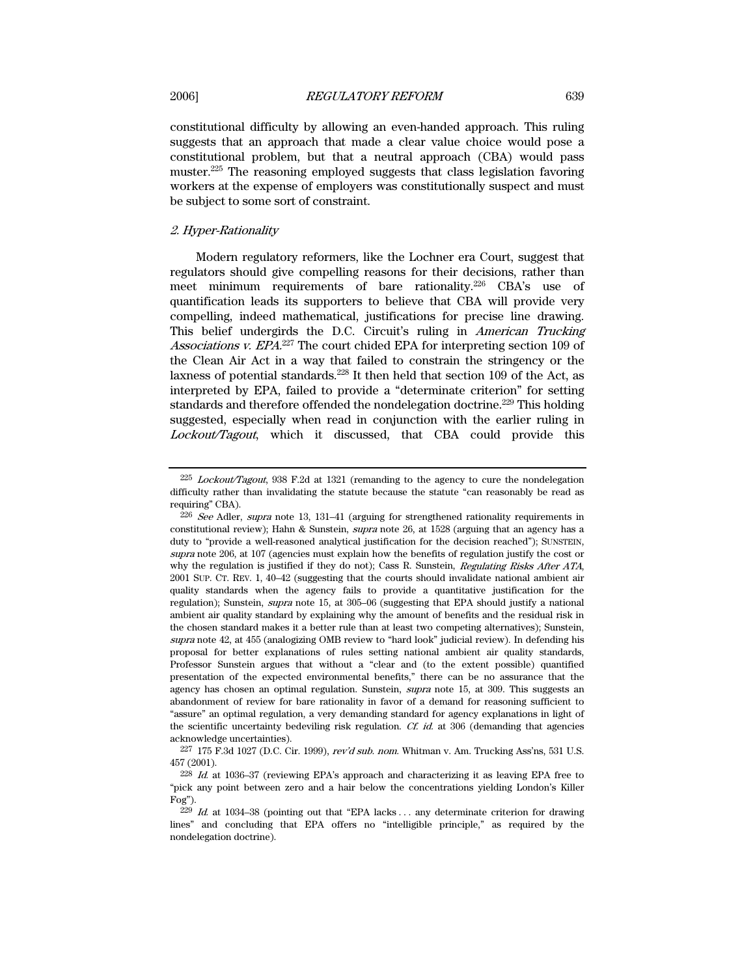constitutional difficulty by allowing an even-handed approach. This ruling suggests that an approach that made a clear value choice would pose a constitutional problem, but that a neutral approach (CBA) would pass muster.225 The reasoning employed suggests that class legislation favoring workers at the expense of employers was constitutionally suspect and must be subject to some sort of constraint.

# 2. Hyper-Rationality

Modern regulatory reformers, like the Lochner era Court, suggest that regulators should give compelling reasons for their decisions, rather than meet minimum requirements of bare rationality.<sup>226</sup> CBA's use of quantification leads its supporters to believe that CBA will provide very compelling, indeed mathematical, justifications for precise line drawing. This belief undergirds the D.C. Circuit's ruling in American Trucking Associations v. EPA.<sup>227</sup> The court chided EPA for interpreting section 109 of the Clean Air Act in a way that failed to constrain the stringency or the laxness of potential standards.<sup>228</sup> It then held that section 109 of the Act, as interpreted by EPA, failed to provide a "determinate criterion" for setting standards and therefore offended the nondelegation doctrine.<sup>229</sup> This holding suggested, especially when read in conjunction with the earlier ruling in Lockout/Tagout, which it discussed, that CBA could provide this

<sup>225</sup> Lockout/Tagout, 938 F.2d at 1321 (remanding to the agency to cure the nondelegation difficulty rather than invalidating the statute because the statute "can reasonably be read as requiring" CBA).

 $226$  See Adler, supra note 13, 131–41 (arguing for strengthened rationality requirements in constitutional review); Hahn & Sunstein, supra note 26, at 1528 (arguing that an agency has a duty to "provide a well-reasoned analytical justification for the decision reached"); SUNSTEIN, supra note 206, at 107 (agencies must explain how the benefits of regulation justify the cost or why the regulation is justified if they do not); Cass R. Sunstein, Regulating Risks After ATA, 2001 SUP. CT. REV. 1, 40–42 (suggesting that the courts should invalidate national ambient air quality standards when the agency fails to provide a quantitative justification for the regulation); Sunstein, supra note 15, at 305–06 (suggesting that EPA should justify a national ambient air quality standard by explaining why the amount of benefits and the residual risk in the chosen standard makes it a better rule than at least two competing alternatives); Sunstein, supra note 42, at 455 (analogizing OMB review to "hard look" judicial review). In defending his proposal for better explanations of rules setting national ambient air quality standards, Professor Sunstein argues that without a "clear and (to the extent possible) quantified presentation of the expected environmental benefits," there can be no assurance that the agency has chosen an optimal regulation. Sunstein, *supra* note 15, at 309. This suggests an abandonment of review for bare rationality in favor of a demand for reasoning sufficient to "assure" an optimal regulation, a very demanding standard for agency explanations in light of the scientific uncertainty bedeviling risk regulation. Cf. id. at 306 (demanding that agencies acknowledge uncertainties).

 $227$  175 F.3d 1027 (D.C. Cir. 1999), rev'd sub. nom. Whitman v. Am. Trucking Ass'ns, 531 U.S. 457 (2001).

<sup>228</sup> Id. at 1036–37 (reviewing EPA's approach and characterizing it as leaving EPA free to "pick any point between zero and a hair below the concentrations yielding London's Killer Fog").

 $229$  Id. at 1034–38 (pointing out that "EPA lacks ... any determinate criterion for drawing lines" and concluding that EPA offers no "intelligible principle," as required by the nondelegation doctrine).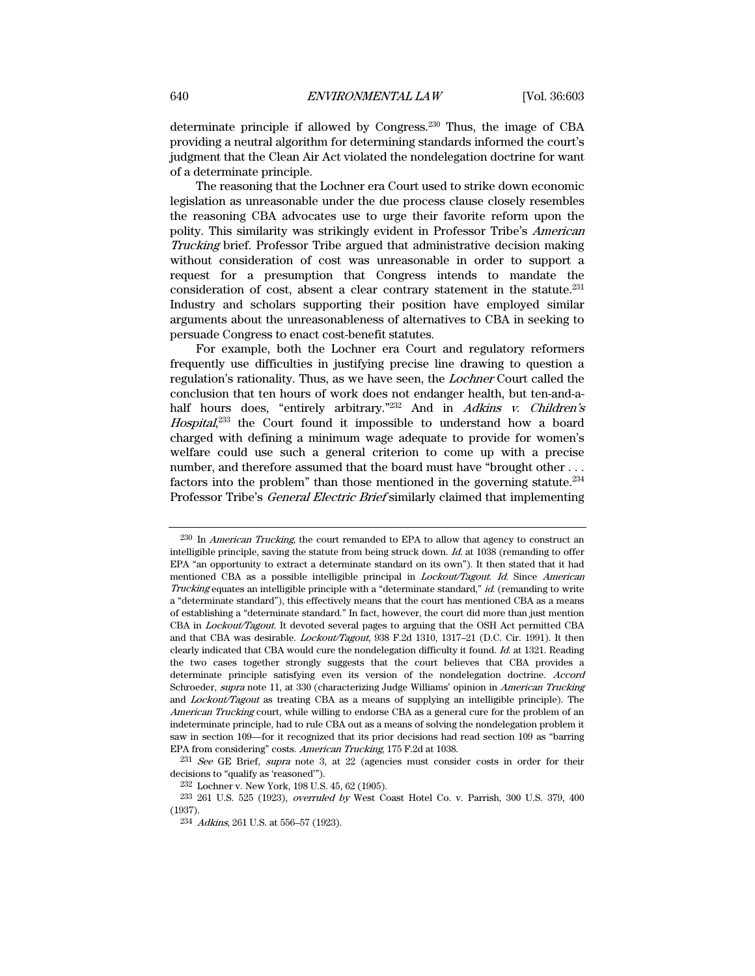determinate principle if allowed by Congress.230 Thus, the image of CBA providing a neutral algorithm for determining standards informed the court's judgment that the Clean Air Act violated the nondelegation doctrine for want of a determinate principle.

The reasoning that the Lochner era Court used to strike down economic legislation as unreasonable under the due process clause closely resembles the reasoning CBA advocates use to urge their favorite reform upon the polity. This similarity was strikingly evident in Professor Tribe's American Trucking brief. Professor Tribe argued that administrative decision making without consideration of cost was unreasonable in order to support a request for a presumption that Congress intends to mandate the consideration of cost, absent a clear contrary statement in the statute.231 Industry and scholars supporting their position have employed similar arguments about the unreasonableness of alternatives to CBA in seeking to persuade Congress to enact cost-benefit statutes.

For example, both the Lochner era Court and regulatory reformers frequently use difficulties in justifying precise line drawing to question a regulation's rationality. Thus, as we have seen, the Lochner Court called the conclusion that ten hours of work does not endanger health, but ten-and-ahalf hours does, "entirely arbitrary."<sup>232</sup> And in *Adkins v. Children's* Hospital,<sup>233</sup> the Court found it impossible to understand how a board charged with defining a minimum wage adequate to provide for women's welfare could use such a general criterion to come up with a precise number, and therefore assumed that the board must have "brought other . . . factors into the problem" than those mentioned in the governing statute. $234$ Professor Tribe's General Electric Brief similarly claimed that implementing

<sup>&</sup>lt;sup>230</sup> In *American Trucking*, the court remanded to EPA to allow that agency to construct an intelligible principle, saving the statute from being struck down.  $Id$  at 1038 (remanding to offer EPA "an opportunity to extract a determinate standard on its own"). It then stated that it had mentioned CBA as a possible intelligible principal in Lockout/Tagout. Id. Since American Trucking equates an intelligible principle with a "determinate standard," id. (remanding to write a "determinate standard"), this effectively means that the court has mentioned CBA as a means of establishing a "determinate standard." In fact, however, the court did more than just mention CBA in Lockout/Tagout. It devoted several pages to arguing that the OSH Act permitted CBA and that CBA was desirable. Lockout/Tagout, 938 F.2d 1310, 1317–21 (D.C. Cir. 1991). It then clearly indicated that CBA would cure the nondelegation difficulty it found. Id. at 1321. Reading the two cases together strongly suggests that the court believes that CBA provides a determinate principle satisfying even its version of the nondelegation doctrine. Accord Schroeder, *supra* note 11, at 330 (characterizing Judge Williams' opinion in *American Trucking* and Lockout/Tagout as treating CBA as a means of supplying an intelligible principle). The American Trucking court, while willing to endorse CBA as a general cure for the problem of an indeterminate principle, had to rule CBA out as a means of solving the nondelegation problem it saw in section 109—for it recognized that its prior decisions had read section 109 as "barring EPA from considering" costs. American Trucking, 175 F.2d at 1038.

 $^{231}$  See GE Brief, supra note 3, at 22 (agencies must consider costs in order for their decisions to "qualify as 'reasoned'").

<sup>232</sup> Lochner v. New York, 198 U.S. 45, 62 (1905).

<sup>233 261</sup> U.S. 525 (1923), overruled by West Coast Hotel Co. v. Parrish, 300 U.S. 379, 400 (1937).

<sup>234</sup> Adkins, 261 U.S. at 556–57 (1923).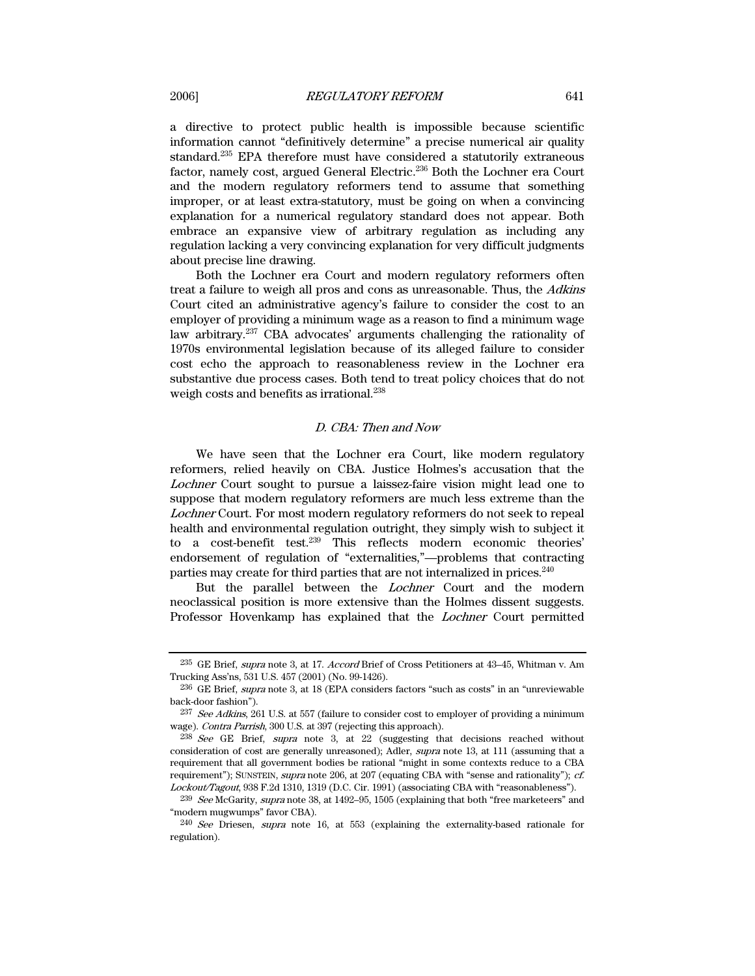a directive to protect public health is impossible because scientific information cannot "definitively determine" a precise numerical air quality standard.235 EPA therefore must have considered a statutorily extraneous factor, namely cost, argued General Electric.236 Both the Lochner era Court and the modern regulatory reformers tend to assume that something improper, or at least extra-statutory, must be going on when a convincing explanation for a numerical regulatory standard does not appear. Both embrace an expansive view of arbitrary regulation as including any regulation lacking a very convincing explanation for very difficult judgments about precise line drawing.

Both the Lochner era Court and modern regulatory reformers often treat a failure to weigh all pros and cons as unreasonable. Thus, the Adkins Court cited an administrative agency's failure to consider the cost to an employer of providing a minimum wage as a reason to find a minimum wage law arbitrary.237 CBA advocates' arguments challenging the rationality of 1970s environmental legislation because of its alleged failure to consider cost echo the approach to reasonableness review in the Lochner era substantive due process cases. Both tend to treat policy choices that do not weigh costs and benefits as irrational.<sup>238</sup>

## D. CBA: Then and Now

We have seen that the Lochner era Court, like modern regulatory reformers, relied heavily on CBA. Justice Holmes's accusation that the Lochner Court sought to pursue a laissez-faire vision might lead one to suppose that modern regulatory reformers are much less extreme than the Lochner Court. For most modern regulatory reformers do not seek to repeal health and environmental regulation outright, they simply wish to subject it to a cost-benefit test.239 This reflects modern economic theories' endorsement of regulation of "externalities,"—problems that contracting parties may create for third parties that are not internalized in prices.<sup>240</sup>

But the parallel between the Lochner Court and the modern neoclassical position is more extensive than the Holmes dissent suggests. Professor Hovenkamp has explained that the Lochner Court permitted

<sup>235</sup> GE Brief, supra note 3, at 17. Accord Brief of Cross Petitioners at 43–45, Whitman v. Am Trucking Ass'ns, 531 U.S. 457 (2001) (No. 99-1426).

<sup>236</sup> GE Brief, supra note 3, at 18 (EPA considers factors "such as costs" in an "unreviewable back-door fashion").

<sup>&</sup>lt;sup>237</sup> See Adkins, 261 U.S. at 557 (failure to consider cost to employer of providing a minimum wage). Contra Parrish, 300 U.S. at 397 (rejecting this approach).

<sup>238</sup> See GE Brief, supra note 3, at 22 (suggesting that decisions reached without consideration of cost are generally unreasoned); Adler, supra note 13, at 111 (assuming that a requirement that all government bodies be rational "might in some contexts reduce to a CBA requirement"); SUNSTEIN, supra note 206, at 207 (equating CBA with "sense and rationality"); cf. Lockout/Tagout, 938 F.2d 1310, 1319 (D.C. Cir. 1991) (associating CBA with "reasonableness").

<sup>&</sup>lt;sup>239</sup> See McGarity, supra note 38, at 1492–95, 1505 (explaining that both "free marketeers" and "modern mugwumps" favor CBA).

<sup>240</sup> See Driesen, supra note 16, at 553 (explaining the externality-based rationale for regulation).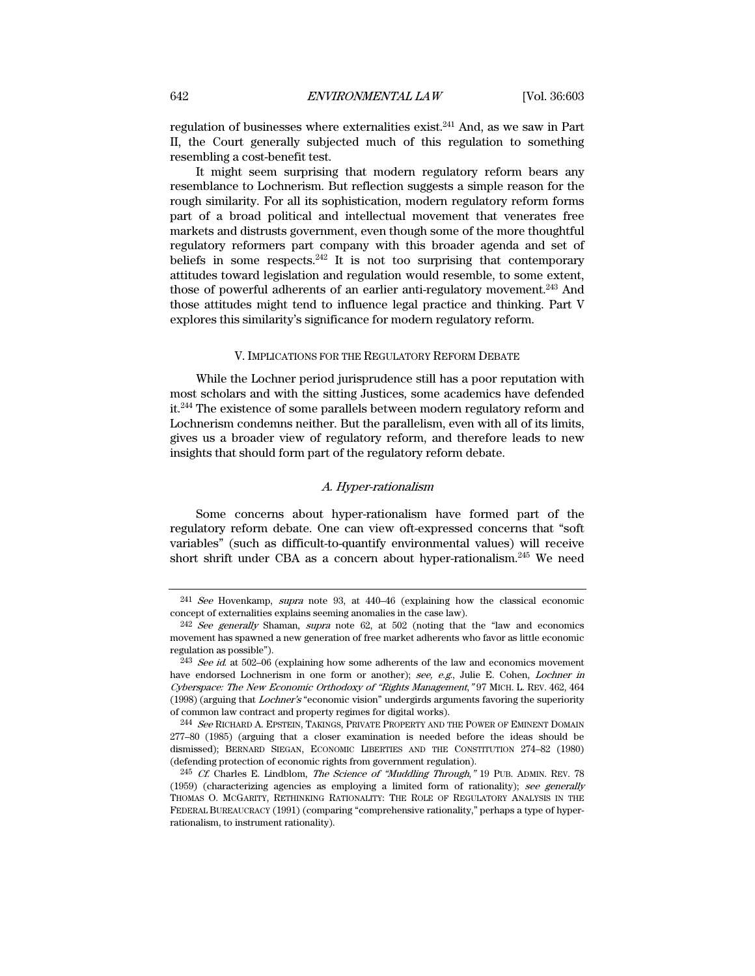regulation of businesses where externalities exist.241 And, as we saw in Part II, the Court generally subjected much of this regulation to something resembling a cost-benefit test.

It might seem surprising that modern regulatory reform bears any resemblance to Lochnerism. But reflection suggests a simple reason for the rough similarity. For all its sophistication, modern regulatory reform forms part of a broad political and intellectual movement that venerates free markets and distrusts government, even though some of the more thoughtful regulatory reformers part company with this broader agenda and set of beliefs in some respects.<sup>242</sup> It is not too surprising that contemporary attitudes toward legislation and regulation would resemble, to some extent, those of powerful adherents of an earlier anti-regulatory movement.243 And those attitudes might tend to influence legal practice and thinking. Part V explores this similarity's significance for modern regulatory reform.

# V. IMPLICATIONS FOR THE REGULATORY REFORM DEBATE

While the Lochner period jurisprudence still has a poor reputation with most scholars and with the sitting Justices, some academics have defended it.244 The existence of some parallels between modern regulatory reform and Lochnerism condemns neither. But the parallelism, even with all of its limits, gives us a broader view of regulatory reform, and therefore leads to new insights that should form part of the regulatory reform debate.

## A. Hyper-rationalism

Some concerns about hyper-rationalism have formed part of the regulatory reform debate. One can view oft-expressed concerns that "soft variables" (such as difficult-to-quantify environmental values) will receive short shrift under CBA as a concern about hyper-rationalism.245 We need

<sup>241</sup> See Hovenkamp, supra note 93, at 440–46 (explaining how the classical economic concept of externalities explains seeming anomalies in the case law).

 $242$  See generally Shaman, supra note 62, at 502 (noting that the "law and economics") movement has spawned a new generation of free market adherents who favor as little economic regulation as possible").

 $243$  See id. at 502–06 (explaining how some adherents of the law and economics movement have endorsed Lochnerism in one form or another); see, e.g., Julie E. Cohen, Lochner in Cyberspace: The New Economic Orthodoxy of "Rights Management," 97 MICH. L. REV. 462, 464 (1998) (arguing that Lochner's "economic vision" undergirds arguments favoring the superiority of common law contract and property regimes for digital works).

<sup>&</sup>lt;sup>244</sup> See RICHARD A. EPSTEIN, TAKINGS, PRIVATE PROPERTY AND THE POWER OF EMINENT DOMAIN 277–80 (1985) (arguing that a closer examination is needed before the ideas should be dismissed); BERNARD SIEGAN, ECONOMIC LIBERTIES AND THE CONSTITUTION 274–82 (1980) (defending protection of economic rights from government regulation).

<sup>&</sup>lt;sup>245</sup> Cf. Charles E. Lindblom, *The Science of "Muddling Through*," 19 PUB. ADMIN. REV. 78 (1959) (characterizing agencies as employing a limited form of rationality); see generally THOMAS O. MCGARITY, RETHINKING RATIONALITY: THE ROLE OF REGULATORY ANALYSIS IN THE FEDERAL BUREAUCRACY (1991) (comparing "comprehensive rationality," perhaps a type of hyperrationalism, to instrument rationality).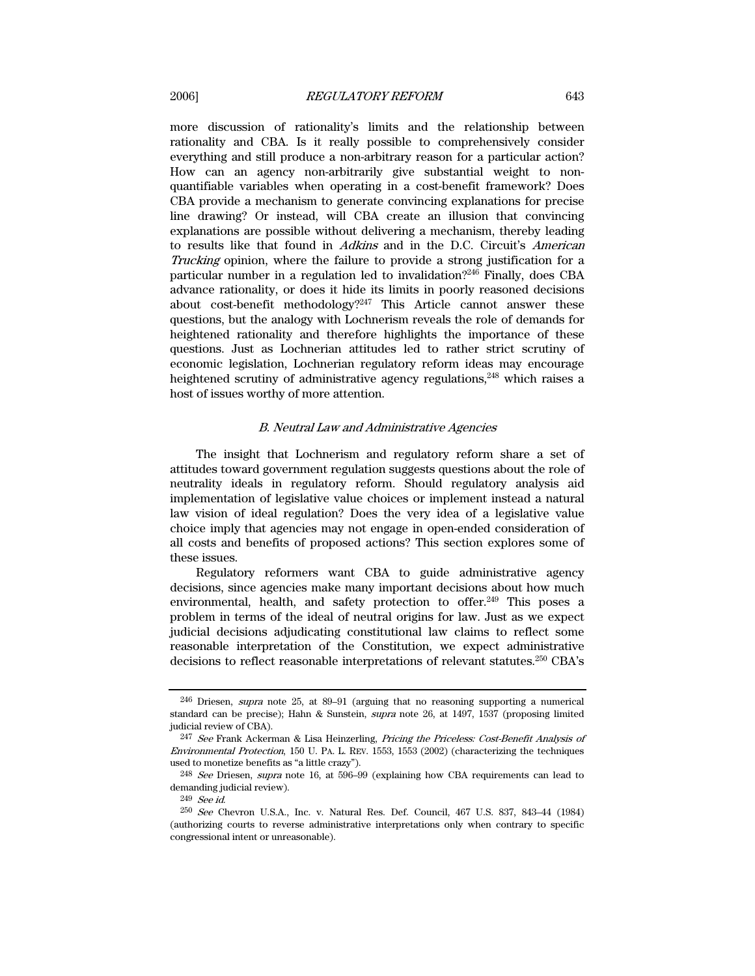more discussion of rationality's limits and the relationship between rationality and CBA. Is it really possible to comprehensively consider everything and still produce a non-arbitrary reason for a particular action? How can an agency non-arbitrarily give substantial weight to nonquantifiable variables when operating in a cost-benefit framework? Does CBA provide a mechanism to generate convincing explanations for precise line drawing? Or instead, will CBA create an illusion that convincing explanations are possible without delivering a mechanism, thereby leading to results like that found in Adkins and in the D.C. Circuit's American Trucking opinion, where the failure to provide a strong justification for a particular number in a regulation led to invalidation?246 Finally, does CBA advance rationality, or does it hide its limits in poorly reasoned decisions about cost-benefit methodology? $^{247}$  This Article cannot answer these questions, but the analogy with Lochnerism reveals the role of demands for heightened rationality and therefore highlights the importance of these questions. Just as Lochnerian attitudes led to rather strict scrutiny of economic legislation, Lochnerian regulatory reform ideas may encourage heightened scrutiny of administrative agency regulations,<sup>248</sup> which raises a host of issues worthy of more attention.

# B. Neutral Law and Administrative Agencies

The insight that Lochnerism and regulatory reform share a set of attitudes toward government regulation suggests questions about the role of neutrality ideals in regulatory reform. Should regulatory analysis aid implementation of legislative value choices or implement instead a natural law vision of ideal regulation? Does the very idea of a legislative value choice imply that agencies may not engage in open-ended consideration of all costs and benefits of proposed actions? This section explores some of these issues.

Regulatory reformers want CBA to guide administrative agency decisions, since agencies make many important decisions about how much environmental, health, and safety protection to offer.<sup>249</sup> This poses a problem in terms of the ideal of neutral origins for law. Just as we expect judicial decisions adjudicating constitutional law claims to reflect some reasonable interpretation of the Constitution, we expect administrative decisions to reflect reasonable interpretations of relevant statutes.250 CBA's

<sup>246</sup> Driesen, supra note 25, at 89–91 (arguing that no reasoning supporting a numerical standard can be precise); Hahn & Sunstein, supra note 26, at 1497, 1537 (proposing limited judicial review of CBA).

<sup>247</sup> See Frank Ackerman & Lisa Heinzerling, Pricing the Priceless: Cost-Benefit Analysis of Environmental Protection, 150 U. PA. L. REV. 1553, 1553 (2002) (characterizing the techniques used to monetize benefits as "a little crazy").

<sup>&</sup>lt;sup>248</sup> See Driesen, supra note 16, at 596-99 (explaining how CBA requirements can lead to demanding judicial review).

<sup>249</sup> See id.

<sup>250</sup> See Chevron U.S.A., Inc. v. Natural Res. Def. Council, 467 U.S. 837, 843–44 (1984) (authorizing courts to reverse administrative interpretations only when contrary to specific congressional intent or unreasonable).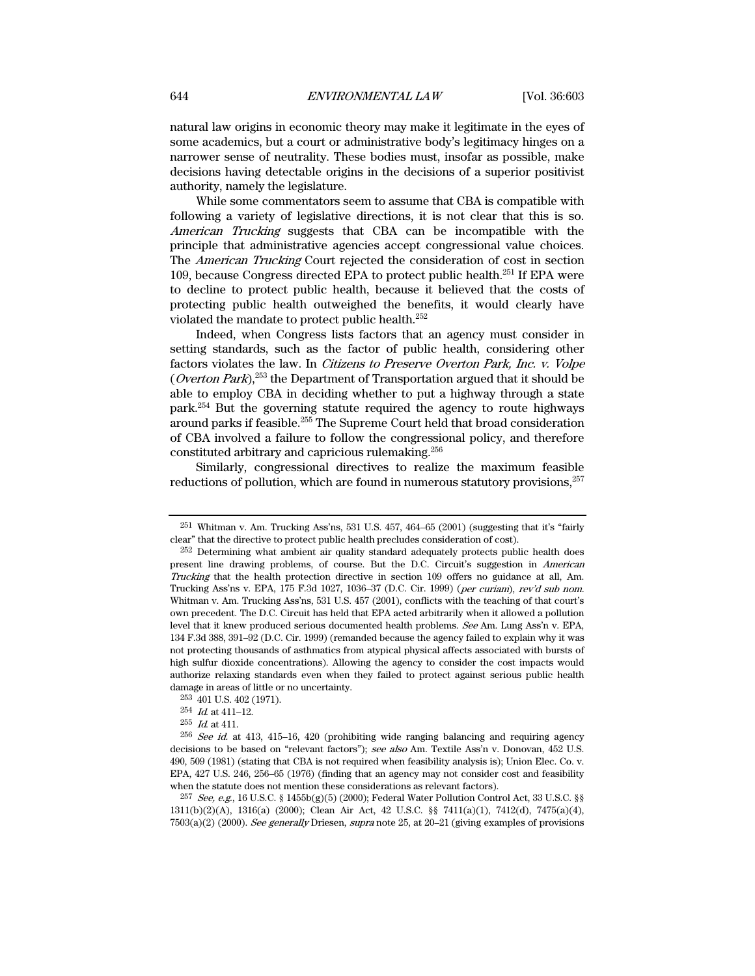natural law origins in economic theory may make it legitimate in the eyes of some academics, but a court or administrative body's legitimacy hinges on a narrower sense of neutrality. These bodies must, insofar as possible, make decisions having detectable origins in the decisions of a superior positivist authority, namely the legislature.

While some commentators seem to assume that CBA is compatible with following a variety of legislative directions, it is not clear that this is so. American Trucking suggests that CBA can be incompatible with the principle that administrative agencies accept congressional value choices. The American Trucking Court rejected the consideration of cost in section 109, because Congress directed EPA to protect public health.251 If EPA were to decline to protect public health, because it believed that the costs of protecting public health outweighed the benefits, it would clearly have violated the mandate to protect public health.252

Indeed, when Congress lists factors that an agency must consider in setting standards, such as the factor of public health, considering other factors violates the law. In Citizens to Preserve Overton Park, Inc. v. Volpe (*Overton Park*),<sup>253</sup> the Department of Transportation argued that it should be able to employ CBA in deciding whether to put a highway through a state park.254 But the governing statute required the agency to route highways around parks if feasible.255 The Supreme Court held that broad consideration of CBA involved a failure to follow the congressional policy, and therefore constituted arbitrary and capricious rulemaking.256

Similarly, congressional directives to realize the maximum feasible reductions of pollution, which are found in numerous statutory provisions,  $257$ 

 $251$  Whitman v. Am. Trucking Ass'ns, 531 U.S. 457, 464–65 (2001) (suggesting that it's "fairly clear" that the directive to protect public health precludes consideration of cost).

<sup>252</sup> Determining what ambient air quality standard adequately protects public health does present line drawing problems, of course. But the D.C. Circuit's suggestion in American Trucking that the health protection directive in section 109 offers no guidance at all, Am. Trucking Ass'ns v. EPA, 175 F.3d 1027, 1036–37 (D.C. Cir. 1999) (per curiam), rev'd sub nom. Whitman v. Am. Trucking Ass'ns, 531 U.S. 457 (2001), conflicts with the teaching of that court's own precedent. The D.C. Circuit has held that EPA acted arbitrarily when it allowed a pollution level that it knew produced serious documented health problems. See Am. Lung Ass'n v. EPA, 134 F.3d 388, 391–92 (D.C. Cir. 1999) (remanded because the agency failed to explain why it was not protecting thousands of asthmatics from atypical physical affects associated with bursts of high sulfur dioxide concentrations). Allowing the agency to consider the cost impacts would authorize relaxing standards even when they failed to protect against serious public health damage in areas of little or no uncertainty.

<sup>253 401</sup> U.S. 402 (1971).

<sup>254</sup> Id. at 411–12.

 $255$  *Id.* at 411.

<sup>256</sup> See id. at 413, 415–16, 420 (prohibiting wide ranging balancing and requiring agency decisions to be based on "relevant factors"); see also Am. Textile Ass'n v. Donovan, 452 U.S. 490, 509 (1981) (stating that CBA is not required when feasibility analysis is); Union Elec. Co. v. EPA, 427 U.S. 246, 256–65 (1976) (finding that an agency may not consider cost and feasibility when the statute does not mention these considerations as relevant factors).

 $^{257}$  See, e.g., 16 U.S.C. § 1455b(g)(5) (2000); Federal Water Pollution Control Act, 33 U.S.C. §§ 1311(b)(2)(A), 1316(a) (2000); Clean Air Act, 42 U.S.C. §§ 7411(a)(1), 7412(d), 7475(a)(4),  $7503(a)(2)$  (2000). See generally Driesen, supra note 25, at 20–21 (giving examples of provisions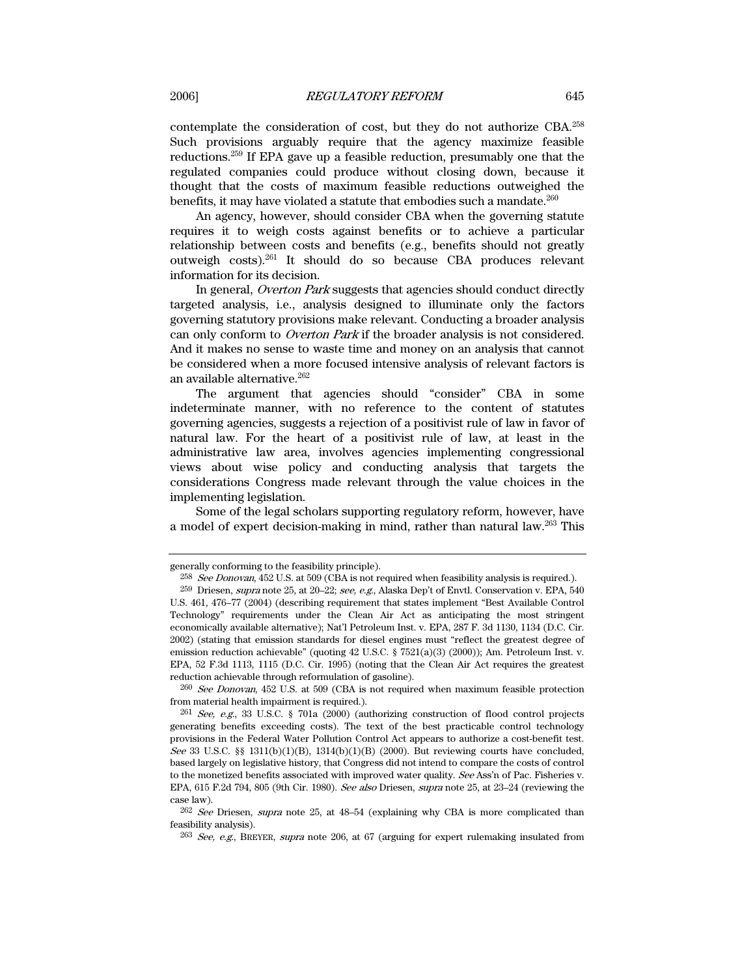contemplate the consideration of cost, but they do not authorize CBA.258 Such provisions arguably require that the agency maximize feasible reductions.259 If EPA gave up a feasible reduction, presumably one that the regulated companies could produce without closing down, because it thought that the costs of maximum feasible reductions outweighed the benefits, it may have violated a statute that embodies such a mandate.<sup>260</sup>

An agency, however, should consider CBA when the governing statute requires it to weigh costs against benefits or to achieve a particular relationship between costs and benefits (e.g., benefits should not greatly outweigh costs).261 It should do so because CBA produces relevant information for its decision.

In general, Overton Park suggests that agencies should conduct directly targeted analysis, i.e., analysis designed to illuminate only the factors governing statutory provisions make relevant. Conducting a broader analysis can only conform to Overton Park if the broader analysis is not considered. And it makes no sense to waste time and money on an analysis that cannot be considered when a more focused intensive analysis of relevant factors is an available alternative.262

The argument that agencies should "consider" CBA in some indeterminate manner, with no reference to the content of statutes governing agencies, suggests a rejection of a positivist rule of law in favor of natural law. For the heart of a positivist rule of law, at least in the administrative law area, involves agencies implementing congressional views about wise policy and conducting analysis that targets the considerations Congress made relevant through the value choices in the implementing legislation.

Some of the legal scholars supporting regulatory reform, however, have a model of expert decision-making in mind, rather than natural law.263 This

generally conforming to the feasibility principle).

 $^{258}$  See Donovan, 452 U.S. at 509 (CBA is not required when feasibility analysis is required.).

<sup>259</sup> Driesen, supra note 25, at 20–22; see, e.g., Alaska Dep't of Envtl. Conservation v. EPA, 540 U.S. 461, 476–77 (2004) (describing requirement that states implement "Best Available Control Technology" requirements under the Clean Air Act as anticipating the most stringent economically available alternative); Nat'l Petroleum Inst. v. EPA, 287 F. 3d 1130, 1134 (D.C. Cir. 2002) (stating that emission standards for diesel engines must "reflect the greatest degree of emission reduction achievable" (quoting 42 U.S.C. § 7521(a)(3) (2000)); Am. Petroleum Inst. v. EPA, 52 F.3d 1113, 1115 (D.C. Cir. 1995) (noting that the Clean Air Act requires the greatest reduction achievable through reformulation of gasoline).

<sup>260</sup> See Donovan, 452 U.S. at 509 (CBA is not required when maximum feasible protection from material health impairment is required.).

 $261$  See, e.g., 33 U.S.C. § 701a (2000) (authorizing construction of flood control projects generating benefits exceeding costs). The text of the best practicable control technology provisions in the Federal Water Pollution Control Act appears to authorize a cost-benefit test. See 33 U.S.C. §§ 1311(b)(1)(B), 1314(b)(1)(B) (2000). But reviewing courts have concluded, based largely on legislative history, that Congress did not intend to compare the costs of control to the monetized benefits associated with improved water quality. See Ass'n of Pac. Fisheries v. EPA, 615 F.2d 794, 805 (9th Cir. 1980). See also Driesen, supra note 25, at 23–24 (reviewing the case law).

<sup>262</sup> See Driesen, supra note 25, at 48–54 (explaining why CBA is more complicated than feasibility analysis).

<sup>&</sup>lt;sup>263</sup> See, e.g., BREYER, supra note 206, at 67 (arguing for expert rulemaking insulated from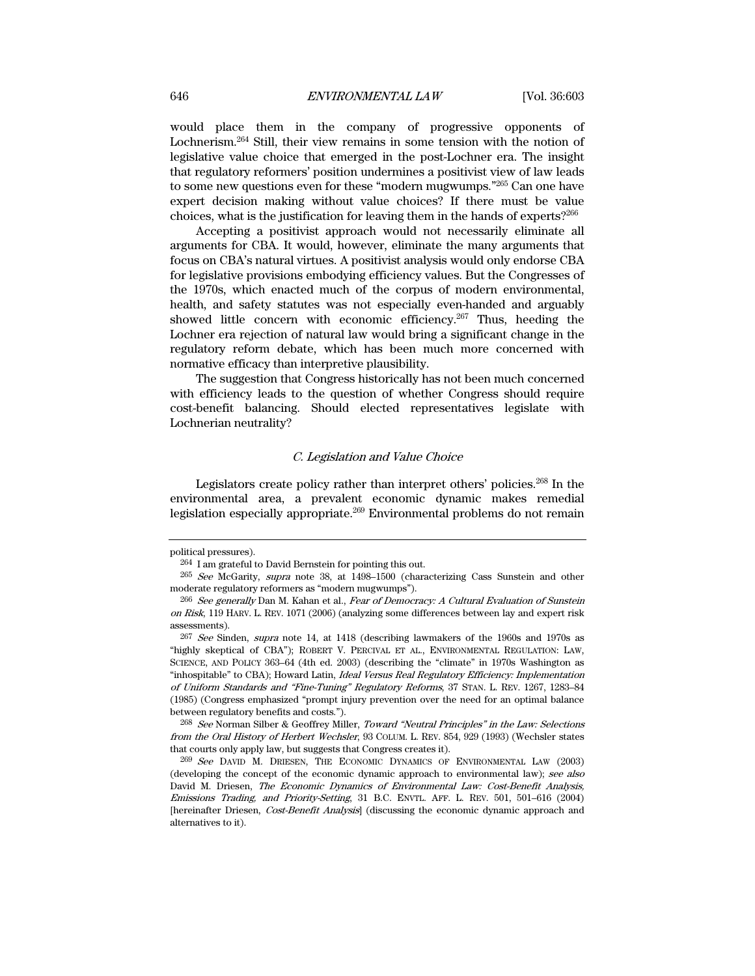would place them in the company of progressive opponents of Lochnerism.264 Still, their view remains in some tension with the notion of legislative value choice that emerged in the post-Lochner era. The insight that regulatory reformers' position undermines a positivist view of law leads to some new questions even for these "modern mugwumps."265 Can one have expert decision making without value choices? If there must be value choices, what is the justification for leaving them in the hands of experts?266

Accepting a positivist approach would not necessarily eliminate all arguments for CBA. It would, however, eliminate the many arguments that focus on CBA's natural virtues. A positivist analysis would only endorse CBA for legislative provisions embodying efficiency values. But the Congresses of the 1970s, which enacted much of the corpus of modern environmental, health, and safety statutes was not especially even-handed and arguably showed little concern with economic efficiency.<sup>267</sup> Thus, heeding the Lochner era rejection of natural law would bring a significant change in the regulatory reform debate, which has been much more concerned with normative efficacy than interpretive plausibility.

The suggestion that Congress historically has not been much concerned with efficiency leads to the question of whether Congress should require cost-benefit balancing. Should elected representatives legislate with Lochnerian neutrality?

## C. Legislation and Value Choice

Legislators create policy rather than interpret others' policies.268 In the environmental area, a prevalent economic dynamic makes remedial legislation especially appropriate.269 Environmental problems do not remain

political pressures).

<sup>264</sup> I am grateful to David Bernstein for pointing this out.

<sup>265</sup> See McGarity, supra note 38, at 1498–1500 (characterizing Cass Sunstein and other moderate regulatory reformers as "modern mugwumps").

<sup>266</sup> See generally Dan M. Kahan et al., Fear of Democracy: A Cultural Evaluation of Sunstein on Risk, 119 HARV. L. REV. 1071 (2006) (analyzing some differences between lay and expert risk assessments).

<sup>267</sup> See Sinden, supra note 14, at 1418 (describing lawmakers of the 1960s and 1970s as "highly skeptical of CBA"); ROBERT V. PERCIVAL ET AL., ENVIRONMENTAL REGULATION: LAW, SCIENCE, AND POLICY 363–64 (4th ed. 2003) (describing the "climate" in 1970s Washington as "inhospitable" to CBA); Howard Latin, Ideal Versus Real Regulatory Efficiency: Implementation of Uniform Standards and "Fine-Tuning" Regulatory Reforms, 37 STAN. L. REV. 1267, 1283–84 (1985) (Congress emphasized "prompt injury prevention over the need for an optimal balance between regulatory benefits and costs.").

<sup>268</sup> See Norman Silber & Geoffrey Miller, Toward "Neutral Principles" in the Law: Selections from the Oral History of Herbert Wechsler, 93 COLUM. L. REV. 854, 929 (1993) (Wechsler states that courts only apply law, but suggests that Congress creates it).

<sup>269</sup> See DAVID M. DRIESEN, THE ECONOMIC DYNAMICS OF ENVIRONMENTAL LAW (2003) (developing the concept of the economic dynamic approach to environmental law); see also David M. Driesen, The Economic Dynamics of Environmental Law: Cost-Benefit Analysis, Emissions Trading, and Priority-Setting, 31 B.C. ENVTL. AFF. L. REV. 501, 501–616 (2004) [hereinafter Driesen, *Cost-Benefit Analysis*] (discussing the economic dynamic approach and alternatives to it).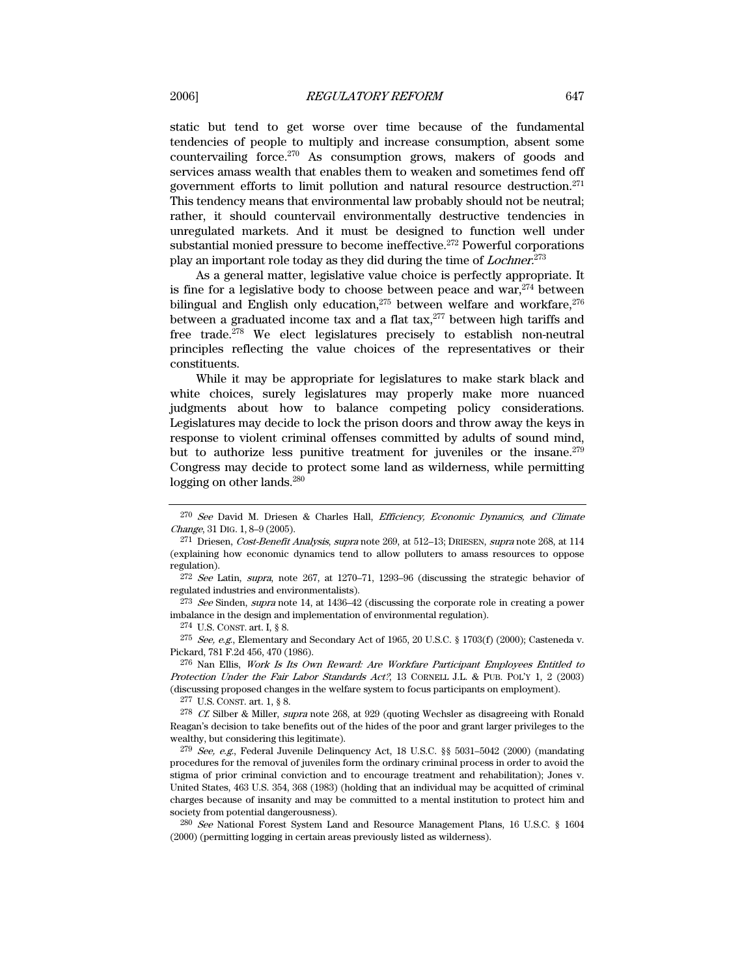static but tend to get worse over time because of the fundamental tendencies of people to multiply and increase consumption, absent some countervailing force.270 As consumption grows, makers of goods and services amass wealth that enables them to weaken and sometimes fend off government efforts to limit pollution and natural resource destruction.271 This tendency means that environmental law probably should not be neutral; rather, it should countervail environmentally destructive tendencies in unregulated markets. And it must be designed to function well under substantial monied pressure to become ineffective.<sup>272</sup> Powerful corporations play an important role today as they did during the time of *Lochner*.<sup>273</sup>

As a general matter, legislative value choice is perfectly appropriate. It is fine for a legislative body to choose between peace and war, $274$  between bilingual and English only education, $275$  between welfare and workfare, $276$ between a graduated income tax and a flat tax,<sup>277</sup> between high tariffs and free trade.278 We elect legislatures precisely to establish non-neutral principles reflecting the value choices of the representatives or their constituents.

While it may be appropriate for legislatures to make stark black and white choices, surely legislatures may properly make more nuanced judgments about how to balance competing policy considerations. Legislatures may decide to lock the prison doors and throw away the keys in response to violent criminal offenses committed by adults of sound mind, but to authorize less punitive treatment for juveniles or the insane.<sup>279</sup> Congress may decide to protect some land as wilderness, while permitting logging on other lands.<sup>280</sup>

 $272$  See Latin, supra, note 267, at 1270–71, 1293–96 (discussing the strategic behavior of regulated industries and environmentalists).

 $273$  See Sinden, supra note 14, at 1436–42 (discussing the corporate role in creating a power imbalance in the design and implementation of environmental regulation).

274 U.S. CONST. art. I, § 8.

 $^{275}$  See, e.g., Elementary and Secondary Act of 1965, 20 U.S.C. § 1703(f) (2000); Casteneda v. Pickard, 781 F.2d 456, 470 (1986).

276 Nan Ellis, Work Is Its Own Reward: Are Workfare Participant Employees Entitled to Protection Under the Fair Labor Standards Act?, 13 CORNELL J.L. & PUB. POL'Y 1, 2 (2003) (discussing proposed changes in the welfare system to focus participants on employment).

277 U.S. CONST. art. 1, § 8.

<sup>278</sup> Cf. Silber & Miller, supra note 268, at 929 (quoting Wechsler as disagreeing with Ronald Reagan's decision to take benefits out of the hides of the poor and grant larger privileges to the wealthy, but considering this legitimate).

 $279$  See, e.g., Federal Juvenile Delinquency Act, 18 U.S.C. §§ 5031–5042 (2000) (mandating procedures for the removal of juveniles form the ordinary criminal process in order to avoid the stigma of prior criminal conviction and to encourage treatment and rehabilitation); Jones v. United States, 463 U.S. 354, 368 (1983) (holding that an individual may be acquitted of criminal charges because of insanity and may be committed to a mental institution to protect him and society from potential dangerousness).

280 See National Forest System Land and Resource Management Plans, 16 U.S.C. § 1604 (2000) (permitting logging in certain areas previously listed as wilderness).

<sup>270</sup> See David M. Driesen & Charles Hall, Efficiency, Economic Dynamics, and Climate Change, 31 DIG. 1, 8–9 (2005).

<sup>&</sup>lt;sup>271</sup> Driesen, Cost-Benefit Analysis, supra note 269, at 512–13; DRIESEN, supra note 268, at 114 (explaining how economic dynamics tend to allow polluters to amass resources to oppose regulation).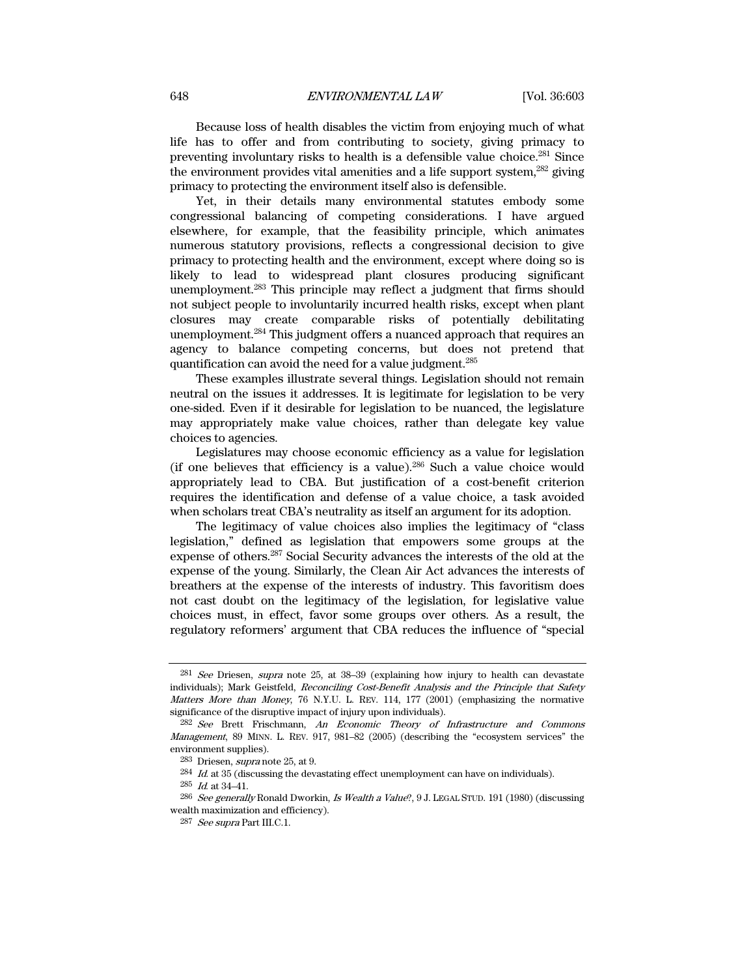Because loss of health disables the victim from enjoying much of what life has to offer and from contributing to society, giving primacy to preventing involuntary risks to health is a defensible value choice.281 Since the environment provides vital amenities and a life support system,<sup>282</sup> giving primacy to protecting the environment itself also is defensible.

Yet, in their details many environmental statutes embody some congressional balancing of competing considerations. I have argued elsewhere, for example, that the feasibility principle, which animates numerous statutory provisions, reflects a congressional decision to give primacy to protecting health and the environment, except where doing so is likely to lead to widespread plant closures producing significant unemployment.283 This principle may reflect a judgment that firms should not subject people to involuntarily incurred health risks, except when plant closures may create comparable risks of potentially debilitating unemployment.284 This judgment offers a nuanced approach that requires an agency to balance competing concerns, but does not pretend that quantification can avoid the need for a value judgment.285

These examples illustrate several things. Legislation should not remain neutral on the issues it addresses. It is legitimate for legislation to be very one-sided. Even if it desirable for legislation to be nuanced, the legislature may appropriately make value choices, rather than delegate key value choices to agencies.

Legislatures may choose economic efficiency as a value for legislation (if one believes that efficiency is a value).<sup>286</sup> Such a value choice would appropriately lead to CBA. But justification of a cost-benefit criterion requires the identification and defense of a value choice, a task avoided when scholars treat CBA's neutrality as itself an argument for its adoption.

The legitimacy of value choices also implies the legitimacy of "class legislation," defined as legislation that empowers some groups at the expense of others.287 Social Security advances the interests of the old at the expense of the young. Similarly, the Clean Air Act advances the interests of breathers at the expense of the interests of industry. This favoritism does not cast doubt on the legitimacy of the legislation, for legislative value choices must, in effect, favor some groups over others. As a result, the regulatory reformers' argument that CBA reduces the influence of "special

<sup>&</sup>lt;sup>281</sup> See Driesen, supra note 25, at 38–39 (explaining how injury to health can devastate individuals); Mark Geistfeld, Reconciling Cost-Benefit Analysis and the Principle that Safety Matters More than Money, 76 N.Y.U. L. REV. 114, 177 (2001) (emphasizing the normative significance of the disruptive impact of injury upon individuals).

<sup>&</sup>lt;sup>282</sup> See Brett Frischmann, An Economic Theory of Infrastructure and Commons Management, 89 MINN. L. REV. 917, 981–82 (2005) (describing the "ecosystem services" the environment supplies).

 $283$  Driesen, *supra* note 25, at 9.

 $284$  *Id.* at  $35$  (discussing the devastating effect unemployment can have on individuals).

 $^{285}\,$   $\emph{Id.}$  at 34–41.

<sup>&</sup>lt;sup>286</sup> See generally Ronald Dworkin, Is Wealth a Value?, 9 J. LEGAL STUD. 191 (1980) (discussing wealth maximization and efficiency).

<sup>287</sup> See supra Part III.C.1.